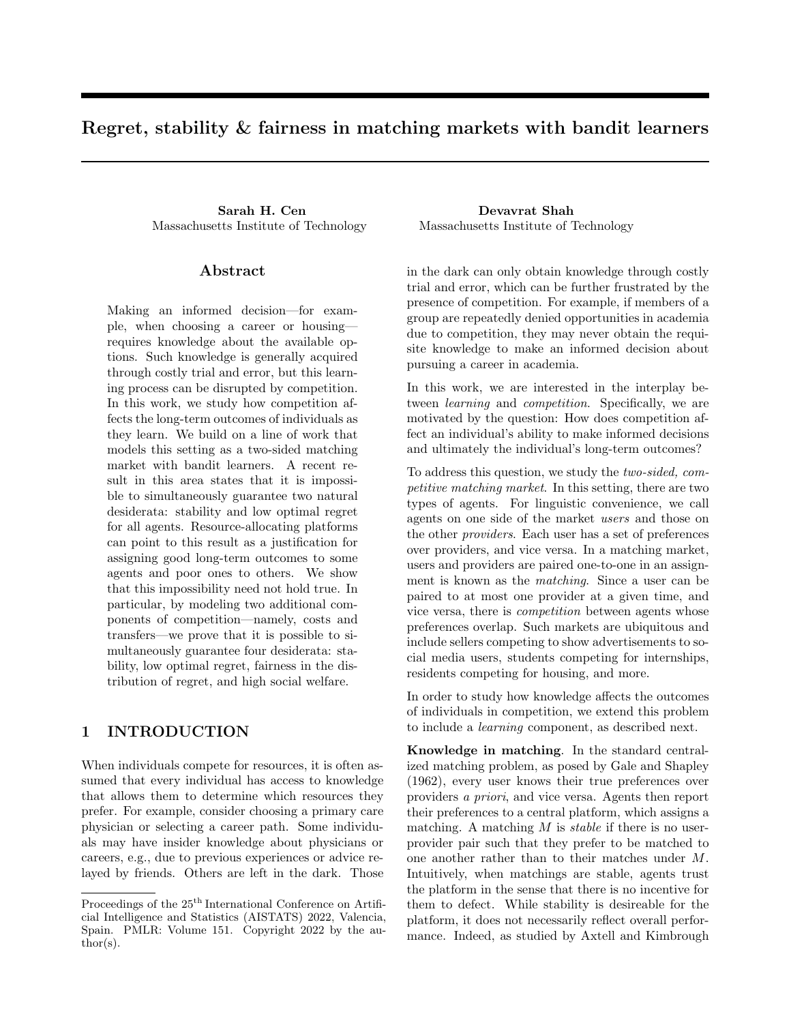# Regret, stability & fairness in matching markets with bandit learners

Sarah H. Cen Devavrat Shah Massachusetts Institute of Technology Massachusetts Institute of Technology

### Abstract

Making an informed decision—for example, when choosing a career or housing requires knowledge about the available options. Such knowledge is generally acquired through costly trial and error, but this learning process can be disrupted by competition. In this work, we study how competition affects the long-term outcomes of individuals as they learn. We build on a line of work that models this setting as a two-sided matching market with bandit learners. A recent result in this area states that it is impossible to simultaneously guarantee two natural desiderata: stability and low optimal regret for all agents. Resource-allocating platforms can point to this result as a justification for assigning good long-term outcomes to some agents and poor ones to others. We show that this impossibility need not hold true. In particular, by modeling two additional components of competition—namely, costs and transfers—we prove that it is possible to simultaneously guarantee four desiderata: stability, low optimal regret, fairness in the distribution of regret, and high social welfare.

# 1 INTRODUCTION

When individuals compete for resources, it is often assumed that every individual has access to knowledge that allows them to determine which resources they prefer. For example, consider choosing a primary care physician or selecting a career path. Some individuals may have insider knowledge about physicians or careers, e.g., due to previous experiences or advice relayed by friends. Others are left in the dark. Those

in the dark can only obtain knowledge through costly trial and error, which can be further frustrated by the presence of competition. For example, if members of a group are repeatedly denied opportunities in academia due to competition, they may never obtain the requisite knowledge to make an informed decision about pursuing a career in academia.

In this work, we are interested in the interplay between *learning* and *competition*. Specifically, we are motivated by the question: How does competition affect an individual's ability to make informed decisions and ultimately the individual's long-term outcomes?

To address this question, we study the two-sided, competitive matching market. In this setting, there are two types of agents. For linguistic convenience, we call agents on one side of the market users and those on the other providers. Each user has a set of preferences over providers, and vice versa. In a matching market, users and providers are paired one-to-one in an assignment is known as the matching. Since a user can be paired to at most one provider at a given time, and vice versa, there is competition between agents whose preferences overlap. Such markets are ubiquitous and include sellers competing to show advertisements to social media users, students competing for internships, residents competing for housing, and more.

In order to study how knowledge affects the outcomes of individuals in competition, we extend this problem to include a learning component, as described next.

Knowledge in matching. In the standard centralized matching problem, as posed by Gale and Shapley (1962), every user knows their true preferences over providers a priori, and vice versa. Agents then report their preferences to a central platform, which assigns a matching. A matching  $M$  is *stable* if there is no userprovider pair such that they prefer to be matched to one another rather than to their matches under M. Intuitively, when matchings are stable, agents trust the platform in the sense that there is no incentive for them to defect. While stability is desireable for the platform, it does not necessarily reflect overall performance. Indeed, as studied by Axtell and Kimbrough

Proceedings of the  $25<sup>th</sup>$  International Conference on Artificial Intelligence and Statistics (AISTATS) 2022, Valencia, Spain. PMLR: Volume 151. Copyright 2022 by the au- $\text{thor}(s)$ .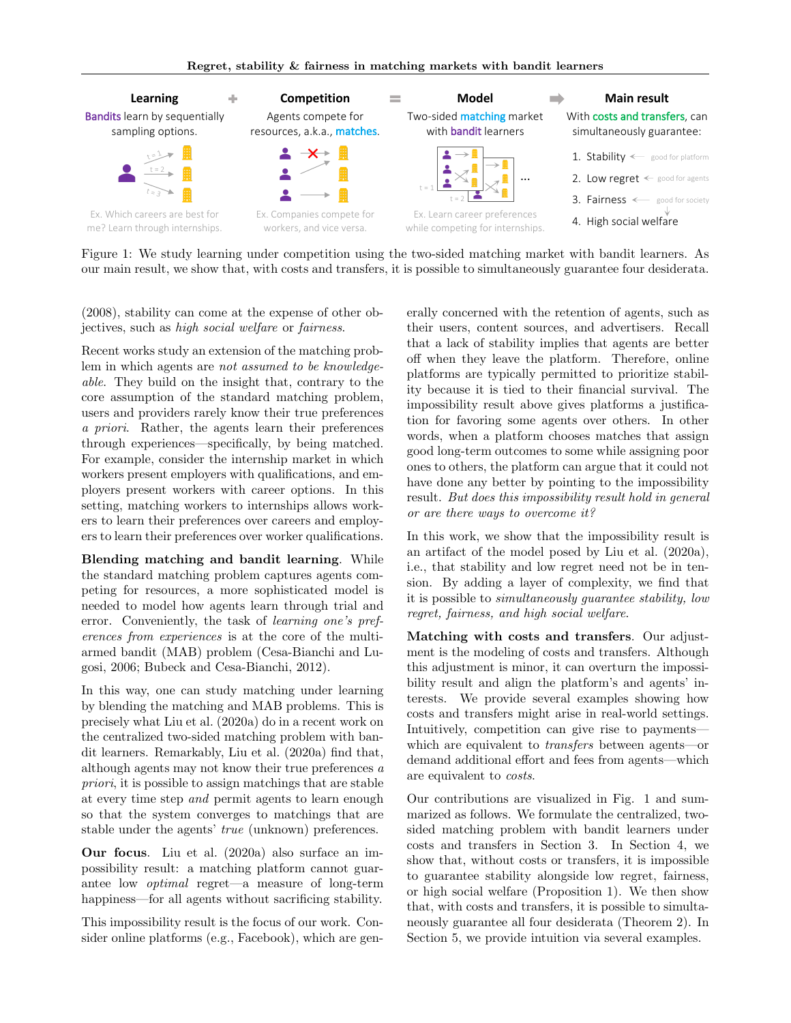

Figure 1: We study learning under competition using the two-sided matching market with bandit learners. As our main result, we show that, with costs and transfers, it is possible to simultaneously guarantee four desiderata.

(2008), stability can come at the expense of other objectives, such as high social welfare or fairness.

Recent works study an extension of the matching problem in which agents are not assumed to be knowledgeable. They build on the insight that, contrary to the core assumption of the standard matching problem, users and providers rarely know their true preferences a priori. Rather, the agents learn their preferences through experiences—specifically, by being matched. For example, consider the internship market in which workers present employers with qualifications, and employers present workers with career options. In this setting, matching workers to internships allows workers to learn their preferences over careers and employers to learn their preferences over worker qualifications.

Blending matching and bandit learning. While the standard matching problem captures agents competing for resources, a more sophisticated model is needed to model how agents learn through trial and error. Conveniently, the task of learning one's preferences from experiences is at the core of the multiarmed bandit (MAB) problem (Cesa-Bianchi and Lugosi, 2006; Bubeck and Cesa-Bianchi, 2012).

In this way, one can study matching under learning by blending the matching and MAB problems. This is precisely what Liu et al. (2020a) do in a recent work on the centralized two-sided matching problem with bandit learners. Remarkably, Liu et al. (2020a) find that, although agents may not know their true preferences a priori, it is possible to assign matchings that are stable at every time step and permit agents to learn enough so that the system converges to matchings that are stable under the agents' true (unknown) preferences.

Our focus. Liu et al. (2020a) also surface an impossibility result: a matching platform cannot guarantee low optimal regret—a measure of long-term happiness—for all agents without sacrificing stability.

This impossibility result is the focus of our work. Consider online platforms (e.g., Facebook), which are generally concerned with the retention of agents, such as their users, content sources, and advertisers. Recall that a lack of stability implies that agents are better off when they leave the platform. Therefore, online platforms are typically permitted to prioritize stability because it is tied to their financial survival. The impossibility result above gives platforms a justification for favoring some agents over others. In other words, when a platform chooses matches that assign good long-term outcomes to some while assigning poor ones to others, the platform can argue that it could not have done any better by pointing to the impossibility result. But does this impossibility result hold in general or are there ways to overcome it?

In this work, we show that the impossibility result is an artifact of the model posed by Liu et al. (2020a), i.e., that stability and low regret need not be in tension. By adding a layer of complexity, we find that it is possible to simultaneously guarantee stability, low regret, fairness, and high social welfare.

Matching with costs and transfers. Our adjustment is the modeling of costs and transfers. Although this adjustment is minor, it can overturn the impossibility result and align the platform's and agents' interests. We provide several examples showing how costs and transfers might arise in real-world settings. Intuitively, competition can give rise to payments which are equivalent to transfers between agents—or demand additional effort and fees from agents—which are equivalent to costs.

Our contributions are visualized in Fig. 1 and summarized as follows. We formulate the centralized, twosided matching problem with bandit learners under costs and transfers in Section 3. In Section 4, we show that, without costs or transfers, it is impossible to guarantee stability alongside low regret, fairness, or high social welfare (Proposition 1). We then show that, with costs and transfers, it is possible to simultaneously guarantee all four desiderata (Theorem 2). In Section 5, we provide intuition via several examples.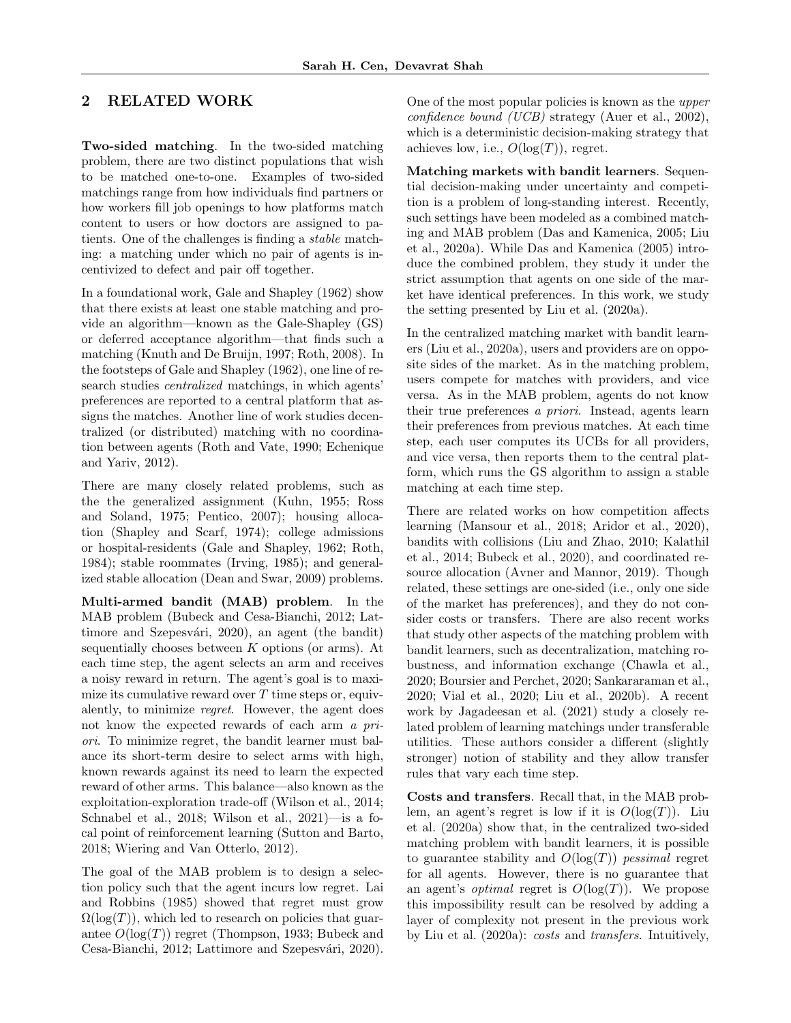# 2 RELATED WORK

Two-sided matching. In the two-sided matching problem, there are two distinct populations that wish to be matched one-to-one. Examples of two-sided matchings range from how individuals find partners or how workers fill job openings to how platforms match content to users or how doctors are assigned to patients. One of the challenges is finding a stable matching: a matching under which no pair of agents is incentivized to defect and pair off together.

In a foundational work, Gale and Shapley (1962) show that there exists at least one stable matching and provide an algorithm—known as the Gale-Shapley (GS) or deferred acceptance algorithm—that finds such a matching (Knuth and De Bruijn, 1997; Roth, 2008). In the footsteps of Gale and Shapley (1962), one line of research studies centralized matchings, in which agents' preferences are reported to a central platform that assigns the matches. Another line of work studies decentralized (or distributed) matching with no coordination between agents (Roth and Vate, 1990; Echenique and Yariv, 2012).

There are many closely related problems, such as the the generalized assignment (Kuhn, 1955; Ross and Soland, 1975; Pentico, 2007); housing allocation (Shapley and Scarf, 1974); college admissions or hospital-residents (Gale and Shapley, 1962; Roth, 1984); stable roommates (Irving, 1985); and generalized stable allocation (Dean and Swar, 2009) problems.

Multi-armed bandit (MAB) problem. In the MAB problem (Bubeck and Cesa-Bianchi, 2012; Lattimore and Szepesvári, 2020), an agent (the bandit) sequentially chooses between  $K$  options (or arms). At each time step, the agent selects an arm and receives a noisy reward in return. The agent's goal is to maximize its cumulative reward over  $T$  time steps or, equivalently, to minimize regret. However, the agent does not know the expected rewards of each arm a priori. To minimize regret, the bandit learner must balance its short-term desire to select arms with high, known rewards against its need to learn the expected reward of other arms. This balance—also known as the exploitation-exploration trade-off (Wilson et al., 2014; Schnabel et al., 2018; Wilson et al., 2021)—is a focal point of reinforcement learning (Sutton and Barto, 2018; Wiering and Van Otterlo, 2012).

The goal of the MAB problem is to design a selection policy such that the agent incurs low regret. Lai and Robbins (1985) showed that regret must grow  $\Omega(\log(T))$ , which led to research on policies that guarantee  $O(\log(T))$  regret (Thompson, 1933; Bubeck and Cesa-Bianchi, 2012; Lattimore and Szepesvári, 2020). One of the most popular policies is known as the upper confidence bound (UCB) strategy (Auer et al., 2002), which is a deterministic decision-making strategy that achieves low, i.e.,  $O(\log(T))$ , regret.

Matching markets with bandit learners. Sequential decision-making under uncertainty and competition is a problem of long-standing interest. Recently, such settings have been modeled as a combined matching and MAB problem (Das and Kamenica, 2005; Liu et al., 2020a). While Das and Kamenica (2005) introduce the combined problem, they study it under the strict assumption that agents on one side of the market have identical preferences. In this work, we study the setting presented by Liu et al. (2020a).

In the centralized matching market with bandit learners (Liu et al., 2020a), users and providers are on opposite sides of the market. As in the matching problem, users compete for matches with providers, and vice versa. As in the MAB problem, agents do not know their true preferences a priori. Instead, agents learn their preferences from previous matches. At each time step, each user computes its UCBs for all providers, and vice versa, then reports them to the central platform, which runs the GS algorithm to assign a stable matching at each time step.

There are related works on how competition affects learning (Mansour et al., 2018; Aridor et al., 2020), bandits with collisions (Liu and Zhao, 2010; Kalathil et al., 2014; Bubeck et al., 2020), and coordinated resource allocation (Avner and Mannor, 2019). Though related, these settings are one-sided (i.e., only one side of the market has preferences), and they do not consider costs or transfers. There are also recent works that study other aspects of the matching problem with bandit learners, such as decentralization, matching robustness, and information exchange (Chawla et al., 2020; Boursier and Perchet, 2020; Sankararaman et al., 2020; Vial et al., 2020; Liu et al., 2020b). A recent work by Jagadeesan et al. (2021) study a closely related problem of learning matchings under transferable utilities. These authors consider a different (slightly stronger) notion of stability and they allow transfer rules that vary each time step.

Costs and transfers. Recall that, in the MAB problem, an agent's regret is low if it is  $O(\log(T))$ . Liu et al. (2020a) show that, in the centralized two-sided matching problem with bandit learners, it is possible to guarantee stability and  $O(\log(T))$  pessimal regret for all agents. However, there is no guarantee that an agent's *optimal* regret is  $O(log(T))$ . We propose this impossibility result can be resolved by adding a layer of complexity not present in the previous work by Liu et al. (2020a): costs and transfers. Intuitively,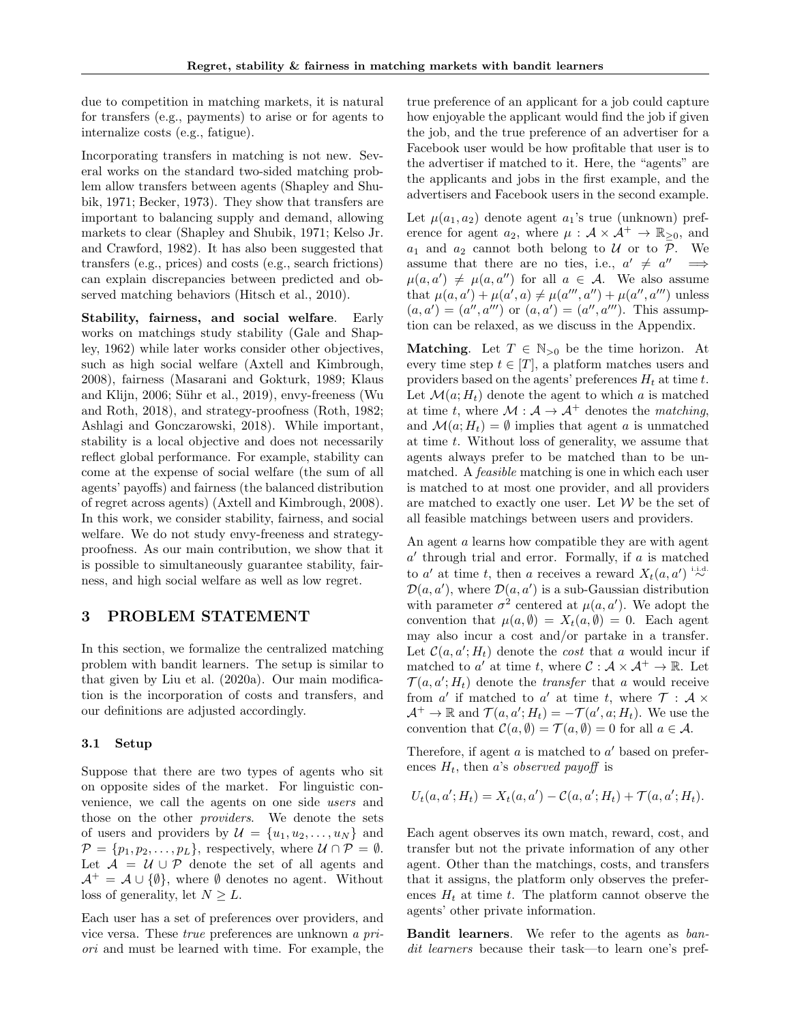due to competition in matching markets, it is natural for transfers (e.g., payments) to arise or for agents to internalize costs (e.g., fatigue).

Incorporating transfers in matching is not new. Several works on the standard two-sided matching problem allow transfers between agents (Shapley and Shubik, 1971; Becker, 1973). They show that transfers are important to balancing supply and demand, allowing markets to clear (Shapley and Shubik, 1971; Kelso Jr. and Crawford, 1982). It has also been suggested that transfers (e.g., prices) and costs (e.g., search frictions) can explain discrepancies between predicted and observed matching behaviors (Hitsch et al., 2010).

Stability, fairness, and social welfare. Early works on matchings study stability (Gale and Shapley, 1962) while later works consider other objectives, such as high social welfare (Axtell and Kimbrough, 2008), fairness (Masarani and Gokturk, 1989; Klaus and Klijn, 2006; Sühr et al., 2019), envy-freeness (Wu and Roth, 2018), and strategy-proofness (Roth, 1982; Ashlagi and Gonczarowski, 2018). While important, stability is a local objective and does not necessarily reflect global performance. For example, stability can come at the expense of social welfare (the sum of all agents' payoffs) and fairness (the balanced distribution of regret across agents) (Axtell and Kimbrough, 2008). In this work, we consider stability, fairness, and social welfare. We do not study envy-freeness and strategyproofness. As our main contribution, we show that it is possible to simultaneously guarantee stability, fairness, and high social welfare as well as low regret.

### 3 PROBLEM STATEMENT

In this section, we formalize the centralized matching problem with bandit learners. The setup is similar to that given by Liu et al. (2020a). Our main modification is the incorporation of costs and transfers, and our definitions are adjusted accordingly.

#### 3.1 Setup

Suppose that there are two types of agents who sit on opposite sides of the market. For linguistic convenience, we call the agents on one side users and those on the other providers. We denote the sets of users and providers by  $\mathcal{U} = \{u_1, u_2, \dots, u_N\}$  and  $\mathcal{P} = \{p_1, p_2, \ldots, p_L\}$ , respectively, where  $\mathcal{U} \cap \mathcal{P} = \emptyset$ . Let  $\mathcal{A} = \mathcal{U} \cup \mathcal{P}$  denote the set of all agents and  $\mathcal{A}^+ = \mathcal{A} \cup \{\emptyset\}$ , where  $\emptyset$  denotes no agent. Without loss of generality, let  $N \geq L$ .

Each user has a set of preferences over providers, and vice versa. These true preferences are unknown a priori and must be learned with time. For example, the true preference of an applicant for a job could capture how enjoyable the applicant would find the job if given the job, and the true preference of an advertiser for a Facebook user would be how profitable that user is to the advertiser if matched to it. Here, the "agents" are the applicants and jobs in the first example, and the advertisers and Facebook users in the second example.

Let  $\mu(a_1, a_2)$  denote agent  $a_1$ 's true (unknown) preference for agent  $a_2$ , where  $\mu : \mathcal{A} \times \mathcal{A}^+ \to \mathbb{R}_{\geq 0}$ , and  $a_1$  and  $a_2$  cannot both belong to U or to P. We assume that there are no ties, i.e.,  $a' \neq a'' \implies$  $\mu(a, a') \neq \mu(a, a'')$  for all  $a \in \mathcal{A}$ . We also assume that  $\mu(a, a') + \mu(a', a) \neq \mu(a''', a'') + \mu(a'', a''')$  unless  $(a, a') = (a'', a''')$  or  $(a, a') = (a'', a''')$ . This assumption can be relaxed, as we discuss in the Appendix.

**Matching.** Let  $T \in \mathbb{N}_{>0}$  be the time horizon. At every time step  $t \in [T]$ , a platform matches users and providers based on the agents' preferences  $H_t$  at time t. Let  $\mathcal{M}(a; H_t)$  denote the agent to which a is matched at time t, where  $\mathcal{M} : \mathcal{A} \to \mathcal{A}^+$  denotes the matching, and  $\mathcal{M}(a; H_t) = \emptyset$  implies that agent a is unmatched at time  $t$ . Without loss of generality, we assume that agents always prefer to be matched than to be unmatched. A feasible matching is one in which each user is matched to at most one provider, and all providers are matched to exactly one user. Let  $W$  be the set of all feasible matchings between users and providers.

An agent a learns how compatible they are with agent  $a'$  through trial and error. Formally, if  $a$  is matched to a' at time t, then a receives a reward  $X_t(a, a') \stackrel{\text{i.i.d.}}{\sim}$  $\mathcal{D}(a, a')$ , where  $\mathcal{D}(a, a')$  is a sub-Gaussian distribution with parameter  $\sigma^2$  centered at  $\mu(a, a')$ . We adopt the convention that  $\mu(a, \emptyset) = X_t(a, \emptyset) = 0$ . Each agent may also incur a cost and/or partake in a transfer. Let  $C(a, a'; H_t)$  denote the *cost* that a would incur if matched to a' at time t, where  $C : \mathcal{A} \times \mathcal{A}^+ \to \mathbb{R}$ . Let  $\mathcal{T}(a, a'; H_t)$  denote the *transfer* that a would receive from  $a'$  if matched to  $a'$  at time t, where  $\mathcal{T} : \mathcal{A} \times$  $\mathcal{A}^+ \to \mathbb{R}$  and  $\mathcal{T}(a, a'; H_t) = -\mathcal{T}(a', a; H_t)$ . We use the convention that  $\mathcal{C}(a, \emptyset) = \mathcal{T}(a, \emptyset) = 0$  for all  $a \in \mathcal{A}$ .

Therefore, if agent  $a$  is matched to  $a'$  based on preferences  $H_t$ , then a's observed payoff is

$$
U_t(a, a'; H_t) = X_t(a, a') - C(a, a'; H_t) + \mathcal{T}(a, a'; H_t).
$$

Each agent observes its own match, reward, cost, and transfer but not the private information of any other agent. Other than the matchings, costs, and transfers that it assigns, the platform only observes the preferences  $H_t$  at time t. The platform cannot observe the agents' other private information.

Bandit learners. We refer to the agents as bandit learners because their task—to learn one's pref-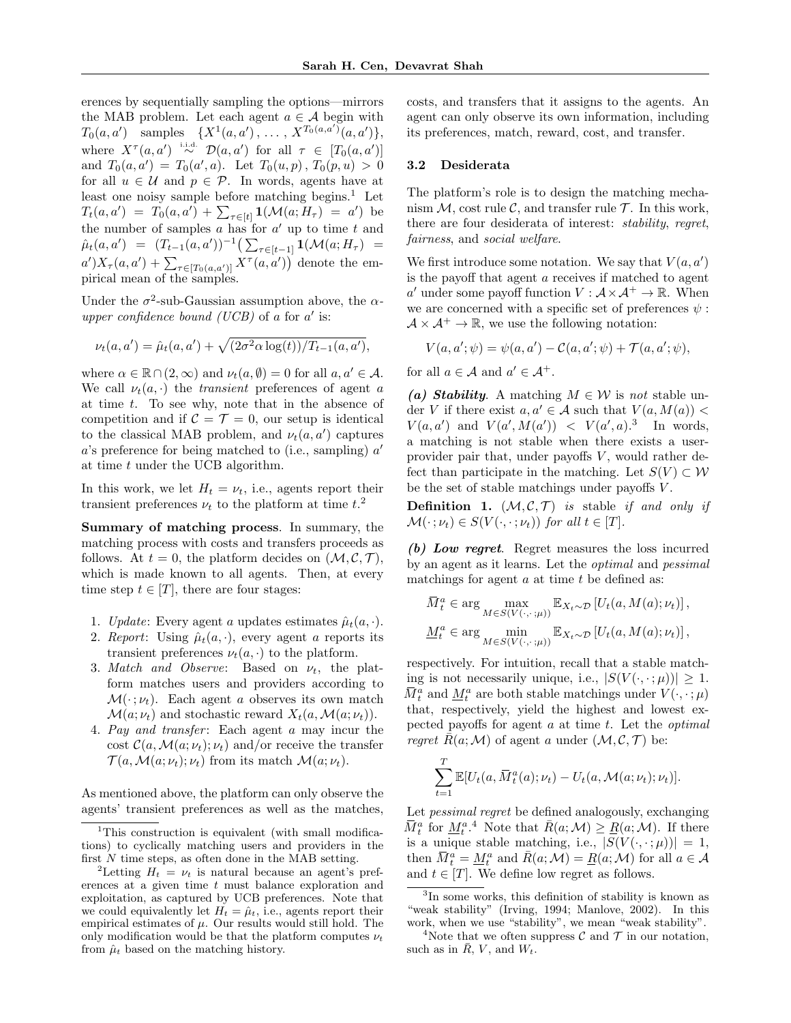erences by sequentially sampling the options—mirrors the MAB problem. Let each agent  $a \in \mathcal{A}$  begin with  $T_0(a, a')$  samples  $\{X^1(a, a'), \ldots, X^{T_0(a, a')}(a, a')\},\$ where  $X^{\tau}(a, a') \stackrel{\text{i.i.d.}}{\sim} \mathcal{D}(a, a')$  for all  $\tau \in [T_0(a, a')]$ and  $T_0(a, a') = T_0(a', a)$ . Let  $T_0(u, p)$ ,  $T_0(p, u) > 0$ for all  $u \in \mathcal{U}$  and  $p \in \mathcal{P}$ . In words, agents have at least one noisy sample before matching begins. $<sup>1</sup>$  Let</sup>  $T_t(a, a') = T_0(a, a') + \sum_{\tau \in [t]} \mathbf{1}(\mathcal{M}(a; H_\tau) = a')$  be the number of samples  $a$  has for  $a'$  up to time  $t$  and  $\hat{\mu}_t(a, a') = (T_{t-1}(a, a'))^{-1} \left( \sum_{\tau \in [t-1]} \mathbf{1}(\mathcal{M}(a; H_\tau)) \right)$  $a'$ ) $X_{\tau}(a, a') + \sum_{\tau \in [T_0(a, a')]}\nX^{\tau}(a, a')$  denote the empirical mean of the samples.

Under the  $\sigma^2$ -sub-Gaussian assumption above, the  $\alpha$ upper confidence bound (UCB) of a for  $a'$  is:

$$
\nu_t(a, a') = \hat{\mu}_t(a, a') + \sqrt{(2\sigma^2 \alpha \log(t))/T_{t-1}(a, a')},
$$

where  $\alpha \in \mathbb{R} \cap (2,\infty)$  and  $\nu_t(a,\emptyset) = 0$  for all  $a, a' \in \mathcal{A}$ . We call  $\nu_t(a, \cdot)$  the *transient* preferences of agent a at time  $t$ . To see why, note that in the absence of competition and if  $C = T = 0$ , our setup is identical to the classical MAB problem, and  $\nu_t(a, a')$  captures  $a$ 's preference for being matched to (i.e., sampling)  $a'$ at time t under the UCB algorithm.

In this work, we let  $H_t = \nu_t$ , i.e., agents report their transient preferences  $\nu_t$  to the platform at time  $t^2$ .

Summary of matching process. In summary, the matching process with costs and transfers proceeds as follows. At  $t = 0$ , the platform decides on  $(M, \mathcal{C}, \mathcal{T})$ , which is made known to all agents. Then, at every time step  $t \in [T]$ , there are four stages:

- 1. Update: Every agent a updates estimates  $\hat{\mu}_t(a, \cdot)$ .
- 2. Report: Using  $\hat{\mu}_t(a, \cdot)$ , every agent a reports its transient preferences  $\nu_t(a, \cdot)$  to the platform.
- 3. Match and Observe: Based on  $\nu_t$ , the platform matches users and providers according to  $\mathcal{M}(\cdot; \nu_t)$ . Each agent a observes its own match  $\mathcal{M}(a; \nu_t)$  and stochastic reward  $X_t(a, \mathcal{M}(a; \nu_t)).$
- 4. Pay and transfer: Each agent a may incur the cost  $C(a, \mathcal{M}(a; \nu_t); \nu_t)$  and/or receive the transfer  $\mathcal{T}(a,\mathcal{M}(a;\nu_t);\nu_t)$  from its match  $\mathcal{M}(a;\nu_t)$ .

As mentioned above, the platform can only observe the agents' transient preferences as well as the matches, costs, and transfers that it assigns to the agents. An agent can only observe its own information, including its preferences, match, reward, cost, and transfer.

#### 3.2 Desiderata

The platform's role is to design the matching mechanism  $M$ , cost rule  $\mathcal{C}$ , and transfer rule  $\mathcal{T}$ . In this work, there are four desiderata of interest: stability, regret, fairness, and social welfare.

We first introduce some notation. We say that  $V(a, a')$ is the payoff that agent a receives if matched to agent a' under some payoff function  $V : \mathcal{A} \times \mathcal{A}^+ \to \mathbb{R}$ . When we are concerned with a specific set of preferences  $\psi$ :  $\mathcal{A} \times \mathcal{A}^+ \to \mathbb{R}$ , we use the following notation:

$$
V(a, a'; \psi) = \psi(a, a') - C(a, a'; \psi) + \mathcal{T}(a, a'; \psi),
$$

for all  $a \in \mathcal{A}$  and  $a' \in \mathcal{A}^+$ .

(a) Stability. A matching  $M \in \mathcal{W}$  is not stable under V if there exist  $a, a' \in \mathcal{A}$  such that  $V(a, M(a))$  <  $V(a, a')$  and  $V(a', M(a')) < V(a', a)$ .<sup>3</sup> In words, a matching is not stable when there exists a userprovider pair that, under payoffs  $V$ , would rather defect than participate in the matching. Let  $S(V) \subset W$ be the set of stable matchings under payoffs V .

**Definition 1.**  $(M, \mathcal{C}, \mathcal{T})$  is stable if and only if  $\mathcal{M}(\cdot; \nu_t) \in S(V(\cdot, \cdot; \nu_t))$  for all  $t \in [T]$ .

 $(b)$  Low regret. Regret measures the loss incurred by an agent as it learns. Let the optimal and pessimal matchings for agent  $a$  at time  $t$  be defined as:

$$
\overline{M}_t^a \in \arg\max_{M \in S(V(\cdot, \cdot; \mu))} \mathbb{E}_{X_t \sim \mathcal{D}} \left[ U_t(a, M(a); \nu_t) \right],
$$
  

$$
\underline{M}_t^a \in \arg\min_{M \in S(V(\cdot, \cdot; \mu))} \mathbb{E}_{X_t \sim \mathcal{D}} \left[ U_t(a, M(a); \nu_t) \right],
$$

respectively. For intuition, recall that a stable matching is not necessarily unique, i.e.,  $|S(V(\cdot,\cdot;\mu))| \geq 1$ .  $\bar{M}_t^a$  and  $\underline{M}_t^a$  are both stable matchings under  $V(\cdot, \cdot; \mu)$ that, respectively, yield the highest and lowest expected payoffs for agent  $a$  at time  $t$ . Let the *optimal* regret  $\overline{R}(a; \mathcal{M})$  of agent a under  $(\mathcal{M}, \mathcal{C}, \mathcal{T})$  be:

$$
\sum_{t=1}^T \mathbb{E}[U_t(a, \overline{M}_t^a(a); \nu_t) - U_t(a, \mathcal{M}(a; \nu_t); \nu_t)].
$$

Let *pessimal regret* be defined analogously, exchanging  $\overline{M}_t^a$  for  $\underline{M}_t^{a,4}$  Note that  $\overline{R}(a;\mathcal{M}) \geq \underline{R}(a;\mathcal{M})$ . If there is a unique stable matching, i.e.,  $|S(V(\cdot,\cdot;\mu))|=1$ , then  $\overline{M}_t^a = \underline{M}_t^a$  and  $\overline{R}(a; \mathcal{M}) = \underline{R}(a; \mathcal{M})$  for all  $a \in \mathcal{A}$ and  $t \in [T]$ . We define low regret as follows.

<sup>&</sup>lt;sup>1</sup>This construction is equivalent (with small modifications) to cyclically matching users and providers in the first  $N$  time steps, as often done in the MAB setting.

<sup>&</sup>lt;sup>2</sup>Letting  $H_t = \nu_t$  is natural because an agent's preferences at a given time  $t$  must balance exploration and exploitation, as captured by UCB preferences. Note that we could equivalently let  $H_t = \hat{\mu}_t$ , i.e., agents report their empirical estimates of  $\mu$ . Our results would still hold. The only modification would be that the platform computes  $\nu_t$ from  $\hat{\mu}_t$  based on the matching history.

<sup>3</sup> In some works, this definition of stability is known as "weak stability" (Irving, 1994; Manlove, 2002). In this work, when we use "stability", we mean "weak stability".

<sup>&</sup>lt;sup>4</sup>Note that we often suppress  $\mathcal C$  and  $\mathcal T$  in our notation, such as in  $\overline{R}$ ,  $V$ , and  $W_t$ .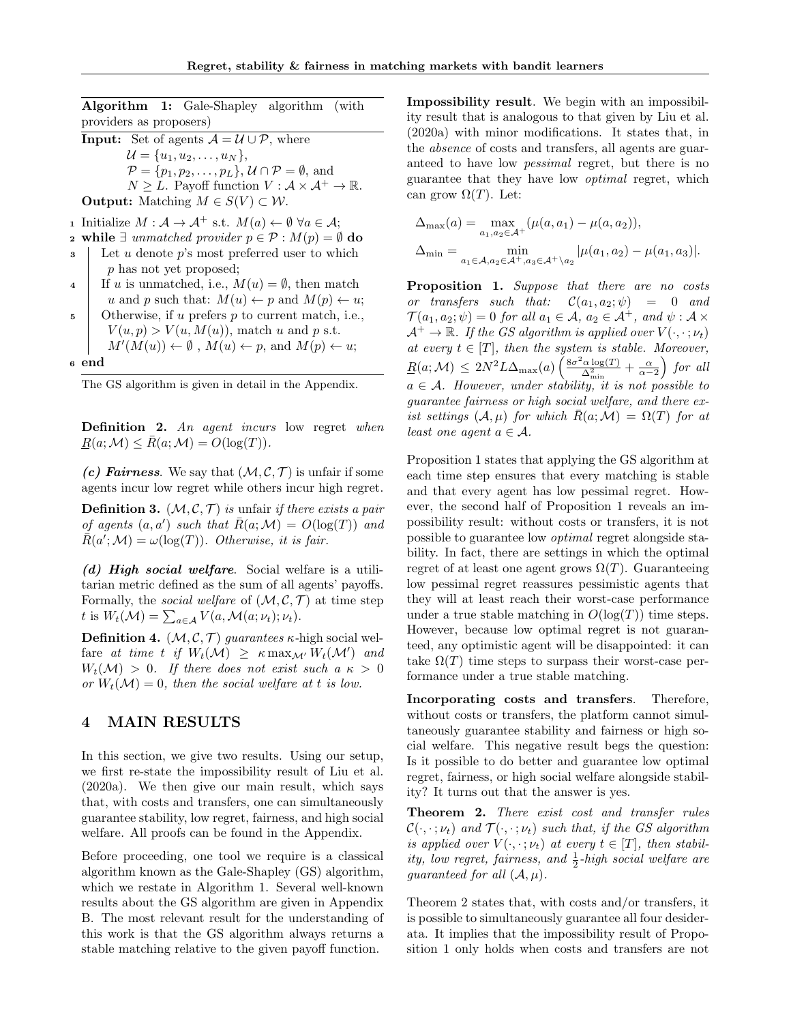Algorithm 1: Gale-Shapley algorithm (with providers as proposers)

**Input:** Set of agents  $\mathcal{A} = \mathcal{U} \cup \mathcal{P}$ , where  $\mathcal{U} = \{u_1, u_2, \ldots, u_N\},\$  $\mathcal{P} = \{p_1, p_2, \ldots, p_L\}, \mathcal{U} \cap \mathcal{P} = \emptyset$ , and  $N \geq L$ . Payoff function  $V : \mathcal{A} \times \mathcal{A}^+ \to \mathbb{R}$ . **Output:** Matching  $M \in S(V) \subset W$ .

1 Initialize  $M : \mathcal{A} \to \mathcal{A}^+$  s.t.  $M(a) \leftarrow \emptyset$   $\forall a \in \mathcal{A}$ ;

- 2 while ∃ unmatched provider  $p \in \mathcal{P} : M(p) = \emptyset$  do
- $\mathbf{3}$  Let u denote p's most preferred user to which p has not yet proposed;
- 4 If u is unmatched, i.e.,  $M(u) = \emptyset$ , then match u and p such that:  $M(u) \leftarrow p$  and  $M(p) \leftarrow u$ ;
- $\mathfrak{s}$  | Otherwise, if u prefers p to current match, i.e.,  $V(u, p) > V(u, M(u))$ , match u and p s.t.  $M'(M(u)) \leftarrow \emptyset$ ,  $M(u) \leftarrow p$ , and  $M(p) \leftarrow u$ ;

<sup>6</sup> end

The GS algorithm is given in detail in the Appendix.

Definition 2. An agent incurs low regret when  $R(a; \mathcal{M}) \leq R(a; \mathcal{M}) = O(\log(T)).$ 

(c) Fairness. We say that  $(M, \mathcal{C}, \mathcal{T})$  is unfair if some agents incur low regret while others incur high regret.

**Definition 3.**  $(\mathcal{M}, \mathcal{C}, \mathcal{T})$  is unfair if there exists a pair of agents  $(a, a')$  such that  $\bar{R}(a; \mathcal{M}) = O(\log(T))$  and  $\overline{R}(a';\mathcal{M}) = \omega(\log(T)).$  Otherwise, it is fair.

(d) High social welfare. Social welfare is a utilitarian metric defined as the sum of all agents' payoffs. Formally, the *social welfare* of  $(M, \mathcal{C}, \mathcal{T})$  at time step t is  $W_t(\mathcal{M}) = \sum_{a \in \mathcal{A}} V(a, \mathcal{M}(a; \nu_t); \nu_t).$ 

**Definition 4.**  $(M, \mathcal{C}, \mathcal{T})$  guarantees  $\kappa$ -high social welfare at time t if  $W_t(\mathcal{M}) \geq \kappa \max_{\mathcal{M}'} W_t(\mathcal{M}')$  and  $W_t(\mathcal{M}) > 0$ . If there does not exist such a  $\kappa > 0$ or  $W_t(\mathcal{M}) = 0$ , then the social welfare at t is low.

### 4 MAIN RESULTS

In this section, we give two results. Using our setup, we first re-state the impossibility result of Liu et al. (2020a). We then give our main result, which says that, with costs and transfers, one can simultaneously guarantee stability, low regret, fairness, and high social welfare. All proofs can be found in the Appendix.

Before proceeding, one tool we require is a classical algorithm known as the Gale-Shapley (GS) algorithm, which we restate in Algorithm 1. Several well-known results about the GS algorithm are given in Appendix B. The most relevant result for the understanding of this work is that the GS algorithm always returns a stable matching relative to the given payoff function.

Impossibility result. We begin with an impossibility result that is analogous to that given by Liu et al. (2020a) with minor modifications. It states that, in the absence of costs and transfers, all agents are guaranteed to have low pessimal regret, but there is no guarantee that they have low optimal regret, which can grow  $\Omega(T)$ . Let:

$$
\Delta_{\max}(a) = \max_{a_1, a_2 \in \mathcal{A}^+} (\mu(a, a_1) - \mu(a, a_2)),
$$
  

$$
\Delta_{\min} = \min_{a_1 \in \mathcal{A}, a_2 \in \mathcal{A}^+, a_3 \in \mathcal{A}^+ \setminus a_2} |\mu(a_1, a_2) - \mu(a_1, a_3)|.
$$

Proposition 1. Suppose that there are no costs or transfers such that:  $\mathcal{C}(a_1, a_2; \psi) = 0$  and  $\mathcal{T}(a_1, a_2; \psi) = 0$  for all  $a_1 \in \mathcal{A}, a_2 \in \mathcal{A}^+$ , and  $\psi : \mathcal{A} \times$  $\mathcal{A}^+ \to \mathbb{R}$ . If the GS algorithm is applied over  $V(\cdot, \cdot; \nu_t)$ at every  $t \in [T]$ , then the system is stable. Moreover,  $R(a;\mathcal{M}) \leq 2N^2L\Delta_{\max}(a)\left(\frac{8\sigma^2\alpha\log(T)}{\Delta^2}\right)$  $\frac{\partial \alpha \log(T)}{\partial \Delta_{\min}^2} + \frac{\alpha}{\alpha - 2}$  for all  $a \in \mathcal{A}$ . However, under stability, it is not possible to guarantee fairness or high social welfare, and there exist settings  $(A, \mu)$  for which  $\bar{R}(a; \mathcal{M}) = \Omega(T)$  for at least one agent  $a \in \mathcal{A}$ .

Proposition 1 states that applying the GS algorithm at each time step ensures that every matching is stable and that every agent has low pessimal regret. However, the second half of Proposition 1 reveals an impossibility result: without costs or transfers, it is not possible to guarantee low optimal regret alongside stability. In fact, there are settings in which the optimal regret of at least one agent grows  $\Omega(T)$ . Guaranteeing low pessimal regret reassures pessimistic agents that they will at least reach their worst-case performance under a true stable matching in  $O(\log(T))$  time steps. However, because low optimal regret is not guaranteed, any optimistic agent will be disappointed: it can take  $\Omega(T)$  time steps to surpass their worst-case performance under a true stable matching.

Incorporating costs and transfers. Therefore, without costs or transfers, the platform cannot simultaneously guarantee stability and fairness or high social welfare. This negative result begs the question: Is it possible to do better and guarantee low optimal regret, fairness, or high social welfare alongside stability? It turns out that the answer is yes.

Theorem 2. There exist cost and transfer rules  $\mathcal{C}(\cdot, \cdot; \nu_t)$  and  $\mathcal{T}(\cdot, \cdot; \nu_t)$  such that, if the GS algorithm is applied over  $V(\cdot, \cdot; \nu_t)$  at every  $t \in [T]$ , then stability, low regret, fairness, and  $\frac{1}{2}$ -high social welfare are guaranteed for all  $(\mathcal{A}, \mu)$ .

Theorem 2 states that, with costs and/or transfers, it is possible to simultaneously guarantee all four desiderata. It implies that the impossibility result of Proposition 1 only holds when costs and transfers are not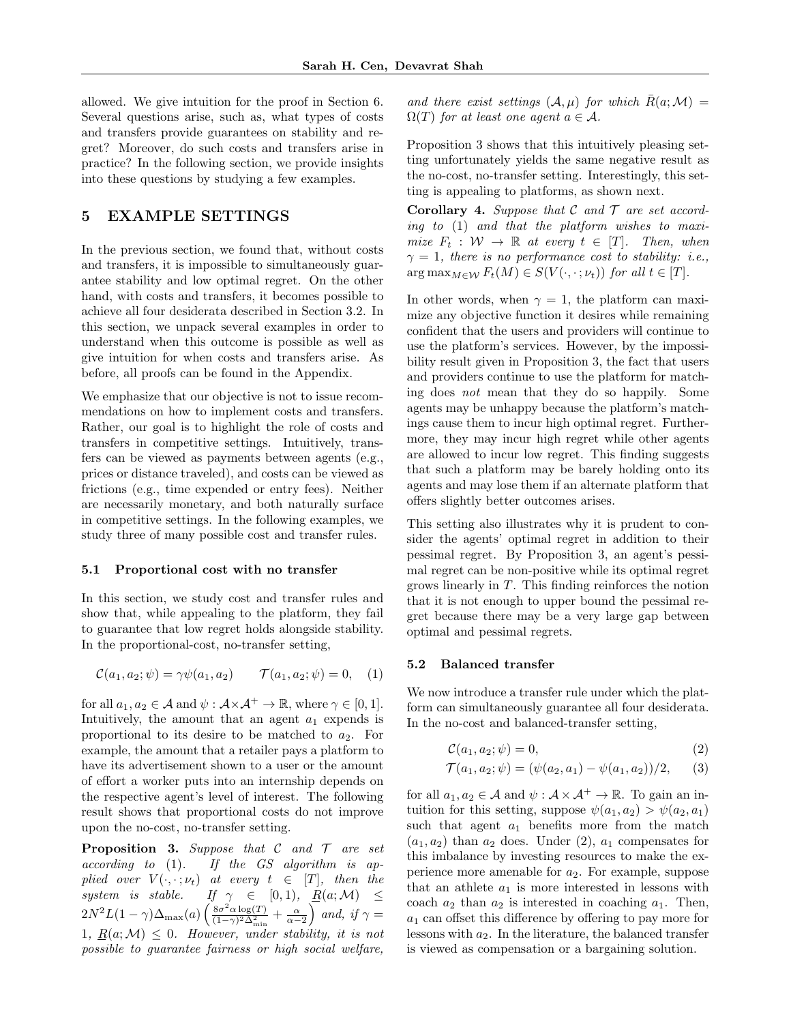allowed. We give intuition for the proof in Section 6. Several questions arise, such as, what types of costs and transfers provide guarantees on stability and regret? Moreover, do such costs and transfers arise in practice? In the following section, we provide insights into these questions by studying a few examples.

# 5 EXAMPLE SETTINGS

In the previous section, we found that, without costs and transfers, it is impossible to simultaneously guarantee stability and low optimal regret. On the other hand, with costs and transfers, it becomes possible to achieve all four desiderata described in Section 3.2. In this section, we unpack several examples in order to understand when this outcome is possible as well as give intuition for when costs and transfers arise. As before, all proofs can be found in the Appendix.

We emphasize that our objective is not to issue recommendations on how to implement costs and transfers. Rather, our goal is to highlight the role of costs and transfers in competitive settings. Intuitively, transfers can be viewed as payments between agents (e.g., prices or distance traveled), and costs can be viewed as frictions (e.g., time expended or entry fees). Neither are necessarily monetary, and both naturally surface in competitive settings. In the following examples, we study three of many possible cost and transfer rules.

#### 5.1 Proportional cost with no transfer

In this section, we study cost and transfer rules and show that, while appealing to the platform, they fail to guarantee that low regret holds alongside stability. In the proportional-cost, no-transfer setting,

$$
C(a_1, a_2; \psi) = \gamma \psi(a_1, a_2) \qquad \mathcal{T}(a_1, a_2; \psi) = 0, \quad (1)
$$

for all  $a_1, a_2 \in \mathcal{A}$  and  $\psi : \mathcal{A} \times \mathcal{A}^+ \to \mathbb{R}$ , where  $\gamma \in [0, 1]$ . Intuitively, the amount that an agent  $a_1$  expends is proportional to its desire to be matched to  $a_2$ . For example, the amount that a retailer pays a platform to have its advertisement shown to a user or the amount of effort a worker puts into an internship depends on the respective agent's level of interest. The following result shows that proportional costs do not improve upon the no-cost, no-transfer setting.

**Proposition 3.** Suppose that  $C$  and  $T$  are set  $according to (1).$  If the GS algorithm is applied over  $V(\cdot, \cdot; \nu_t)$  at every  $t \in [T]$ , then the system is stable. If  $\gamma \in [0,1)$ ,  $\underline{R}(a; \mathcal{M}) \leq$  $2N^2L(1-\gamma)\Delta_{\text{max}}(a)\left(\frac{8\sigma^2\alpha\log(T)}{(1-\gamma)^2\Delta^2}\right)$  $\frac{8\sigma^2\alpha\log(T)}{(1-\gamma)^2\Delta^2_{\min}} + \frac{\alpha}{\alpha-2}$  and, if  $\gamma =$ 1,  $R(a; \mathcal{M}) \leq 0$ . However, under stability, it is not possible to guarantee fairness or high social welfare,

and there exist settings  $(A, \mu)$  for which  $\bar{R}(a; \mathcal{M}) =$  $\Omega(T)$  for at least one agent  $a \in \mathcal{A}$ .

Proposition 3 shows that this intuitively pleasing setting unfortunately yields the same negative result as the no-cost, no-transfer setting. Interestingly, this setting is appealing to platforms, as shown next.

**Corollary 4.** Suppose that  $C$  and  $T$  are set according to (1) and that the platform wishes to maximize  $F_t : \mathcal{W} \to \mathbb{R}$  at every  $t \in [T]$ . Then, when  $\gamma = 1$ , there is no performance cost to stability: i.e.,  $\arg \max_{M \in \mathcal{W}} F_t(M) \in S(V(\cdot, \cdot; \nu_t))$  for all  $t \in [T]$ .

In other words, when  $\gamma = 1$ , the platform can maximize any objective function it desires while remaining confident that the users and providers will continue to use the platform's services. However, by the impossibility result given in Proposition 3, the fact that users and providers continue to use the platform for matching does not mean that they do so happily. Some agents may be unhappy because the platform's matchings cause them to incur high optimal regret. Furthermore, they may incur high regret while other agents are allowed to incur low regret. This finding suggests that such a platform may be barely holding onto its agents and may lose them if an alternate platform that offers slightly better outcomes arises.

This setting also illustrates why it is prudent to consider the agents' optimal regret in addition to their pessimal regret. By Proposition 3, an agent's pessimal regret can be non-positive while its optimal regret grows linearly in T. This finding reinforces the notion that it is not enough to upper bound the pessimal regret because there may be a very large gap between optimal and pessimal regrets.

#### 5.2 Balanced transfer

We now introduce a transfer rule under which the platform can simultaneously guarantee all four desiderata. In the no-cost and balanced-transfer setting,

$$
\mathcal{C}(a_1, a_2; \psi) = 0,\tag{2}
$$

$$
\mathcal{T}(a_1, a_2; \psi) = (\psi(a_2, a_1) - \psi(a_1, a_2))/2, \quad (3)
$$

for all  $a_1, a_2 \in \mathcal{A}$  and  $\psi : \mathcal{A} \times \mathcal{A}^+ \to \mathbb{R}$ . To gain an intuition for this setting, suppose  $\psi(a_1, a_2) > \psi(a_2, a_1)$ such that agent  $a_1$  benefits more from the match  $(a_1, a_2)$  than  $a_2$  does. Under (2),  $a_1$  compensates for this imbalance by investing resources to make the experience more amenable for  $a_2$ . For example, suppose that an athlete  $a_1$  is more interested in lessons with coach  $a_2$  than  $a_2$  is interested in coaching  $a_1$ . Then,  $a_1$  can offset this difference by offering to pay more for lessons with  $a_2$ . In the literature, the balanced transfer is viewed as compensation or a bargaining solution.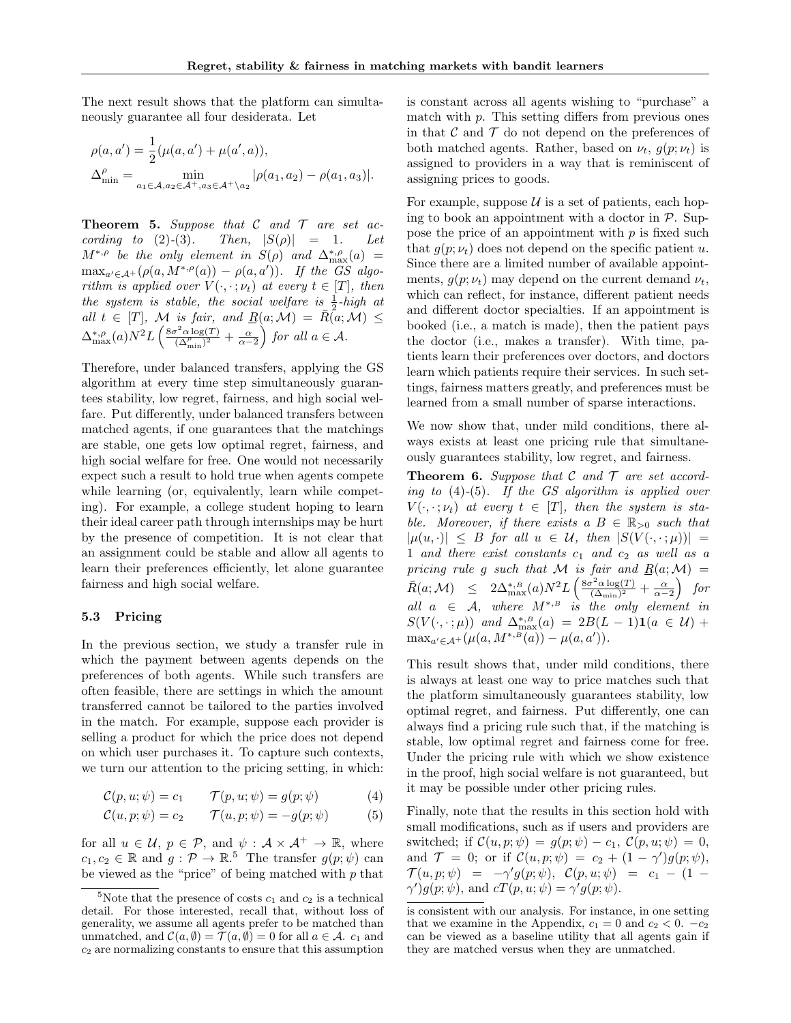The next result shows that the platform can simultaneously guarantee all four desiderata. Let

$$
\rho(a, a') = \frac{1}{2} (\mu(a, a') + \mu(a', a)),
$$
  
\n
$$
\Delta_{\min}^{\rho} = \min_{a_1 \in \mathcal{A}, a_2 \in \mathcal{A}^+, a_3 \in \mathcal{A}^+ \setminus a_2} |\rho(a_1, a_2) - \rho(a_1, a_3)|.
$$

**Theorem 5.** Suppose that  $C$  and  $T$  are set according to (2)-(3). Then,  $|S(\rho)| = 1$ . Let  $M^{*,\rho}$  be the only element in  $S(\rho)$  and  $\Delta_{\max}^{*,\rho}(a)$  =  $\max_{a' \in \mathcal{A}^+} (\rho(a, M^{*, \rho}(a)) - \rho(a, a'))$ . If the GS algorithm is applied over  $V(\cdot, \cdot; \nu_t)$  at every  $t \in [T]$ , then the system is stable, the social welfare is  $\frac{1}{2}$ -high at all  $t \in [T]$ , M is fair, and  $\underline{R}(a; \mathcal{M}) = \overline{R}(a; \mathcal{M}) \leq$  $\Delta_{\max}^{*,\rho}(a)N^2L\left(\frac{8\sigma^2\alpha\log(T)}{(\Delta^\rho\,cdot)^2}\right)$  $\frac{\sigma^2 \alpha \log(T)}{(\Delta_{\min}^{\rho})^2} + \frac{\alpha}{\alpha - 2}$  for all  $a \in \mathcal{A}$ .

Therefore, under balanced transfers, applying the GS algorithm at every time step simultaneously guarantees stability, low regret, fairness, and high social welfare. Put differently, under balanced transfers between matched agents, if one guarantees that the matchings are stable, one gets low optimal regret, fairness, and high social welfare for free. One would not necessarily expect such a result to hold true when agents compete while learning (or, equivalently, learn while competing). For example, a college student hoping to learn their ideal career path through internships may be hurt by the presence of competition. It is not clear that an assignment could be stable and allow all agents to learn their preferences efficiently, let alone guarantee fairness and high social welfare.

#### 5.3 Pricing

In the previous section, we study a transfer rule in which the payment between agents depends on the preferences of both agents. While such transfers are often feasible, there are settings in which the amount transferred cannot be tailored to the parties involved in the match. For example, suppose each provider is selling a product for which the price does not depend on which user purchases it. To capture such contexts, we turn our attention to the pricing setting, in which:

$$
\mathcal{C}(p, u; \psi) = c_1 \qquad \mathcal{T}(p, u; \psi) = g(p; \psi) \tag{4}
$$

$$
\mathcal{C}(u, p; \psi) = c_2 \qquad \mathcal{T}(u, p; \psi) = -g(p; \psi) \tag{5}
$$

for all  $u \in \mathcal{U}, p \in \mathcal{P}$ , and  $\psi : \mathcal{A} \times \mathcal{A}^+ \to \mathbb{R}$ , where  $c_1, c_2 \in \mathbb{R}$  and  $g: \mathcal{P} \to \mathbb{R}^5$ . The transfer  $g(p; \psi)$  can be viewed as the "price" of being matched with  $p$  that is constant across all agents wishing to "purchase" a match with  $p$ . This setting differs from previous ones in that  $\mathcal C$  and  $\mathcal T$  do not depend on the preferences of both matched agents. Rather, based on  $\nu_t$ ,  $g(p; \nu_t)$  is assigned to providers in a way that is reminiscent of assigning prices to goods.

For example, suppose  $U$  is a set of patients, each hoping to book an appointment with a doctor in  $\mathcal{P}$ . Suppose the price of an appointment with  $p$  is fixed such that  $g(p; \nu_t)$  does not depend on the specific patient u. Since there are a limited number of available appointments,  $q(p; \nu_t)$  may depend on the current demand  $\nu_t$ , which can reflect, for instance, different patient needs and different doctor specialties. If an appointment is booked (i.e., a match is made), then the patient pays the doctor (i.e., makes a transfer). With time, patients learn their preferences over doctors, and doctors learn which patients require their services. In such settings, fairness matters greatly, and preferences must be learned from a small number of sparse interactions.

We now show that, under mild conditions, there always exists at least one pricing rule that simultaneously guarantees stability, low regret, and fairness.

**Theorem 6.** Suppose that  $C$  and  $T$  are set according to  $(4)-(5)$ . If the GS algorithm is applied over  $V(\cdot, \cdot; \nu_t)$  at every  $t \in [T]$ , then the system is stable. Moreover, if there exists a  $B \in \mathbb{R}_{>0}$  such that  $|\mu(u, \cdot)| \leq B$  for all  $u \in \mathcal{U}$ , then  $|S(V(\cdot, \cdot;\mu))|$  = 1 and there exist constants  $c_1$  and  $c_2$  as well as a pricing rule g such that M is fair and  $R(a;M) =$  $\bar{R}(a;\mathcal{M}) \leq 2\Delta_{\max}^{*,B}(a)N^2L\left(\frac{8\sigma^2\alpha\log(T)}{(\Delta_{\min})^2}\right)$  $\frac{\sigma^2\alpha\log(T)}{(\Delta_{\min})^2}+\frac{\alpha}{\alpha-2}\right)$  for all  $a \in \mathcal{A}$ , where  $M^{*,B}$  is the only element in  $S(V(\cdot, \cdot; \mu))$  and  $\Delta_{\max}^{*, B}(a) = 2B(L-1)\mathbf{1}(a \in \mathcal{U}) +$  $\max_{a' \in \mathcal{A}^+} (\mu(a, M^{*,B}(a)) - \mu(a, a')).$ 

This result shows that, under mild conditions, there is always at least one way to price matches such that the platform simultaneously guarantees stability, low optimal regret, and fairness. Put differently, one can always find a pricing rule such that, if the matching is stable, low optimal regret and fairness come for free. Under the pricing rule with which we show existence in the proof, high social welfare is not guaranteed, but it may be possible under other pricing rules.

Finally, note that the results in this section hold with small modifications, such as if users and providers are switched; if  $\mathcal{C}(u, p; \psi) = g(p; \psi) - c_1, \mathcal{C}(p, u; \psi) = 0$ , and  $\mathcal{T} = 0$ ; or if  $\mathcal{C}(u, p; \psi) = c_2 + (1 - \gamma')g(p; \psi)$ ,  $\mathcal{T}(u, p; \psi) = -\gamma' g(p; \psi), \quad \mathcal{C}(p, u; \psi) = c_1 - (1 \gamma'$ ) $g(p; \psi)$ , and  $cT(p, u; \psi) = \gamma' g(p; \psi)$ .

<sup>&</sup>lt;sup>5</sup>Note that the presence of costs  $c_1$  and  $c_2$  is a technical detail. For those interested, recall that, without loss of generality, we assume all agents prefer to be matched than unmatched, and  $\mathcal{C}(a, \emptyset) = \mathcal{T}(a, \emptyset) = 0$  for all  $a \in \mathcal{A}$ .  $c_1$  and  $c<sub>2</sub>$  are normalizing constants to ensure that this assumption

is consistent with our analysis. For instance, in one setting that we examine in the Appendix,  $c_1 = 0$  and  $c_2 < 0$ .  $-c_2$ can be viewed as a baseline utility that all agents gain if they are matched versus when they are unmatched.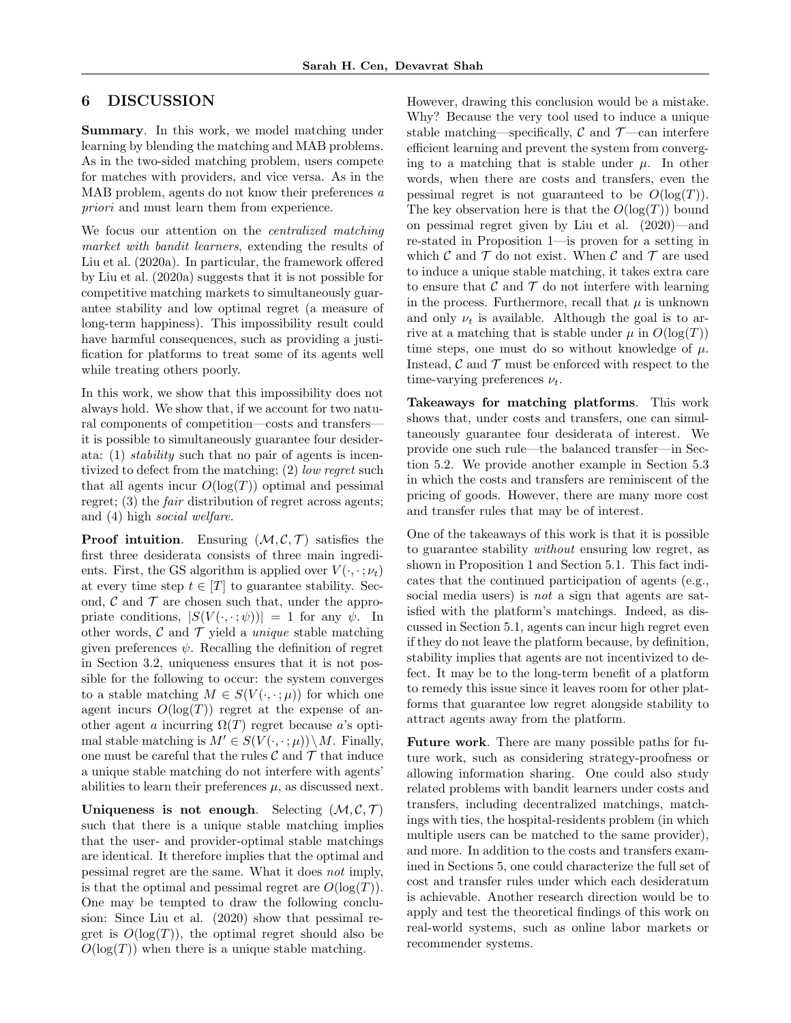## 6 DISCUSSION

Summary. In this work, we model matching under learning by blending the matching and MAB problems. As in the two-sided matching problem, users compete for matches with providers, and vice versa. As in the MAB problem, agents do not know their preferences a priori and must learn them from experience.

We focus our attention on the *centralized matching* market with bandit learners, extending the results of Liu et al. (2020a). In particular, the framework offered by Liu et al. (2020a) suggests that it is not possible for competitive matching markets to simultaneously guarantee stability and low optimal regret (a measure of long-term happiness). This impossibility result could have harmful consequences, such as providing a justification for platforms to treat some of its agents well while treating others poorly.

In this work, we show that this impossibility does not always hold. We show that, if we account for two natural components of competition—costs and transfers it is possible to simultaneously guarantee four desiderata: (1) stability such that no pair of agents is incentivized to defect from the matching; (2) low regret such that all agents incur  $O(\log(T))$  optimal and pessimal regret; (3) the *fair* distribution of regret across agents; and (4) high social welfare.

**Proof intuition.** Ensuring  $(M, \mathcal{C}, \mathcal{T})$  satisfies the first three desiderata consists of three main ingredients. First, the GS algorithm is applied over  $V(\cdot, \cdot; \nu_t)$ at every time step  $t \in [T]$  to guarantee stability. Second,  $\mathcal C$  and  $\mathcal T$  are chosen such that, under the appropriate conditions,  $|S(V(\cdot,\cdot;\psi))| = 1$  for any  $\psi$ . In other words,  $\mathcal C$  and  $\mathcal T$  yield a *unique* stable matching given preferences  $\psi$ . Recalling the definition of regret in Section 3.2, uniqueness ensures that it is not possible for the following to occur: the system converges to a stable matching  $M \in S(V(\cdot, \cdot; \mu))$  for which one agent incurs  $O(\log(T))$  regret at the expense of another agent a incurring  $\Omega(T)$  regret because a's optimal stable matching is  $M' \in S(V(\cdot, \cdot; \mu))\setminus M$ . Finally, one must be careful that the rules  $\mathcal C$  and  $\mathcal T$  that induce a unique stable matching do not interfere with agents' abilities to learn their preferences  $\mu$ , as discussed next.

Uniqueness is not enough. Selecting  $(M, \mathcal{C}, \mathcal{T})$ such that there is a unique stable matching implies that the user- and provider-optimal stable matchings are identical. It therefore implies that the optimal and pessimal regret are the same. What it does not imply, is that the optimal and pessimal regret are  $O(\log(T))$ . One may be tempted to draw the following conclusion: Since Liu et al. (2020) show that pessimal regret is  $O(\log(T))$ , the optimal regret should also be  $O(\log(T))$  when there is a unique stable matching.

However, drawing this conclusion would be a mistake. Why? Because the very tool used to induce a unique stable matching—specifically,  $\mathcal{C}$  and  $\mathcal{T}$ —can interfere efficient learning and prevent the system from converging to a matching that is stable under  $\mu$ . In other words, when there are costs and transfers, even the pessimal regret is not guaranteed to be  $O(\log(T))$ . The key observation here is that the  $O(\log(T))$  bound on pessimal regret given by Liu et al. (2020)—and re-stated in Proposition 1—is proven for a setting in which  $\mathcal C$  and  $\mathcal T$  do not exist. When  $\mathcal C$  and  $\mathcal T$  are used to induce a unique stable matching, it takes extra care to ensure that  $\mathcal C$  and  $\mathcal T$  do not interfere with learning in the process. Furthermore, recall that  $\mu$  is unknown and only  $\nu_t$  is available. Although the goal is to arrive at a matching that is stable under  $\mu$  in  $O(\log(T))$ time steps, one must do so without knowledge of  $\mu$ . Instead,  $\mathcal C$  and  $\mathcal T$  must be enforced with respect to the time-varying preferences  $\nu_t$ .

Takeaways for matching platforms. This work shows that, under costs and transfers, one can simultaneously guarantee four desiderata of interest. We provide one such rule—the balanced transfer—in Section 5.2. We provide another example in Section 5.3 in which the costs and transfers are reminiscent of the pricing of goods. However, there are many more cost and transfer rules that may be of interest.

One of the takeaways of this work is that it is possible to guarantee stability without ensuring low regret, as shown in Proposition 1 and Section 5.1. This fact indicates that the continued participation of agents (e.g., social media users) is *not* a sign that agents are satisfied with the platform's matchings. Indeed, as discussed in Section 5.1, agents can incur high regret even if they do not leave the platform because, by definition, stability implies that agents are not incentivized to defect. It may be to the long-term benefit of a platform to remedy this issue since it leaves room for other platforms that guarantee low regret alongside stability to attract agents away from the platform.

Future work. There are many possible paths for future work, such as considering strategy-proofness or allowing information sharing. One could also study related problems with bandit learners under costs and transfers, including decentralized matchings, matchings with ties, the hospital-residents problem (in which multiple users can be matched to the same provider), and more. In addition to the costs and transfers examined in Sections 5, one could characterize the full set of cost and transfer rules under which each desideratum is achievable. Another research direction would be to apply and test the theoretical findings of this work on real-world systems, such as online labor markets or recommender systems.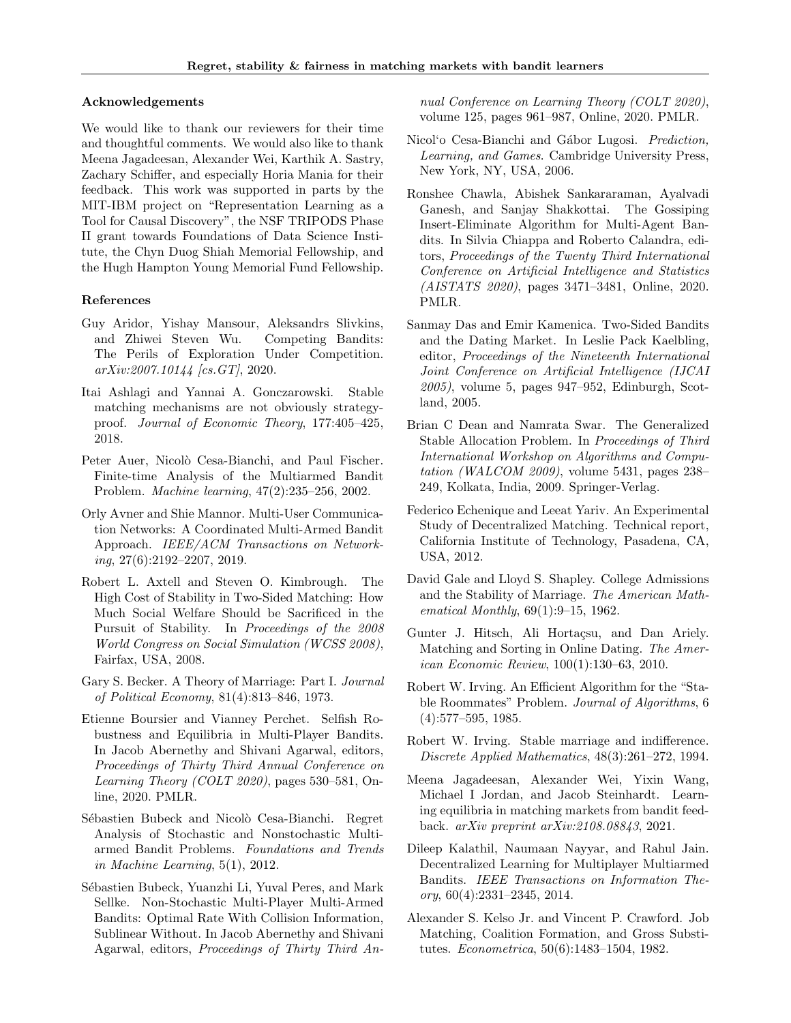#### Acknowledgements

We would like to thank our reviewers for their time and thoughtful comments. We would also like to thank Meena Jagadeesan, Alexander Wei, Karthik A. Sastry, Zachary Schiffer, and especially Horia Mania for their feedback. This work was supported in parts by the MIT-IBM project on "Representation Learning as a Tool for Causal Discovery", the NSF TRIPODS Phase II grant towards Foundations of Data Science Institute, the Chyn Duog Shiah Memorial Fellowship, and the Hugh Hampton Young Memorial Fund Fellowship.

#### References

- Guy Aridor, Yishay Mansour, Aleksandrs Slivkins, and Zhiwei Steven Wu. Competing Bandits: The Perils of Exploration Under Competition.  $arXiv:2007.10144$  [cs.  $GT$ ], 2020.
- Itai Ashlagi and Yannai A. Gonczarowski. Stable matching mechanisms are not obviously strategyproof. Journal of Economic Theory, 177:405–425, 2018.
- Peter Auer, Nicolò Cesa-Bianchi, and Paul Fischer. Finite-time Analysis of the Multiarmed Bandit Problem. Machine learning, 47(2):235–256, 2002.
- Orly Avner and Shie Mannor. Multi-User Communication Networks: A Coordinated Multi-Armed Bandit Approach. IEEE/ACM Transactions on Networking, 27(6):2192–2207, 2019.
- Robert L. Axtell and Steven O. Kimbrough. The High Cost of Stability in Two-Sided Matching: How Much Social Welfare Should be Sacrificed in the Pursuit of Stability. In Proceedings of the 2008 World Congress on Social Simulation (WCSS 2008), Fairfax, USA, 2008.
- Gary S. Becker. A Theory of Marriage: Part I. Journal of Political Economy, 81(4):813–846, 1973.
- Etienne Boursier and Vianney Perchet. Selfish Robustness and Equilibria in Multi-Player Bandits. In Jacob Abernethy and Shivani Agarwal, editors, Proceedings of Thirty Third Annual Conference on Learning Theory (COLT 2020), pages 530–581, Online, 2020. PMLR.
- Sébastien Bubeck and Nicolò Cesa-Bianchi. Regret Analysis of Stochastic and Nonstochastic Multiarmed Bandit Problems. Foundations and Trends in Machine Learning, 5(1), 2012.
- Sébastien Bubeck, Yuanzhi Li, Yuval Peres, and Mark Sellke. Non-Stochastic Multi-Player Multi-Armed Bandits: Optimal Rate With Collision Information, Sublinear Without. In Jacob Abernethy and Shivani Agarwal, editors, Proceedings of Thirty Third An-

nual Conference on Learning Theory (COLT 2020), volume 125, pages 961–987, Online, 2020. PMLR.

- Nicol'o Cesa-Bianchi and Gábor Lugosi. *Prediction*, Learning, and Games. Cambridge University Press, New York, NY, USA, 2006.
- Ronshee Chawla, Abishek Sankararaman, Ayalvadi Ganesh, and Sanjay Shakkottai. The Gossiping Insert-Eliminate Algorithm for Multi-Agent Bandits. In Silvia Chiappa and Roberto Calandra, editors, Proceedings of the Twenty Third International Conference on Artificial Intelligence and Statistics (AISTATS 2020), pages 3471–3481, Online, 2020. PMLR.
- Sanmay Das and Emir Kamenica. Two-Sided Bandits and the Dating Market. In Leslie Pack Kaelbling, editor, Proceedings of the Nineteenth International Joint Conference on Artificial Intelligence (IJCAI 2005), volume 5, pages 947–952, Edinburgh, Scotland, 2005.
- Brian C Dean and Namrata Swar. The Generalized Stable Allocation Problem. In Proceedings of Third International Workshop on Algorithms and Computation (WALCOM 2009), volume 5431, pages 238– 249, Kolkata, India, 2009. Springer-Verlag.
- Federico Echenique and Leeat Yariv. An Experimental Study of Decentralized Matching. Technical report, California Institute of Technology, Pasadena, CA, USA, 2012.
- David Gale and Lloyd S. Shapley. College Admissions and the Stability of Marriage. The American Mathematical Monthly, 69(1):9–15, 1962.
- Gunter J. Hitsch, Ali Hortaçsu, and Dan Ariely. Matching and Sorting in Online Dating. The American Economic Review, 100(1):130–63, 2010.
- Robert W. Irving. An Efficient Algorithm for the "Stable Roommates" Problem. Journal of Algorithms, 6 (4):577–595, 1985.
- Robert W. Irving. Stable marriage and indifference. Discrete Applied Mathematics, 48(3):261–272, 1994.
- Meena Jagadeesan, Alexander Wei, Yixin Wang, Michael I Jordan, and Jacob Steinhardt. Learning equilibria in matching markets from bandit feedback. arXiv preprint arXiv:2108.08843, 2021.
- Dileep Kalathil, Naumaan Nayyar, and Rahul Jain. Decentralized Learning for Multiplayer Multiarmed Bandits. IEEE Transactions on Information Theory, 60(4):2331–2345, 2014.
- Alexander S. Kelso Jr. and Vincent P. Crawford. Job Matching, Coalition Formation, and Gross Substitutes. Econometrica, 50(6):1483–1504, 1982.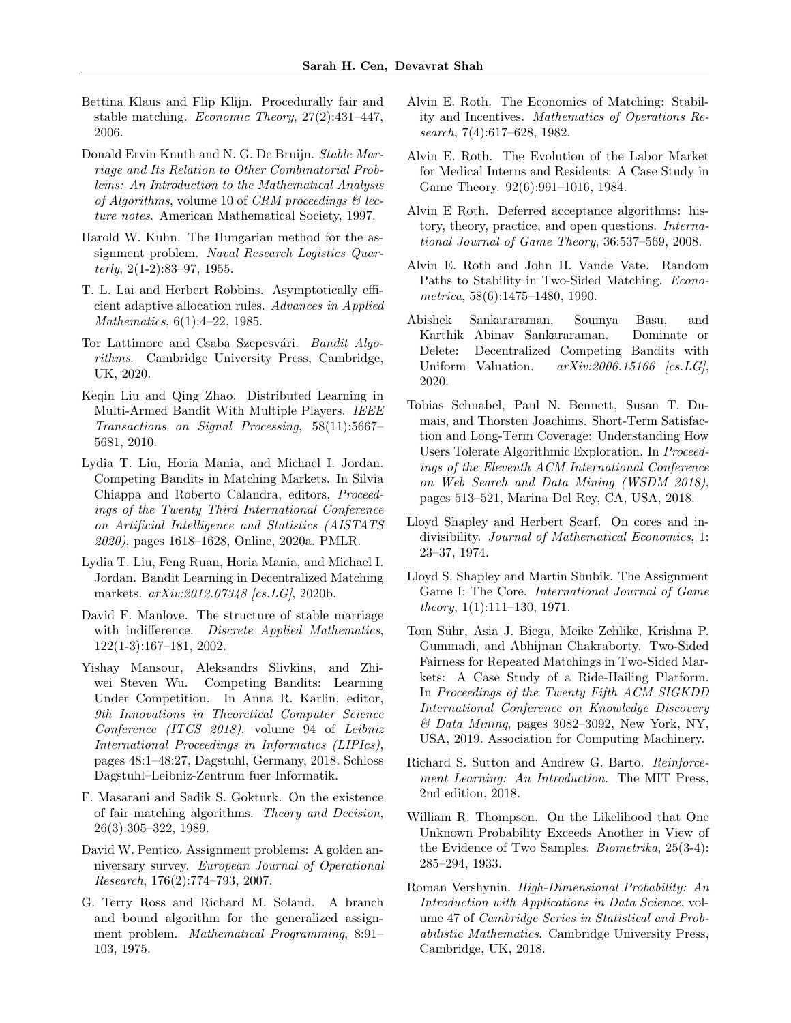- Bettina Klaus and Flip Klijn. Procedurally fair and stable matching. Economic Theory, 27(2):431–447, 2006.
- Donald Ervin Knuth and N. G. De Bruijn. Stable Marriage and Its Relation to Other Combinatorial Problems: An Introduction to the Mathematical Analysis of Algorithms, volume 10 of CRM proceedings  $\mathcal{C}'$  lecture notes. American Mathematical Society, 1997.
- Harold W. Kuhn. The Hungarian method for the assignment problem. Naval Research Logistics Quarterly,  $2(1-2):83-97, 1955.$
- T. L. Lai and Herbert Robbins. Asymptotically efficient adaptive allocation rules. Advances in Applied Mathematics, 6(1):4–22, 1985.
- Tor Lattimore and Csaba Szepesvári. Bandit Algorithms. Cambridge University Press, Cambridge, UK, 2020.
- Keqin Liu and Qing Zhao. Distributed Learning in Multi-Armed Bandit With Multiple Players. IEEE Transactions on Signal Processing, 58(11):5667– 5681, 2010.
- Lydia T. Liu, Horia Mania, and Michael I. Jordan. Competing Bandits in Matching Markets. In Silvia Chiappa and Roberto Calandra, editors, Proceedings of the Twenty Third International Conference on Artificial Intelligence and Statistics (AISTATS 2020), pages 1618–1628, Online, 2020a. PMLR.
- Lydia T. Liu, Feng Ruan, Horia Mania, and Michael I. Jordan. Bandit Learning in Decentralized Matching markets. arXiv:2012.07348 [cs.LG], 2020b.
- David F. Manlove. The structure of stable marriage with indifference. Discrete Applied Mathematics, 122(1-3):167–181, 2002.
- Yishay Mansour, Aleksandrs Slivkins, and Zhiwei Steven Wu. Competing Bandits: Learning Under Competition. In Anna R. Karlin, editor, 9th Innovations in Theoretical Computer Science Conference (ITCS 2018), volume 94 of Leibniz International Proceedings in Informatics (LIPIcs), pages 48:1–48:27, Dagstuhl, Germany, 2018. Schloss Dagstuhl–Leibniz-Zentrum fuer Informatik.
- F. Masarani and Sadik S. Gokturk. On the existence of fair matching algorithms. Theory and Decision, 26(3):305–322, 1989.
- David W. Pentico. Assignment problems: A golden anniversary survey. European Journal of Operational Research, 176(2):774–793, 2007.
- G. Terry Ross and Richard M. Soland. A branch and bound algorithm for the generalized assignment problem. Mathematical Programming, 8:91– 103, 1975.
- Alvin E. Roth. The Economics of Matching: Stability and Incentives. Mathematics of Operations Research, 7(4):617–628, 1982.
- Alvin E. Roth. The Evolution of the Labor Market for Medical Interns and Residents: A Case Study in Game Theory. 92(6):991–1016, 1984.
- Alvin E Roth. Deferred acceptance algorithms: history, theory, practice, and open questions. International Journal of Game Theory, 36:537–569, 2008.
- Alvin E. Roth and John H. Vande Vate. Random Paths to Stability in Two-Sided Matching. Econometrica, 58(6):1475–1480, 1990.
- Abishek Sankararaman, Soumya Basu, and Karthik Abinav Sankararaman. Dominate or Delete: Decentralized Competing Bandits with Uniform Valuation.  $arXiv:2006.15166$  [cs. LG], 2020.
- Tobias Schnabel, Paul N. Bennett, Susan T. Dumais, and Thorsten Joachims. Short-Term Satisfaction and Long-Term Coverage: Understanding How Users Tolerate Algorithmic Exploration. In Proceedings of the Eleventh ACM International Conference on Web Search and Data Mining (WSDM 2018), pages 513–521, Marina Del Rey, CA, USA, 2018.
- Lloyd Shapley and Herbert Scarf. On cores and indivisibility. Journal of Mathematical Economics, 1: 23–37, 1974.
- Lloyd S. Shapley and Martin Shubik. The Assignment Game I: The Core. International Journal of Game theory,  $1(1):111-130$ , 1971.
- Tom Sühr, Asia J. Biega, Meike Zehlike, Krishna P. Gummadi, and Abhijnan Chakraborty. Two-Sided Fairness for Repeated Matchings in Two-Sided Markets: A Case Study of a Ride-Hailing Platform. In Proceedings of the Twenty Fifth ACM SIGKDD International Conference on Knowledge Discovery  $& Data\ Mining$ , pages 3082–3092, New York, NY, USA, 2019. Association for Computing Machinery.
- Richard S. Sutton and Andrew G. Barto. Reinforcement Learning: An Introduction. The MIT Press, 2nd edition, 2018.
- William R. Thompson. On the Likelihood that One Unknown Probability Exceeds Another in View of the Evidence of Two Samples. Biometrika, 25(3-4): 285–294, 1933.
- Roman Vershynin. High-Dimensional Probability: An Introduction with Applications in Data Science, volume 47 of Cambridge Series in Statistical and Probabilistic Mathematics. Cambridge University Press, Cambridge, UK, 2018.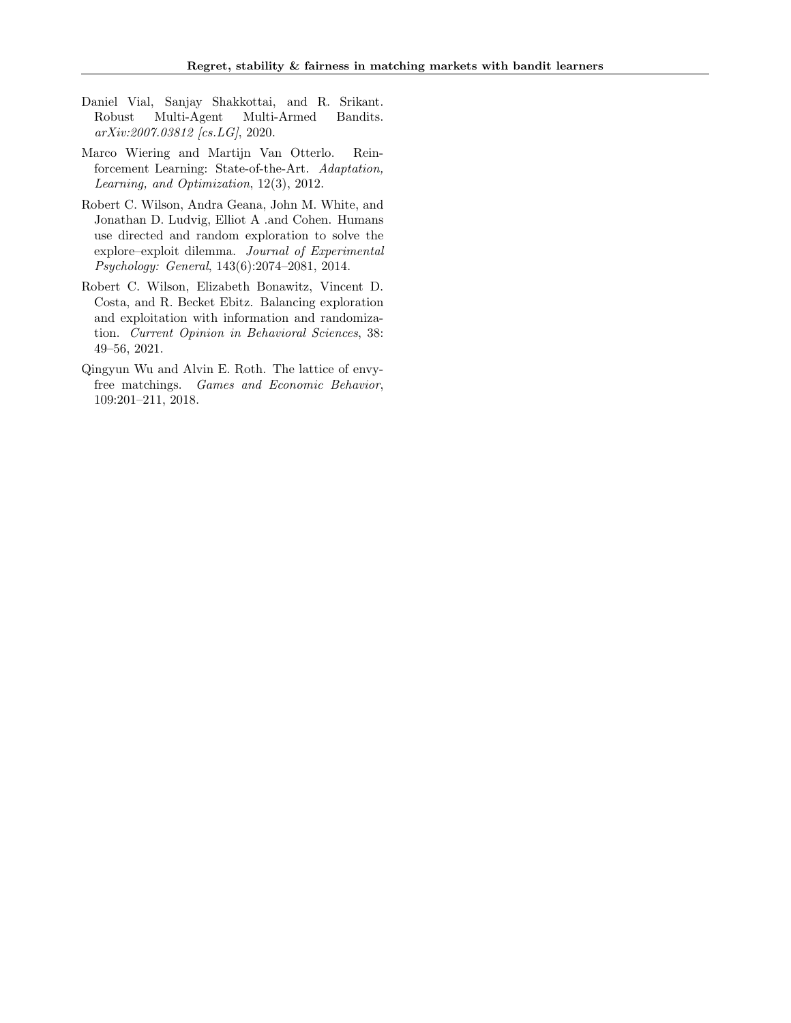- Daniel Vial, Sanjay Shakkottai, and R. Srikant. Robust Multi-Agent Multi-Armed Bandits. arXiv:2007.03812 [cs.LG], 2020.
- Marco Wiering and Martijn Van Otterlo. Reinforcement Learning: State-of-the-Art. Adaptation, Learning, and Optimization, 12(3), 2012.
- Robert C. Wilson, Andra Geana, John M. White, and Jonathan D. Ludvig, Elliot A .and Cohen. Humans use directed and random exploration to solve the explore–exploit dilemma. Journal of Experimental Psychology: General, 143(6):2074–2081, 2014.
- Robert C. Wilson, Elizabeth Bonawitz, Vincent D. Costa, and R. Becket Ebitz. Balancing exploration and exploitation with information and randomization. Current Opinion in Behavioral Sciences, 38: 49–56, 2021.
- Qingyun Wu and Alvin E. Roth. The lattice of envyfree matchings. Games and Economic Behavior, 109:201–211, 2018.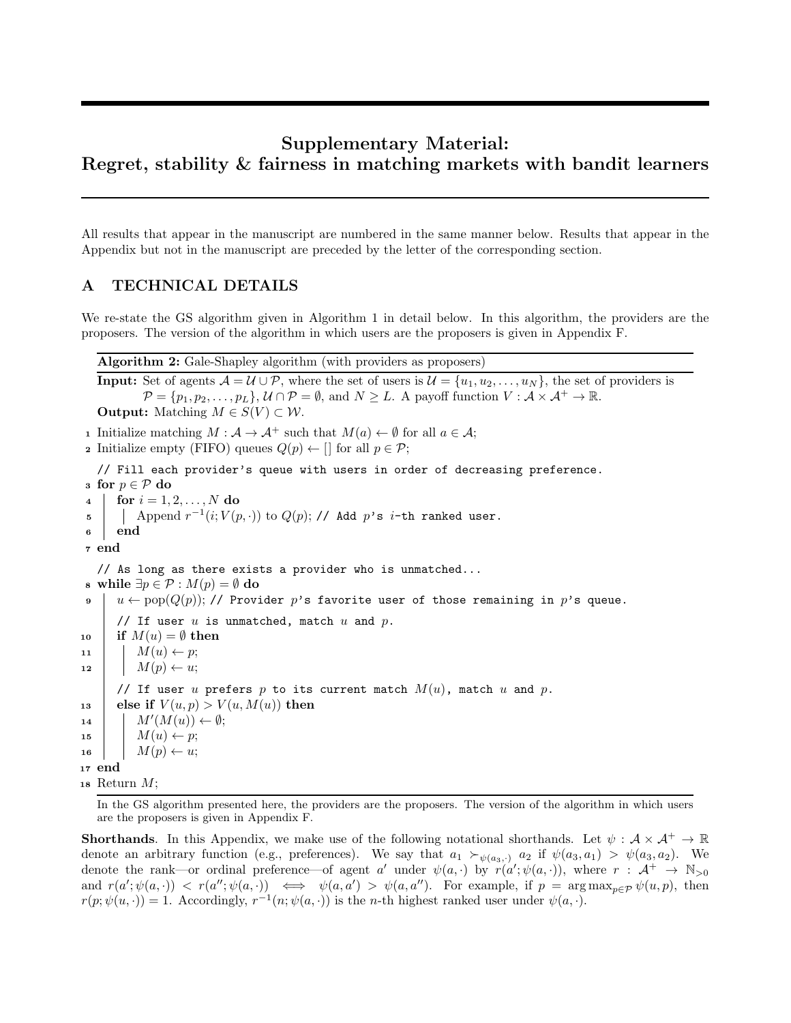# Supplementary Material: Regret, stability & fairness in matching markets with bandit learners

All results that appear in the manuscript are numbered in the same manner below. Results that appear in the Appendix but not in the manuscript are preceded by the letter of the corresponding section.

### A TECHNICAL DETAILS

We re-state the GS algorithm given in Algorithm 1 in detail below. In this algorithm, the providers are the proposers. The version of the algorithm in which users are the proposers is given in Appendix F.

Algorithm 2: Gale-Shapley algorithm (with providers as proposers)

**Input:** Set of agents  $\mathcal{A} = \mathcal{U} \cup \mathcal{P}$ , where the set of users is  $\mathcal{U} = \{u_1, u_2, \dots, u_N\}$ , the set of providers is  $\mathcal{P} = \{p_1, p_2, \ldots, p_L\}, \mathcal{U} \cap \mathcal{P} = \emptyset$ , and  $N \geq L$ . A payoff function  $V : \mathcal{A} \times \mathcal{A}^+ \to \mathbb{R}$ . **Output:** Matching  $M \in S(V) \subset W$ .

1 Initialize matching  $M : \mathcal{A} \to \mathcal{A}^+$  such that  $M(a) \leftarrow \emptyset$  for all  $a \in \mathcal{A}$ ;

**2** Initialize empty (FIFO) queues  $Q(p) \leftarrow \Box$  for all  $p \in \mathcal{P}$ ;

// Fill each provider's queue with users in order of decreasing preference.

```
3 for p \in \mathcal{P} do
 4 | for i = 1, 2, ..., N do
 \begin{array}{ll} \texttt{5} & | & \texttt{Append}\ r^{-1}(i;V(p,\cdot)) \text{ to } Q(p); \textit{// Add}\ p\text{'s }i\text{-th ranked user}. \end{array}6 end
 7 end
   // As long as there exists a provider who is unmatched...
 s while ∃p \in \mathcal{P} : M(p) = ∅ do
 9 u \leftarrow \text{pop}(Q(p)); // Provider p's favorite user of those remaining in p's queue.
       // If user u is unmatched, match u and p.
10 if M(u) = \emptyset then
11 M(u) \leftarrow p;12 M(p) \leftarrow u;// If user u prefers p to its current match M(u), match u and p.
13 else if V(u, p) > V(u, M(u)) then
14 \mid M'(M(u)) \leftarrow \emptyset;15 M(u) \leftarrow p;
16 M(p) \leftarrow u;17 end
18 Return M;
```
In the GS algorithm presented here, the providers are the proposers. The version of the algorithm in which users are the proposers is given in Appendix F.

**Shorthands.** In this Appendix, we make use of the following notational shorthands. Let  $\psi : \mathcal{A} \times \mathcal{A}^+ \to \mathbb{R}$ denote an arbitrary function (e.g., preferences). We say that  $a_1 \succ_{\psi(a_3,\cdot)} a_2$  if  $\psi(a_3,a_1) > \psi(a_3,a_2)$ . We denote the rank—or ordinal preference—of agent a' under  $\psi(a, \cdot)$  by  $r(a'; \psi(a, \cdot))$ , where  $r : A^+ \to \mathbb{N}_{>0}$ and  $r(a';\psi(a,\cdot)) \langle r(a'';\psi(a,\cdot)) \rangle \iff \psi(a,a') \rangle \langle \psi(a,a'') \rangle$ . For example, if  $p = \arg \max_{p \in \mathcal{P}} \psi(u,p)$ , then  $r(p; \psi(u, \cdot)) = 1$ . Accordingly,  $r^{-1}(n; \psi(a, \cdot))$  is the *n*-th highest ranked user under  $\psi(a, \cdot)$ .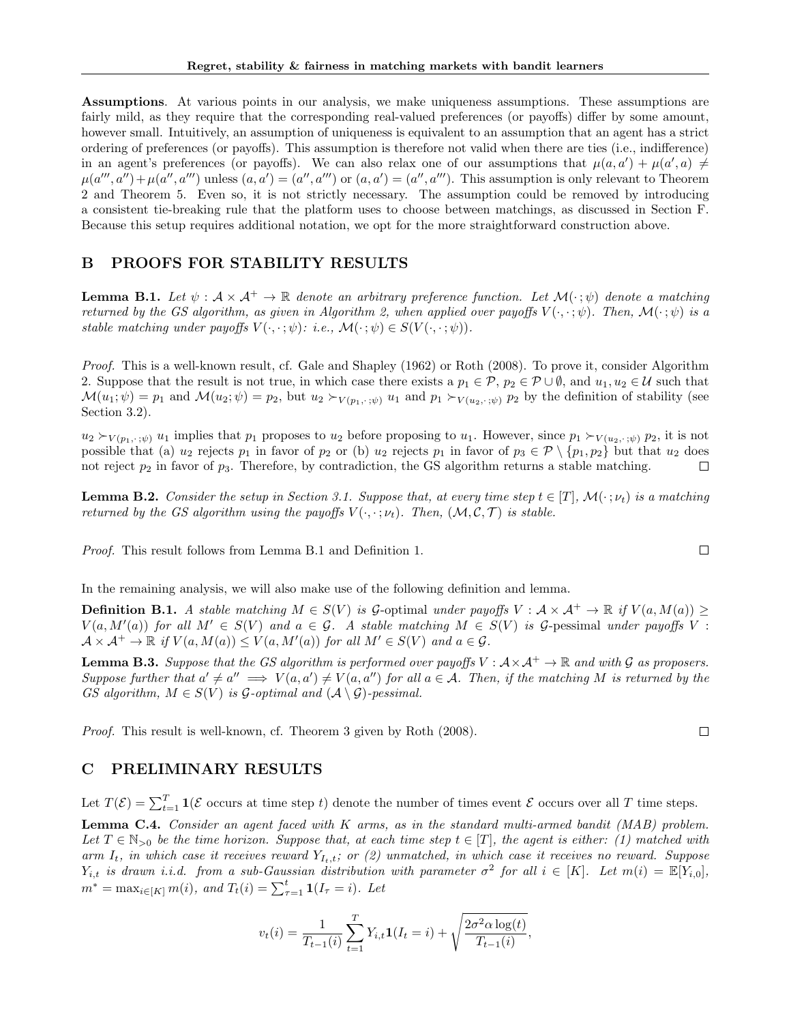Assumptions. At various points in our analysis, we make uniqueness assumptions. These assumptions are fairly mild, as they require that the corresponding real-valued preferences (or payoffs) differ by some amount, however small. Intuitively, an assumption of uniqueness is equivalent to an assumption that an agent has a strict ordering of preferences (or payoffs). This assumption is therefore not valid when there are ties (i.e., indifference) in an agent's preferences (or payoffs). We can also relax one of our assumptions that  $\mu(a, a') + \mu(a', a) \neq$  $\mu(a''',a'') + \mu(a'',a''')$  unless  $(a,a') = (a'',a''')$  or  $(a,a') = (a'',a''')$ . This assumption is only relevant to Theorem 2 and Theorem 5. Even so, it is not strictly necessary. The assumption could be removed by introducing a consistent tie-breaking rule that the platform uses to choose between matchings, as discussed in Section F. Because this setup requires additional notation, we opt for the more straightforward construction above.

# B PROOFS FOR STABILITY RESULTS

**Lemma B.1.** Let  $\psi : \mathcal{A} \times \mathcal{A}^+ \to \mathbb{R}$  denote an arbitrary preference function. Let  $\mathcal{M}(\cdot; \psi)$  denote a matching returned by the GS algorithm, as given in Algorithm 2, when applied over payoffs  $V(\cdot,\cdot;\psi)$ . Then,  $\mathcal{M}(\cdot;\psi)$  is a stable matching under payoffs  $V(\cdot, \cdot; \psi)$ : i.e.,  $\mathcal{M}(\cdot; \psi) \in S(V(\cdot, \cdot; \psi))$ .

Proof. This is a well-known result, cf. Gale and Shapley (1962) or Roth (2008). To prove it, consider Algorithm 2. Suppose that the result is not true, in which case there exists a  $p_1 \in \mathcal{P}$ ,  $p_2 \in \mathcal{P} \cup \emptyset$ , and  $u_1, u_2 \in \mathcal{U}$  such that  $\mathcal{M}(u_1; \psi) = p_1$  and  $\mathcal{M}(u_2; \psi) = p_2$ , but  $u_2 \succ_{V(p_1, \cdot; \psi)} u_1$  and  $p_1 \succ_{V(u_2, \cdot; \psi)} p_2$  by the definition of stability (see Section 3.2).

 $u_2 \succ_{V(p_1,\cdot;\psi)} u_1$  implies that  $p_1$  proposes to  $u_2$  before proposing to  $u_1$ . However, since  $p_1 \succ_{V(u_2,\cdot;\psi)} p_2$ , it is not possible that (a)  $u_2$  rejects  $p_1$  in favor of  $p_2$  or (b)  $u_2$  rejects  $p_1$  in favor of  $p_3 \in \mathcal{P} \setminus \{p_1, p_2\}$  but that  $u_2$  does not reject  $p_2$  in favor of  $p_3$ . Therefore, by contradiction, the GS algorithm returns a stable matching. П

**Lemma B.2.** Consider the setup in Section 3.1. Suppose that, at every time step  $t \in [T]$ ,  $\mathcal{M}(\cdot; \nu_t)$  is a matching returned by the GS algorithm using the payoffs  $V(\cdot, \cdot; \nu_t)$ . Then,  $(\mathcal{M}, \mathcal{C}, \mathcal{T})$  is stable.

Proof. This result follows from Lemma B.1 and Definition 1.

In the remaining analysis, we will also make use of the following definition and lemma.

**Definition B.1.** A stable matching  $M \in S(V)$  is G-optimal under payoffs  $V : \mathcal{A} \times \mathcal{A}^+ \to \mathbb{R}$  if  $V(a, M(a)) \geq$  $V(a, M'(a))$  for all  $M' \in S(V)$  and  $a \in \mathcal{G}$ . A stable matching  $M \in S(V)$  is  $\mathcal{G}$ -pessimal under payoffs V:  $\mathcal{A} \times \mathcal{A}^+ \to \mathbb{R}$  if  $V(a, M(a)) \leq V(a, M'(a))$  for all  $M' \in S(V)$  and  $a \in \mathcal{G}$ .

**Lemma B.3.** Suppose that the GS algorithm is performed over payoffs  $V : A \times A^+ \to \mathbb{R}$  and with G as proposers. Suppose further that  $a' \neq a'' \implies V(a,a') \neq V(a,a'')$  for all  $a \in \mathcal{A}$ . Then, if the matching M is returned by the GS algorithm,  $M \in S(V)$  is  $\mathcal G$ -optimal and  $(\mathcal A \setminus \mathcal G)$ -pessimal.

Proof. This result is well-known, cf. Theorem 3 given by Roth (2008).

### C PRELIMINARY RESULTS

Let  $T(\mathcal{E}) = \sum_{t=1}^{T} \mathbf{1}(\mathcal{E} \text{ occurs at time step } t)$  denote the number of times event  $\mathcal{E}$  occurs over all T time steps.

Lemma C.4. Consider an agent faced with K arms, as in the standard multi-armed bandit (MAB) problem. Let  $T \in \mathbb{N}_{>0}$  be the time horizon. Suppose that, at each time step  $t \in [T]$ , the agent is either: (1) matched with arm  $I_t$ , in which case it receives reward  $Y_{I_t,t}$ ; or (2) unmatched, in which case it receives no reward. Suppose  $Y_{i,t}$  is drawn i.i.d. from a sub-Gaussian distribution with parameter  $\sigma^2$  for all  $i \in [K]$ . Let  $m(i) = \mathbb{E}[Y_{i,0}],$  $m^* = \max_{i \in [K]} m(i)$ , and  $T_t(i) = \sum_{\tau=1}^t \mathbf{1}(I_\tau = i)$ . Let

$$
v_t(i) = \frac{1}{T_{t-1}(i)} \sum_{t=1}^T Y_{i,t} \mathbf{1}(I_t = i) + \sqrt{\frac{2\sigma^2 \alpha \log(t)}{T_{t-1}(i)}},
$$

 $\Box$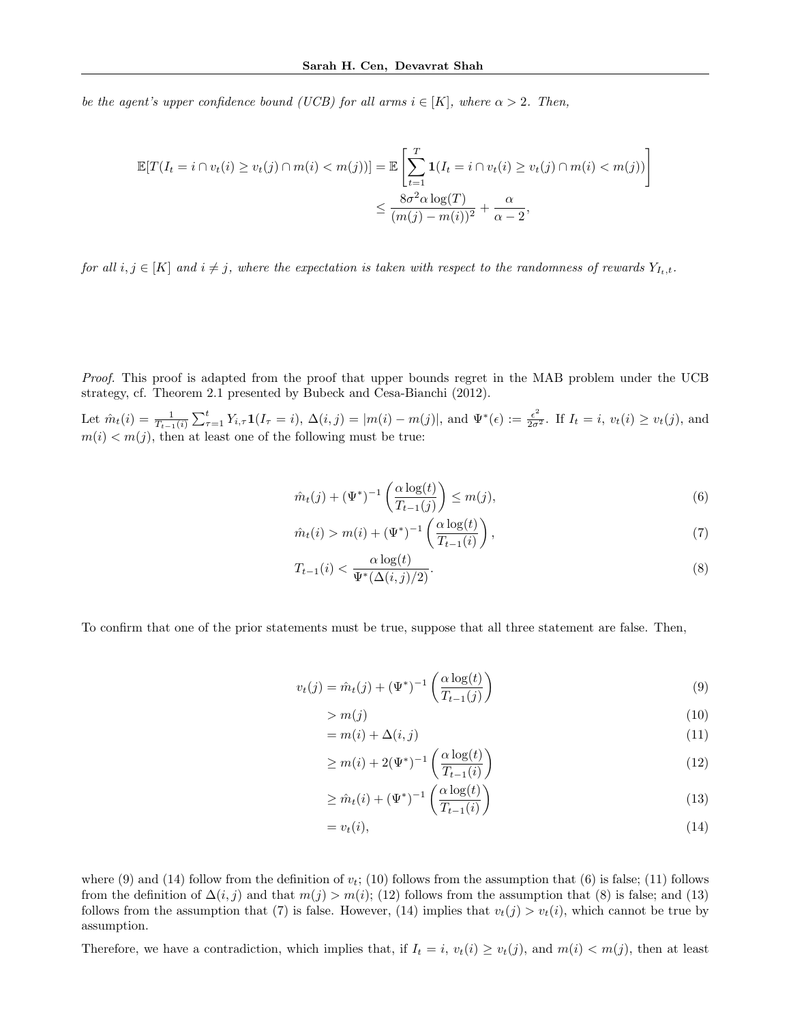be the agent's upper confidence bound (UCB) for all arms  $i \in [K]$ , where  $\alpha > 2$ . Then,

$$
\mathbb{E}[T(I_t = i \cap v_t(i) \ge v_t(j) \cap m(i) < m(j))] = \mathbb{E}\left[\sum_{t=1}^T \mathbf{1}(I_t = i \cap v_t(i) \ge v_t(j) \cap m(i) < m(j))\right] \le \frac{8\sigma^2 \alpha \log(T)}{(m(j) - m(i))^2} + \frac{\alpha}{\alpha - 2},
$$

for all  $i, j \in [K]$  and  $i \neq j$ , where the expectation is taken with respect to the randomness of rewards  $Y_{I_t,t}$ .

Proof. This proof is adapted from the proof that upper bounds regret in the MAB problem under the UCB strategy, cf. Theorem 2.1 presented by Bubeck and Cesa-Bianchi (2012).

Let  $\hat{m}_t(i) = \frac{1}{T_{t-1}(i)} \sum_{\tau=1}^t Y_{i,\tau} \mathbf{1}(I_\tau = i), \Delta(i,j) = |m(i) - m(j)|$ , and  $\Psi^*(\epsilon) := \frac{\epsilon^2}{2\sigma^2}$ . If  $I_t = i$ ,  $v_t(i) \ge v_t(j)$ , and  $m(i) < m(j)$ , then at least one of the following must be true:

$$
\hat{m}_t(j) + (\Psi^*)^{-1} \left( \frac{\alpha \log(t)}{T_{t-1}(j)} \right) \le m(j),\tag{6}
$$

$$
\hat{m}_t(i) > m(i) + (\Psi^*)^{-1} \left( \frac{\alpha \log(t)}{T_{t-1}(i)} \right),\tag{7}
$$

$$
T_{t-1}(i) < \frac{\alpha \log(t)}{\Psi^*(\Delta(i,j)/2)}.\tag{8}
$$

To confirm that one of the prior statements must be true, suppose that all three statement are false. Then,

$$
v_t(j) = \hat{m}_t(j) + (\Psi^*)^{-1} \left( \frac{\alpha \log(t)}{T_{t-1}(j)} \right)
$$
\n(9)

$$
> m(j) \tag{10}
$$

$$
= m(i) + \Delta(i, j) \tag{11}
$$

$$
\geq m(i) + 2(\Psi^*)^{-1} \left( \frac{\alpha \log(t)}{T_{t-1}(i)} \right) \tag{12}
$$

$$
\geq \hat{m}_t(i) + (\Psi^*)^{-1} \left( \frac{\alpha \log(t)}{T_{t-1}(i)} \right) \tag{13}
$$

$$
=v_t(i),\tag{14}
$$

where (9) and (14) follow from the definition of  $v_t$ ; (10) follows from the assumption that (6) is false; (11) follows from the definition of  $\Delta(i, j)$  and that  $m(j) > m(i)$ ; (12) follows from the assumption that (8) is false; and (13) follows from the assumption that (7) is false. However, (14) implies that  $v_t(j) > v_t(i)$ , which cannot be true by assumption.

Therefore, we have a contradiction, which implies that, if  $I_t = i$ ,  $v_t(i) \ge v_t(j)$ , and  $m(i) < m(j)$ , then at least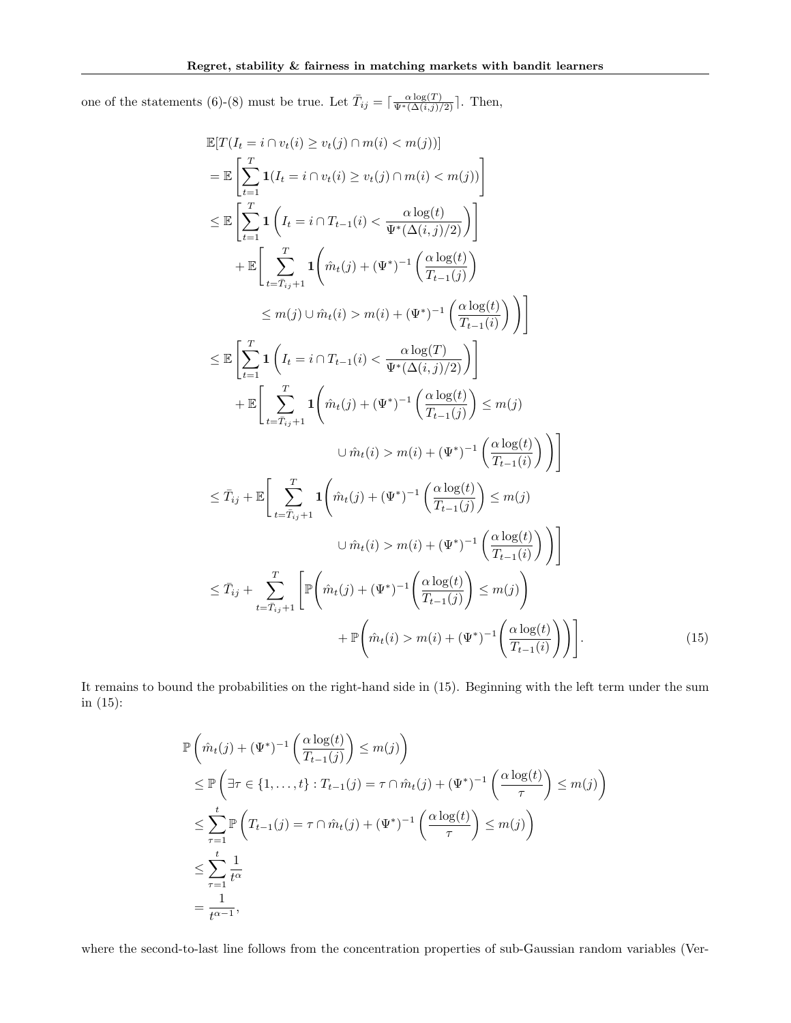one of the statements (6)-(8) must be true. Let  $\overline{T}_{ij} = \lceil \frac{\alpha \log(T)}{\Psi^*(\Delta(i,j)/2)} \rceil$ . Then,

$$
\mathbb{E}[T(I_t = i \cap v_t(i) \ge v_t(j) \cap m(i) < m(j))] \n= \mathbb{E}\left[\sum_{t=1}^T \mathbf{1}(I_t = i \cap v_t(i) \ge v_t(j) \cap m(i) < m(j))\right] \n\le \mathbb{E}\left[\sum_{t=1}^T \mathbf{1}\left(I_t = i \cap T_{t-1}(i) < \frac{\alpha \log(t)}{\Psi^*(\Delta(i,j)/2)}\right)\right] \n+ \mathbb{E}\left[\sum_{t=T_{ij}+1}^T \mathbf{1}\left(\hat{m}_t(j) + (\Psi^*)^{-1}\left(\frac{\alpha \log(t)}{T_{t-1}(j)}\right)\right) \n\le m(j) \cup \hat{m}_t(i) > m(i) + (\Psi^*)^{-1}\left(\frac{\alpha \log(t)}{T_{t-1}(i)}\right)\right)\right] \n\le \mathbb{E}\left[\sum_{t=1}^T \mathbf{1}\left(I_t = i \cap T_{t-1}(i) < \frac{\alpha \log(T)}{\Psi^*(\Delta(i,j)/2)}\right)\right] \n+ \mathbb{E}\left[\sum_{t=T_{ij}+1}^T \mathbf{1}\left(\hat{m}_t(j) + (\Psi^*)^{-1}\left(\frac{\alpha \log(t)}{T_{t-1}(j)}\right) \le m(j) \right) \n\cup \hat{m}_t(i) > m(i) + (\Psi^*)^{-1}\left(\frac{\alpha \log(t)}{T_{t-1}(i)}\right)\right)\right] \n\le \hat{T}_{ij} + \mathbb{E}\left[\sum_{t=T_{ij}+1}^T \mathbf{1}\left(\hat{m}_t(j) + (\Psi^*)^{-1}\left(\frac{\alpha \log(t)}{T_{t-1}(j)}\right) \le m(j) \right) \n\cup \hat{m}_t(i) > m(i) + (\Psi^*)^{-1}\left(\frac{\alpha \log(t)}{T_{t-1}(i)}\right)\right)\right] \n\le \hat{T}_{ij} + \sum_{t=T_{ij}+1}^T \mathbb{P}\left(\hat{m}_t(j) + (\Psi^*)^{-1}\left(\frac{\alpha \log(t)}{T_{t-1}(j)}\right) \le m(j) \n+ \mathbb{P}\left(\hat{m}_t(i) > m(i) + (\Psi^*)^{-1}\left(\frac{\alpha \log(t)}{T_{t-1}(i)}\right)\right).
$$

It remains to bound the probabilities on the right-hand side in (15). Beginning with the left term under the sum in (15):

$$
\mathbb{P}\left(\hat{m}_t(j) + (\Psi^*)^{-1}\left(\frac{\alpha \log(t)}{T_{t-1}(j)}\right) \leq m(j)\right)
$$
\n
$$
\leq \mathbb{P}\left(\exists \tau \in \{1, \ldots, t\} : T_{t-1}(j) = \tau \cap \hat{m}_t(j) + (\Psi^*)^{-1}\left(\frac{\alpha \log(t)}{\tau}\right) \leq m(j)\right)
$$
\n
$$
\leq \sum_{\tau=1}^t \mathbb{P}\left(T_{t-1}(j) = \tau \cap \hat{m}_t(j) + (\Psi^*)^{-1}\left(\frac{\alpha \log(t)}{\tau}\right) \leq m(j)\right)
$$
\n
$$
\leq \sum_{\tau=1}^t \frac{1}{t^{\alpha}}
$$
\n
$$
= \frac{1}{t^{\alpha-1}},
$$

where the second-to-last line follows from the concentration properties of sub-Gaussian random variables (Ver-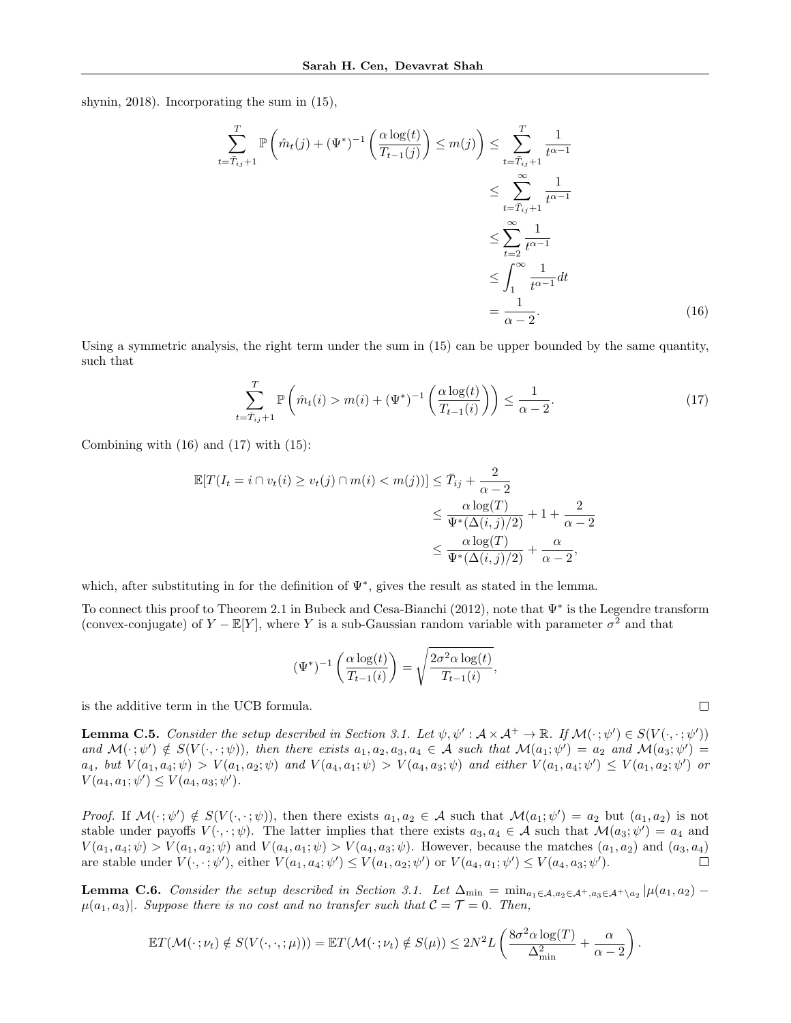shynin, 2018). Incorporating the sum in (15),

$$
\sum_{t=\bar{T}_{ij}+1}^{T} \mathbb{P}\left(\hat{m}_t(j) + (\Psi^*)^{-1}\left(\frac{\alpha \log(t)}{T_{t-1}(j)}\right) \le m(j)\right) \le \sum_{t=\bar{T}_{ij}+1}^{T} \frac{1}{t^{\alpha-1}}
$$
\n
$$
\le \sum_{t=\bar{T}_{ij}+1}^{\infty} \frac{1}{t^{\alpha-1}}
$$
\n
$$
\le \sum_{t=2}^{\infty} \frac{1}{t^{\alpha-1}}
$$
\n
$$
\le \int_{1}^{\infty} \frac{1}{t^{\alpha-1}} dt
$$
\n
$$
= \frac{1}{\alpha-2}.
$$
\n(16)

Using a symmetric analysis, the right term under the sum in (15) can be upper bounded by the same quantity, such that

$$
\sum_{t=\overline{T}_{ij}+1}^{T} \mathbb{P}\left(\hat{m}_t(i) > m(i) + (\Psi^*)^{-1}\left(\frac{\alpha \log(t)}{T_{t-1}(i)}\right)\right) \le \frac{1}{\alpha - 2}.\tag{17}
$$

Combining with  $(16)$  and  $(17)$  with  $(15)$ :

$$
\mathbb{E}[T(I_t = i \cap v_t(i) \ge v_t(j) \cap m(i) < m(j))] \le \bar{T}_{ij} + \frac{2}{\alpha - 2} \\
 \le \frac{\alpha \log(T)}{\Psi^*(\Delta(i, j)/2)} + 1 + \frac{2}{\alpha - 2} \\
 \le \frac{\alpha \log(T)}{\Psi^*(\Delta(i, j)/2)} + \frac{\alpha}{\alpha - 2},
$$

which, after substituting in for the definition of  $\Psi^*$ , gives the result as stated in the lemma.

To connect this proof to Theorem 2.1 in Bubeck and Cesa-Bianchi (2012), note that Ψ<sup>∗</sup> is the Legendre transform (convex-conjugate) of  $Y - \mathbb{E}[Y]$ , where Y is a sub-Gaussian random variable with parameter  $\sigma^2$  and that

$$
(\Psi^*)^{-1}\left(\frac{\alpha \log(t)}{T_{t-1}(i)}\right) = \sqrt{\frac{2\sigma^2 \alpha \log(t)}{T_{t-1}(i)}},
$$

is the additive term in the UCB formula.

**Lemma C.5.** Consider the setup described in Section 3.1. Let  $\psi, \psi': \mathcal{A} \times \mathcal{A}^+ \to \mathbb{R}$ . If  $\mathcal{M}(\cdot; \psi') \in S(V(\cdot, \cdot; \psi'))$ and  $\mathcal{M}(\cdot; \psi') \notin S(V(\cdot, \cdot; \psi))$ , then there exists  $a_1, a_2, a_3, a_4 \in \mathcal{A}$  such that  $\mathcal{M}(a_1; \psi') = a_2$  and  $\mathcal{M}(a_3; \psi') = a_3$  $a_4$ , but  $V(a_1, a_4; \psi) > V(a_1, a_2; \psi)$  and  $V(a_4, a_1; \psi) > V(a_4, a_3; \psi)$  and either  $V(a_1, a_4; \psi') \leq V(a_1, a_2; \psi')$  or  $V(a_4, a_1; \psi') \leq V(a_4, a_3; \psi').$ 

Proof. If  $\mathcal{M}(\cdot; \psi') \notin S(V(\cdot, \cdot; \psi))$ , then there exists  $a_1, a_2 \in \mathcal{A}$  such that  $\mathcal{M}(a_1; \psi') = a_2$  but  $(a_1, a_2)$  is not stable under payoffs  $V(\cdot, \cdot; \psi)$ . The latter implies that there exists  $a_3, a_4 \in \mathcal{A}$  such that  $\mathcal{M}(a_3; \psi') = a_4$  and  $V(a_1, a_4; \psi) > V(a_1, a_2; \psi)$  and  $V(a_4, a_1; \psi) > V(a_4, a_3; \psi)$ . However, because the matches  $(a_1, a_2)$  and  $(a_3, a_4)$ are stable under  $V(\cdot, \cdot; \psi')$ , either  $V(a_1, a_4; \psi') \leq V(a_1, a_2; \psi')$  or  $V(a_4, a_1; \psi') \leq V(a_4, a_3; \psi')$ . □

**Lemma C.6.** Consider the setup described in Section 3.1. Let  $\Delta_{\min} = \min_{a_1 \in A, a_2 \in A^+, a_3 \in A^+ \setminus a_2} |\mu(a_1, a_2) - \mu(a_2, a_3)|$  $\mu(a_1, a_3)$ . Suppose there is no cost and no transfer such that  $\mathcal{C} = \mathcal{T} = 0$ . Then,

$$
\mathbb{E}T(\mathcal{M}(\cdot\,;\nu_t)\notin S(V(\cdot,\cdot,\cdot;\mu)))=\mathbb{E}T(\mathcal{M}(\cdot\,;\nu_t)\notin S(\mu))\leq 2N^2L\left(\frac{8\sigma^2\alpha\log(T)}{\Delta_{\min}^2}+\frac{\alpha}{\alpha-2}\right).
$$

 $\Box$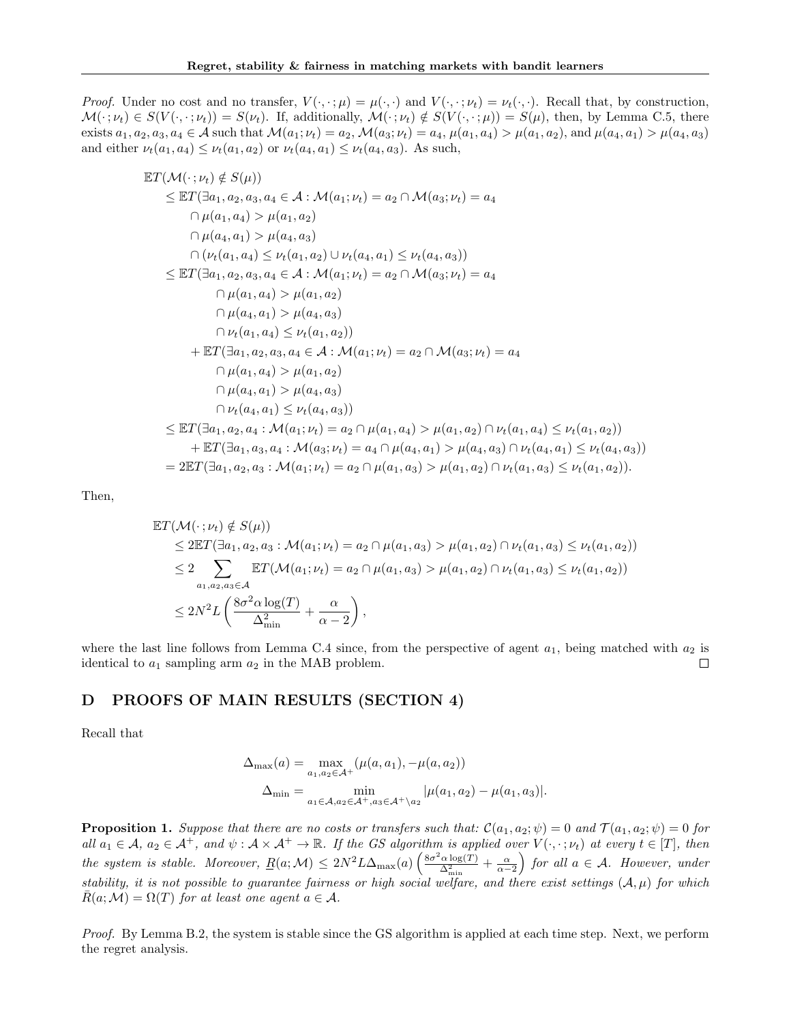*Proof.* Under no cost and no transfer,  $V(\cdot, \cdot; \mu) = \mu(\cdot, \cdot)$  and  $V(\cdot, \cdot; \nu_t) = \nu_t(\cdot, \cdot)$ . Recall that, by construction,  $\mathcal{M}(\cdot; \nu_t) \in S(V(\cdot, \cdot; \nu_t)) = S(\nu_t)$ . If, additionally,  $\mathcal{M}(\cdot; \nu_t) \notin S(V(\cdot, \cdot; \mu)) = S(\mu)$ , then, by Lemma C.5, there exists  $a_1, a_2, a_3, a_4 \in \mathcal{A}$  such that  $\mathcal{M}(a_1; \nu_t) = a_2, \mathcal{M}(a_3; \nu_t) = a_4, \mu(a_1, a_4) > \mu(a_1, a_2)$ , and  $\mu(a_4, a_1) > \mu(a_4, a_3)$ and either  $\nu_t(a_1, a_4) \leq \nu_t(a_1, a_2)$  or  $\nu_t(a_4, a_1) \leq \nu_t(a_4, a_3)$ . As such,

$$
\mathbb{E}T(\mathcal{M}(\cdot; \nu_{t}) \notin S(\mu))
$$
\n
$$
\leq \mathbb{E}T(\exists a_{1}, a_{2}, a_{3}, a_{4} \in \mathcal{A} : \mathcal{M}(a_{1}; \nu_{t}) = a_{2} \cap \mathcal{M}(a_{3}; \nu_{t}) = a_{4}
$$
\n
$$
\cap \mu(a_{1}, a_{4}) > \mu(a_{1}, a_{2})
$$
\n
$$
\cap \mu(a_{4}, a_{1}) > \mu(a_{4}, a_{3})
$$
\n
$$
\cap (\nu_{t}(a_{1}, a_{4}) \leq \nu_{t}(a_{1}, a_{2}) \cup \nu_{t}(a_{4}, a_{1}) \leq \nu_{t}(a_{4}, a_{3}))
$$
\n
$$
\leq \mathbb{E}T(\exists a_{1}, a_{2}, a_{3}, a_{4} \in \mathcal{A} : \mathcal{M}(a_{1}; \nu_{t}) = a_{2} \cap \mathcal{M}(a_{3}; \nu_{t}) = a_{4}
$$
\n
$$
\cap \mu(a_{1}, a_{4}) > \mu(a_{1}, a_{2})
$$
\n
$$
\cap \mu(a_{4}, a_{1}) > \mu(a_{4}, a_{3})
$$
\n
$$
\cap \nu_{t}(a_{1}, a_{4}) \leq \nu_{t}(a_{1}, a_{2}))
$$
\n
$$
+ \mathbb{E}T(\exists a_{1}, a_{2}, a_{3}, a_{4} \in \mathcal{A} : \mathcal{M}(a_{1}; \nu_{t}) = a_{2} \cap \mathcal{M}(a_{3}; \nu_{t}) = a_{4}
$$
\n
$$
\cap \mu(a_{1}, a_{4}) > \mu(a_{1}, a_{2})
$$
\n
$$
\cap \mu(a_{4}, a_{1}) > \mu(a_{4}, a_{3})
$$
\n
$$
\cap \nu_{t}(a_{4}, a_{1}) \leq \nu_{t}(a_{4}, a_{3})
$$
\n
$$
\cap \nu_{t}(a_{4}, a_{1}) \leq \nu_{t}(a_{4}, a_{3})
$$
\n
$$
+ \mathbb{E}T(\exists a_{1}, a_{2}, a_{4} : \mathcal{M}(a_{1}; \nu_{t}) = a_{2} \cap \mu(a_{1}, a_{4}) > \mu(a_{4}, a_{3}) \cap \nu_{t}(a_{4}, a_{1
$$

Then,

$$
\mathbb{E}T(\mathcal{M}(\cdot;\nu_t) \notin S(\mu))
$$
\n
$$
\leq 2\mathbb{E}T(\exists a_1, a_2, a_3 : \mathcal{M}(a_1; \nu_t) = a_2 \cap \mu(a_1, a_3) > \mu(a_1, a_2) \cap \nu_t(a_1, a_3) \leq \nu_t(a_1, a_2))
$$
\n
$$
\leq 2 \sum_{a_1, a_2, a_3 \in \mathcal{A}} \mathbb{E}T(\mathcal{M}(a_1; \nu_t) = a_2 \cap \mu(a_1, a_3) > \mu(a_1, a_2) \cap \nu_t(a_1, a_3) \leq \nu_t(a_1, a_2))
$$
\n
$$
\leq 2N^2 L\left(\frac{8\sigma^2 \alpha \log(T)}{\Delta_{\min}^2} + \frac{\alpha}{\alpha - 2}\right),
$$

where the last line follows from Lemma C.4 since, from the perspective of agent  $a_1$ , being matched with  $a_2$  is identical to  $a_1$  sampling arm  $a_2$  in the MAB problem. П

### D PROOFS OF MAIN RESULTS (SECTION 4)

Recall that

$$
\Delta_{\max}(a) = \max_{a_1, a_2 \in \mathcal{A}^+} (\mu(a, a_1), -\mu(a, a_2))
$$
  

$$
\Delta_{\min} = \min_{a_1 \in \mathcal{A}, a_2 \in \mathcal{A}^+, a_3 \in \mathcal{A}^+ \setminus a_2} |\mu(a_1, a_2) - \mu(a_1, a_3)|.
$$

**Proposition 1.** Suppose that there are no costs or transfers such that:  $\mathcal{C}(a_1, a_2; \psi) = 0$  and  $\mathcal{T}(a_1, a_2; \psi) = 0$  for all  $a_1 \in \mathcal{A}, a_2 \in \mathcal{A}^+$ , and  $\psi : \mathcal{A} \times \mathcal{A}^+ \to \mathbb{R}$ . If the GS algorithm is applied over  $V(\cdot, \cdot; \nu_t)$  at every  $t \in [T]$ , then the system is stable. Moreover,  $\underline{R}(a; \mathcal{M}) \leq 2N^2 L \Delta_{\max}(a) \left( \frac{8\sigma^2 \alpha \log(T)}{\Delta^2} \right)$  $\frac{\Delta^2 \log(T)}{\Delta^2_{\min}} + \frac{\alpha}{\alpha - 2}$  for all  $a \in \mathcal{A}$ . However, under stability, it is not possible to guarantee fairness or high social welfare, and there exist settings  $(A, \mu)$  for which  $\bar{R}(a;\mathcal{M}) = \Omega(T)$  for at least one agent  $a \in \mathcal{A}$ .

Proof. By Lemma B.2, the system is stable since the GS algorithm is applied at each time step. Next, we perform the regret analysis.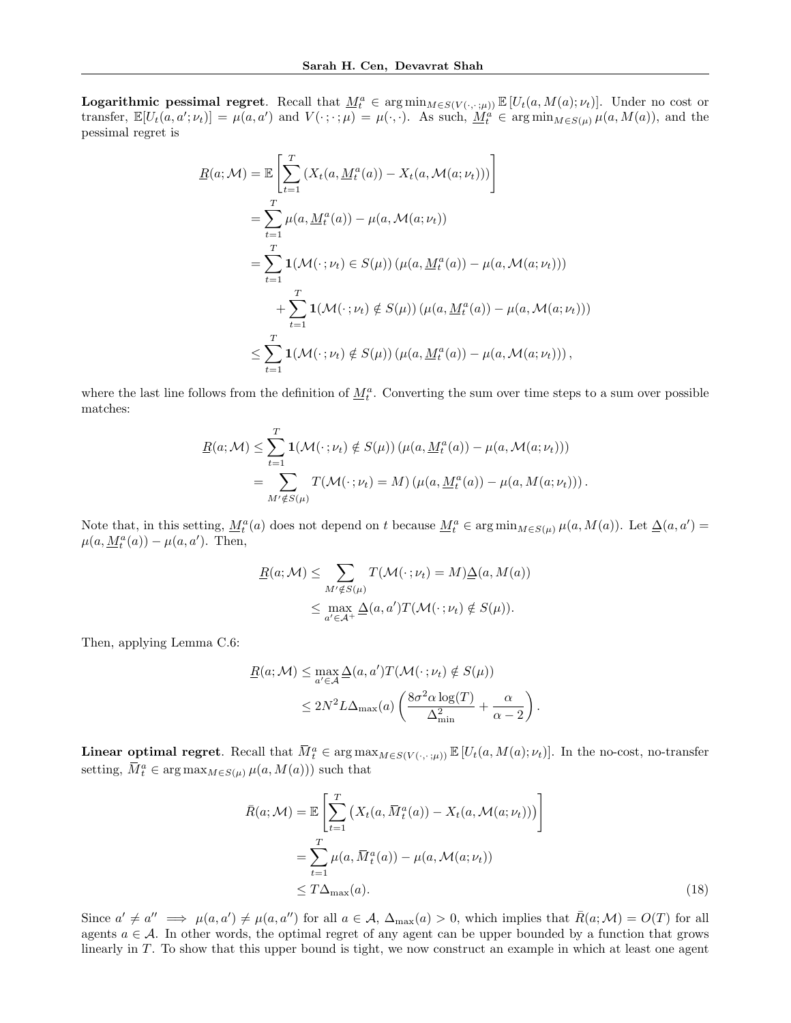**Logarithmic pessimal regret.** Recall that  $\underline{M}_t^a \in \arg \min_{M \in S(V(\cdot, \cdot; \mu))} \mathbb{E}[U_t(a, M(a); \nu_t)].$  Under no cost or transfer,  $\mathbb{E}[U_t(a, a'; \nu_t)] = \mu(a, a')$  and  $V(\cdot; \cdot; \mu) = \mu(\cdot, \cdot)$ . As such,  $\underline{M}_t^a \in \arg \min_{M \in S(\mu)} \mu(a, M(a))$ , and the pessimal regret is

$$
R(a; \mathcal{M}) = \mathbb{E} \left[ \sum_{t=1}^{T} \left( X_t(a, \underline{M}_t^a(a)) - X_t(a, \mathcal{M}(a; \nu_t)) \right) \right]
$$
  
\n
$$
= \sum_{t=1}^{T} \mu(a, \underline{M}_t^a(a)) - \mu(a, \mathcal{M}(a; \nu_t))
$$
  
\n
$$
= \sum_{t=1}^{T} \mathbf{1}(\mathcal{M}(\cdot; \nu_t) \in S(\mu)) \left( \mu(a, \underline{M}_t^a(a)) - \mu(a, \mathcal{M}(a; \nu_t)) \right)
$$
  
\n
$$
+ \sum_{t=1}^{T} \mathbf{1}(\mathcal{M}(\cdot; \nu_t) \notin S(\mu)) \left( \mu(a, \underline{M}_t^a(a)) - \mu(a, \mathcal{M}(a; \nu_t)) \right)
$$
  
\n
$$
\leq \sum_{t=1}^{T} \mathbf{1}(\mathcal{M}(\cdot; \nu_t) \notin S(\mu)) \left( \mu(a, \underline{M}_t^a(a)) - \mu(a, \mathcal{M}(a; \nu_t)) \right),
$$

where the last line follows from the definition of  $\underline{M}^a_t$ . Converting the sum over time steps to a sum over possible matches:

$$
\underline{R}(a; \mathcal{M}) \leq \sum_{t=1}^{T} \mathbf{1}(\mathcal{M}(\cdot; \nu_t) \notin S(\mu)) \left( \mu(a, \underline{M}_t^a(a)) - \mu(a, \mathcal{M}(a; \nu_t)) \right)
$$
  
= 
$$
\sum_{M' \notin S(\mu)} T(\mathcal{M}(\cdot; \nu_t) = M) \left( \mu(a, \underline{M}_t^a(a)) - \mu(a, M(a; \nu_t)) \right).
$$

Note that, in this setting,  $\underline{M}_t^a(a)$  does not depend on t because  $\underline{M}_t^a \in \arg \min_{M \in S(\mu)} \mu(a, M(a))$ . Let  $\underline{\Delta}(a, a') =$  $\mu(a, \underline{M}_t^a(a)) - \mu(a, a')$ . Then,

$$
\underline{R}(a; \mathcal{M}) \leq \sum_{M' \notin S(\mu)} T(\mathcal{M}(\cdot; \nu_t) = M) \underline{\Delta}(a, M(a))
$$
  

$$
\leq \max_{a' \in \mathcal{A}^+} \underline{\Delta}(a, a') T(\mathcal{M}(\cdot; \nu_t) \notin S(\mu)).
$$

Then, applying Lemma C.6:

$$
\underline{R}(a; \mathcal{M}) \leq \max_{a' \in \mathcal{A}} \underline{\Delta}(a, a') T(\mathcal{M}(\cdot; \nu_t) \notin S(\mu))
$$
  

$$
\leq 2N^2 L \Delta_{\max}(a) \left( \frac{8\sigma^2 \alpha \log(T)}{\Delta_{\min}^2} + \frac{\alpha}{\alpha - 2} \right)
$$

**Linear optimal regret.** Recall that  $\overline{M}_t^a \in \arg \max_{M \in S(V(\cdot, \cdot; \mu))} \mathbb{E}[U_t(a, M(a); \nu_t)].$  In the no-cost, no-transfer setting,  $\bar{M}_t^a \in \arg \max_{M \in S(\mu)} \mu(a, M(a))$  such that

$$
\bar{R}(a; \mathcal{M}) = \mathbb{E}\left[\sum_{t=1}^{T} \left(X_t(a, \bar{M}_t^a(a)) - X_t(a, \mathcal{M}(a; \nu_t))\right)\right]
$$
\n
$$
= \sum_{t=1}^{T} \mu(a, \bar{M}_t^a(a)) - \mu(a, \mathcal{M}(a; \nu_t))
$$
\n
$$
\leq T\Delta_{\max}(a). \tag{18}
$$

.

Since  $a' \neq a'' \implies \mu(a, a') \neq \mu(a, a'')$  for all  $a \in \mathcal{A}$ ,  $\Delta_{\max}(a) > 0$ , which implies that  $\bar{R}(a; \mathcal{M}) = O(T)$  for all agents  $a \in \mathcal{A}$ . In other words, the optimal regret of any agent can be upper bounded by a function that grows linearly in T. To show that this upper bound is tight, we now construct an example in which at least one agent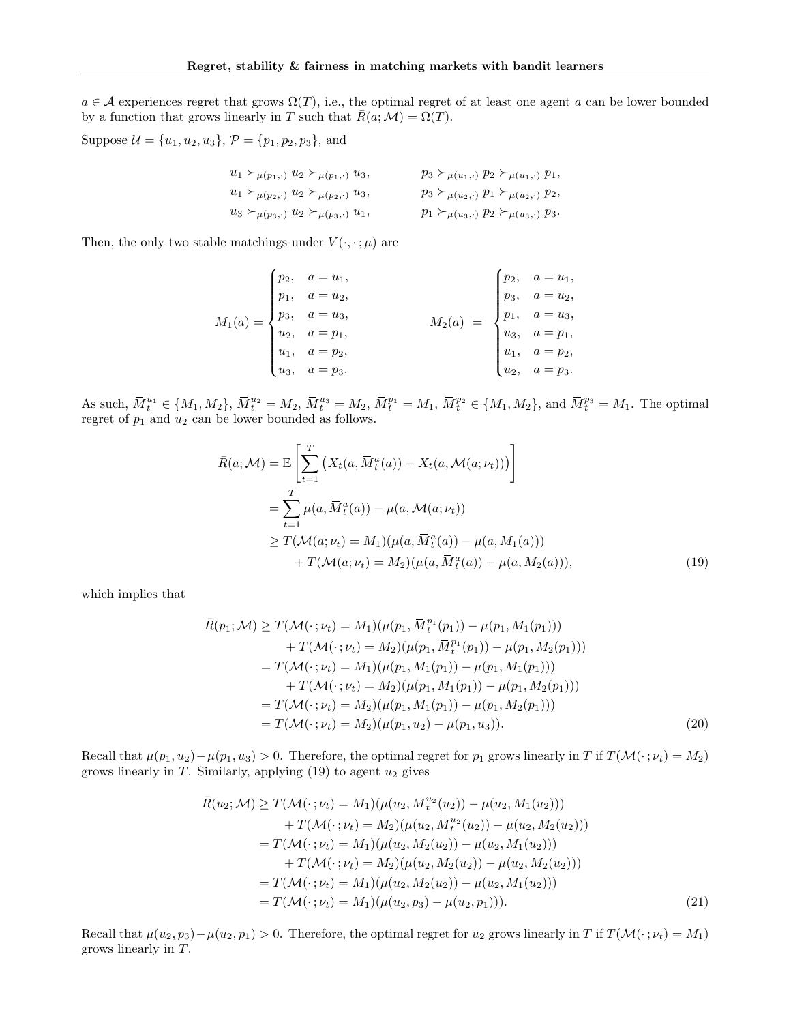$a \in \mathcal{A}$  experiences regret that grows  $\Omega(T)$ , i.e., the optimal regret of at least one agent a can be lower bounded by a function that grows linearly in T such that  $\bar{R}(a;M) = \Omega(T)$ .

Suppose  $\mathcal{U} = \{u_1, u_2, u_3\}, \mathcal{P} = \{p_1, p_2, p_3\}, \text{ and}$ 

$$
u_1 \succ_{\mu(p_1,.)} u_2 \succ_{\mu(p_1,.)} u_3,
$$
  
\n
$$
u_1 \succ_{\mu(p_2,.)} u_2 \succ_{\mu(p_2,.)} u_3,
$$
  
\n
$$
u_2 \succ_{\mu(p_3,.)} u_3,
$$
  
\n
$$
u_3 \succ_{\mu(u_3,.)} u_2 \succ_{\mu(p_3,.)} u_1,
$$
  
\n
$$
u_4 \succ_{\mu(p_4,.)} u_2 \succ_{\mu(p_5,.)} u_1,
$$
  
\n
$$
u_5 \succ_{\mu(u_3,.)} p_2 \succ_{\mu(u_3,.)} p_3.
$$

Then, the only two stable matchings under  $V(\cdot, \cdot; \mu)$  are

$$
M_1(a) = \begin{cases} p_2, & a = u_1, \\ p_1, & a = u_2, \\ p_3, & a = u_3, \\ u_2, & a = p_1, \\ u_1, & a = p_2, \\ u_3, & a = p_3. \end{cases} \qquad M_2(a) = \begin{cases} p_2, & a = u_1, \\ p_3, & a = u_2, \\ p_1, & a = u_3, \\ u_3, & a = p_1, \\ u_1, & a = p_2, \\ u_2, & a = p_3. \end{cases}
$$

As such,  $\bar{M}_t^{u_1} \in \{M_1, M_2\}$ ,  $\bar{M}_t^{u_2} = M_2$ ,  $\bar{M}_t^{u_3} = M_2$ ,  $\bar{M}_t^{p_1} = M_1$ ,  $\bar{M}_t^{p_2} \in \{M_1, M_2\}$ , and  $\bar{M}_t^{p_3} = M_1$ . The optimal regret of  $p_1$  and  $u_2$  can be lower bounded as follows.

$$
\bar{R}(a; \mathcal{M}) = \mathbb{E}\left[\sum_{t=1}^{T} \left(X_t(a, \bar{M}_t^a(a)) - X_t(a, \mathcal{M}(a; \nu_t))\right)\right]
$$
\n
$$
= \sum_{t=1}^{T} \mu(a, \bar{M}_t^a(a)) - \mu(a, \mathcal{M}(a; \nu_t))
$$
\n
$$
\geq T(\mathcal{M}(a; \nu_t) = M_1)(\mu(a, \bar{M}_t^a(a)) - \mu(a, M_1(a)))
$$
\n
$$
+ T(\mathcal{M}(a; \nu_t) = M_2)(\mu(a, \bar{M}_t^a(a)) - \mu(a, M_2(a))), \tag{19}
$$

which implies that

$$
\bar{R}(p_1; \mathcal{M}) \ge T(\mathcal{M}(\cdot; \nu_t) = M_1)(\mu(p_1, \bar{M}_t^{p_1}(p_1)) - \mu(p_1, M_1(p_1))) \n+ T(\mathcal{M}(\cdot; \nu_t) = M_2)(\mu(p_1, \bar{M}_t^{p_1}(p_1)) - \mu(p_1, M_2(p_1))) \n= T(\mathcal{M}(\cdot; \nu_t) = M_1)(\mu(p_1, M_1(p_1)) - \mu(p_1, M_1(p_1))) \n+ T(\mathcal{M}(\cdot; \nu_t) = M_2)(\mu(p_1, M_1(p_1)) - \mu(p_1, M_2(p_1))) \n= T(\mathcal{M}(\cdot; \nu_t) = M_2)(\mu(p_1, M_1(p_1)) - \mu(p_1, M_2(p_1))) \n= T(\mathcal{M}(\cdot; \nu_t) = M_2)(\mu(p_1, u_2) - \mu(p_1, u_3)).
$$
\n(20)

Recall that  $\mu(p_1, u_2) - \mu(p_1, u_3) > 0$ . Therefore, the optimal regret for  $p_1$  grows linearly in T if  $T(\mathcal{M}(\cdot; \nu_t) = M_2)$ grows linearly in T. Similarly, applying  $(19)$  to agent  $u_2$  gives

$$
\bar{R}(u_2; \mathcal{M}) \geq T(\mathcal{M}(\cdot; \nu_t) = M_1)(\mu(u_2, \bar{M}_t^{u_2}(u_2)) - \mu(u_2, M_1(u_2))) \n+ T(\mathcal{M}(\cdot; \nu_t) = M_2)(\mu(u_2, \bar{M}_t^{u_2}(u_2)) - \mu(u_2, M_2(u_2))) \n= T(\mathcal{M}(\cdot; \nu_t) = M_1)(\mu(u_2, M_2(u_2)) - \mu(u_2, M_1(u_2))) \n+ T(\mathcal{M}(\cdot; \nu_t) = M_2)(\mu(u_2, M_2(u_2)) - \mu(u_2, M_2(u_2))) \n= T(\mathcal{M}(\cdot; \nu_t) = M_1)(\mu(u_2, M_2(u_2)) - \mu(u_2, M_1(u_2))) \n= T(\mathcal{M}(\cdot; \nu_t) = M_1)(\mu(u_2, p_3) - \mu(u_2, p_1))).
$$
\n(21)

Recall that  $\mu(u_2, p_3) - \mu(u_2, p_1) > 0$ . Therefore, the optimal regret for  $u_2$  grows linearly in T if  $T(\mathcal{M}(\cdot; \nu_t) = M_1)$ grows linearly in T.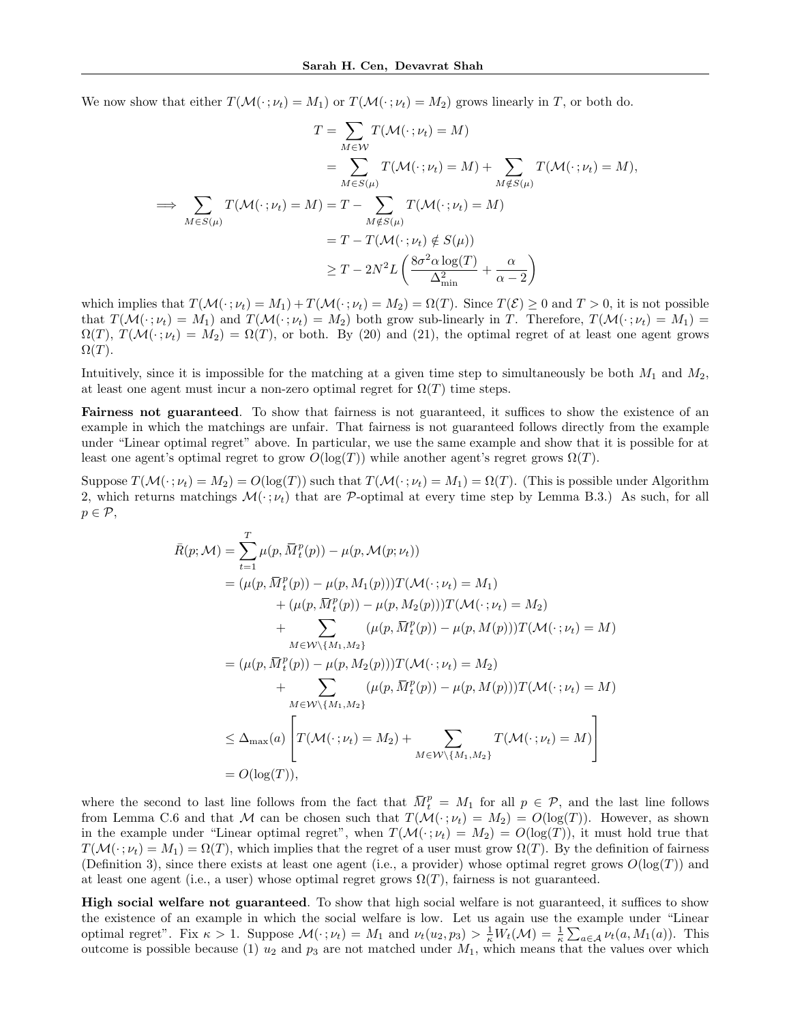We now show that either  $T(\mathcal{M}(\cdot; \nu_t) = M_1)$  or  $T(\mathcal{M}(\cdot; \nu_t) = M_2)$  grows linearly in T, or both do.

$$
T = \sum_{M \in \mathcal{W}} T(\mathcal{M}(\cdot; \nu_t) = M)
$$
  
\n
$$
= \sum_{M \in S(\mu)} T(\mathcal{M}(\cdot; \nu_t) = M) + \sum_{M \notin S(\mu)} T(\mathcal{M}(\cdot; \nu_t) = M),
$$
  
\n
$$
\implies \sum_{M \in S(\mu)} T(\mathcal{M}(\cdot; \nu_t) = M) = T - \sum_{M \notin S(\mu)} T(\mathcal{M}(\cdot; \nu_t) = M)
$$
  
\n
$$
= T - T(\mathcal{M}(\cdot; \nu_t) \notin S(\mu))
$$
  
\n
$$
\geq T - 2N^2 L \left( \frac{8\sigma^2 \alpha \log(T)}{\Delta_{\min}^2} + \frac{\alpha}{\alpha - 2} \right)
$$

which implies that  $T(\mathcal{M}(\cdot; \nu_t) = M_1) + T(\mathcal{M}(\cdot; \nu_t) = M_2) = \Omega(T)$ . Since  $T(\mathcal{E}) \geq 0$  and  $T > 0$ , it is not possible that  $T(\mathcal{M}(\cdot; \nu_t) = M_1)$  and  $T(\mathcal{M}(\cdot; \nu_t) = M_2)$  both grow sub-linearly in T. Therefore,  $T(\mathcal{M}(\cdot; \nu_t) = M_1)$  $\Omega(T)$ ,  $T(\mathcal{M}(\cdot; \nu_t) = M_2) = \Omega(T)$ , or both. By (20) and (21), the optimal regret of at least one agent grows  $\Omega(T)$ .

Intuitively, since it is impossible for the matching at a given time step to simultaneously be both  $M_1$  and  $M_2$ , at least one agent must incur a non-zero optimal regret for  $\Omega(T)$  time steps.

Fairness not guaranteed. To show that fairness is not guaranteed, it suffices to show the existence of an example in which the matchings are unfair. That fairness is not guaranteed follows directly from the example under "Linear optimal regret" above. In particular, we use the same example and show that it is possible for at least one agent's optimal regret to grow  $O(\log(T))$  while another agent's regret grows  $\Omega(T)$ .

Suppose  $T(\mathcal{M}(\cdot; \nu_t) = M_2) = O(\log(T))$  such that  $T(\mathcal{M}(\cdot; \nu_t) = M_1) = \Omega(T)$ . (This is possible under Algorithm 2, which returns matchings  $\mathcal{M}(\cdot; \nu_t)$  that are P-optimal at every time step by Lemma B.3.) As such, for all  $p \in \mathcal{P}$ ,

$$
\bar{R}(p; \mathcal{M}) = \sum_{t=1}^{T} \mu(p, \bar{M}_{t}^{p}(p)) - \mu(p, \mathcal{M}(p; \nu_{t}))
$$
\n
$$
= (\mu(p, \bar{M}_{t}^{p}(p)) - \mu(p, M_{1}(p)))T(\mathcal{M}(\cdot; \nu_{t}) = M_{1})
$$
\n
$$
+ (\mu(p, \bar{M}_{t}^{p}(p)) - \mu(p, M_{2}(p)))T(\mathcal{M}(\cdot; \nu_{t}) = M_{2})
$$
\n
$$
+ \sum_{M \in \mathcal{W} \setminus \{M_{1}, M_{2}\}} (\mu(p, \bar{M}_{t}^{p}(p)) - \mu(p, M(p)))T(\mathcal{M}(\cdot; \nu_{t}) = M)
$$
\n
$$
= (\mu(p, \bar{M}_{t}^{p}(p)) - \mu(p, M_{2}(p)))T(\mathcal{M}(\cdot; \nu_{t}) = M_{2})
$$
\n
$$
+ \sum_{M \in \mathcal{W} \setminus \{M_{1}, M_{2}\}} (\mu(p, \bar{M}_{t}^{p}(p)) - \mu(p, M(p)))T(\mathcal{M}(\cdot; \nu_{t}) = M)
$$
\n
$$
\leq \Delta_{\max}(a) \left[ T(\mathcal{M}(\cdot; \nu_{t}) = M_{2}) + \sum_{M \in \mathcal{W} \setminus \{M_{1}, M_{2}\}} T(\mathcal{M}(\cdot; \nu_{t}) = M) \right]
$$
\n
$$
= O(\log(T)),
$$

where the second to last line follows from the fact that  $\overline{M}_t^p = M_1$  for all  $p \in \mathcal{P}$ , and the last line follows from Lemma C.6 and that M can be chosen such that  $T(\mathcal{M}(\cdot; \nu_t) = M_2) = O(\log(T))$ . However, as shown in the example under "Linear optimal regret", when  $T(\mathcal{M}(\cdot; \nu_t) = M_2) = O(\log(T))$ , it must hold true that  $T(\mathcal{M}(\cdot;\nu_t)=M_1)=\Omega(T)$ , which implies that the regret of a user must grow  $\Omega(T)$ . By the definition of fairness (Definition 3), since there exists at least one agent (i.e., a provider) whose optimal regret grows  $O(\log(T))$  and at least one agent (i.e., a user) whose optimal regret grows  $\Omega(T)$ , fairness is not guaranteed.

High social welfare not guaranteed. To show that high social welfare is not guaranteed, it suffices to show the existence of an example in which the social welfare is low. Let us again use the example under "Linear optimal regret". Fix  $\kappa > 1$ . Suppose  $\mathcal{M}(\cdot; \nu_t) = M_1$  and  $\nu_t(u_2, p_3) > \frac{1}{\kappa} W_t(\mathcal{M}) = \frac{1}{\kappa} \sum_{a \in \mathcal{A}} \nu_t(a, M_1(a))$ . This outcome is possible because (1)  $u_2$  and  $p_3$  are not matched under  $M_1$ , which means that the values over which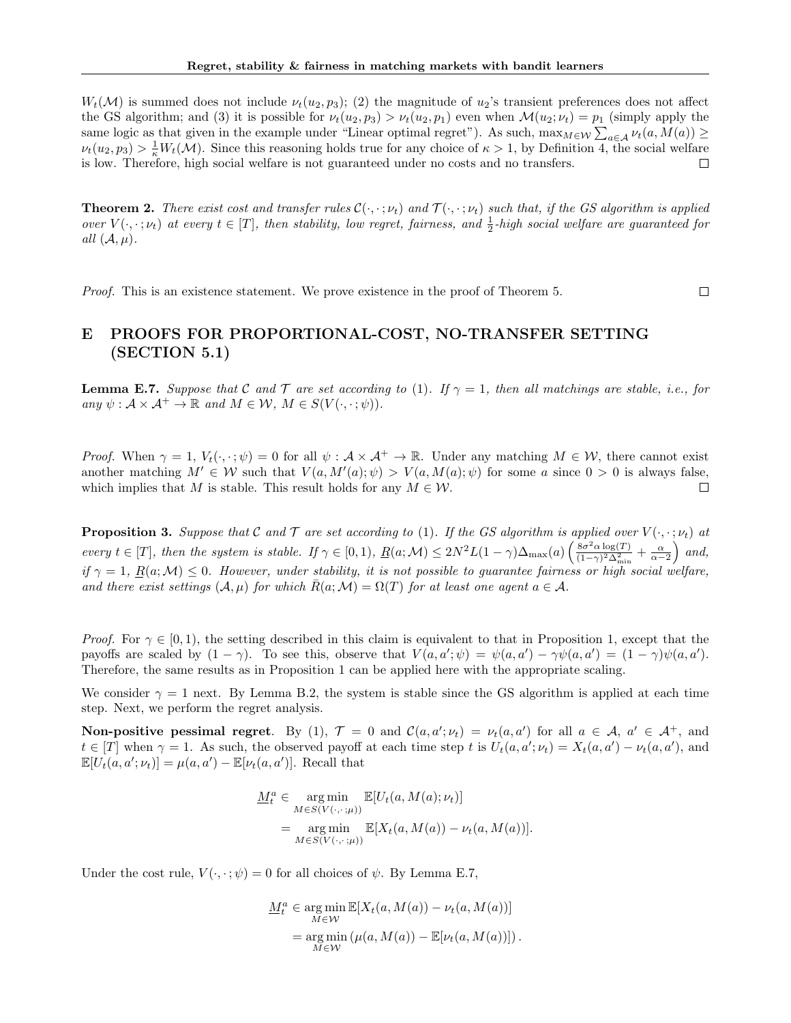$W_t(\mathcal{M})$  is summed does not include  $\nu_t(u_2, p_3)$ ; (2) the magnitude of  $u_2$ 's transient preferences does not affect the GS algorithm; and (3) it is possible for  $\nu_t(u_2, p_3) > \nu_t(u_2, p_1)$  even when  $\mathcal{M}(u_2; \nu_t) = p_1$  (simply apply the same logic as that given in the example under "Linear optimal regret"). As such,  $\max_{M \in \mathcal{W}} \sum_{a \in \mathcal{A}} \nu_t(a, M(a)) \ge$  $\nu_t(u_2, p_3) > \frac{1}{\kappa} W_t(\mathcal{M})$ . Since this reasoning holds true for any choice of  $\kappa > 1$ , by Definition 4, the social welfare is low. Therefore, high social welfare is not guaranteed under no costs and no transfers.

**Theorem 2.** There exist cost and transfer rules  $\mathcal{C}(\cdot, \cdot; \nu_t)$  and  $\mathcal{T}(\cdot, \cdot; \nu_t)$  such that, if the GS algorithm is applied over  $V(\cdot, \cdot; \nu_t)$  at every  $t \in [T]$ , then stability, low regret, fairness, and  $\frac{1}{2}$ -high social welfare are guaranteed for all  $(\mathcal{A}, \mu)$ .

Proof. This is an existence statement. We prove existence in the proof of Theorem 5.

 $\Box$ 

# E PROOFS FOR PROPORTIONAL-COST, NO-TRANSFER SETTING (SECTION 5.1)

**Lemma E.7.** Suppose that C and T are set according to (1). If  $\gamma = 1$ , then all matchings are stable, i.e., for any  $\psi : \mathcal{A} \times \mathcal{A}^+ \to \mathbb{R}$  and  $M \in \mathcal{W}, M \in S(V(\cdot, \cdot; \psi)).$ 

*Proof.* When  $\gamma = 1$ ,  $V_t(\cdot, \cdot; \psi) = 0$  for all  $\psi : A \times A^+ \to \mathbb{R}$ . Under any matching  $M \in \mathcal{W}$ , there cannot exist another matching  $M' \in W$  such that  $V(a, M'(a); \psi) > V(a, M(a); \psi)$  for some a since  $0 > 0$  is always false, which implies that M is stable. This result holds for any  $M \in \mathcal{W}$ .  $\Box$ 

**Proposition 3.** Suppose that C and T are set according to (1). If the GS algorithm is applied over  $V(\cdot, \cdot; \nu_t)$  at every  $t \in [T]$ , then the system is stable. If  $\gamma \in [0,1)$ ,  $\underline{R}(a; \mathcal{M}) \leq 2N^2L(1-\gamma)\Delta_{\max}(a) \left(\frac{8\sigma^2\alpha\log(T)}{(1-\gamma)^2\Delta^2}\right)$  $\frac{8\sigma^2\alpha\log(T)}{(1-\gamma)^2\Delta_{\min}^2} + \frac{\alpha}{\alpha-2}$  and, if  $\gamma = 1$ ,  $R(a; \mathcal{M}) \leq 0$ . However, under stability, it is not possible to guarantee fairness or high social welfare, and there exist settings  $(A, \mu)$  for which  $R(a; \mathcal{M}) = \Omega(T)$  for at least one agent  $a \in \mathcal{A}$ .

*Proof.* For  $\gamma \in [0, 1)$ , the setting described in this claim is equivalent to that in Proposition 1, except that the payoffs are scaled by  $(1 - \gamma)$ . To see this, observe that  $V(a, a'; \psi) = \psi(a, a') - \gamma \psi(a, a') = (1 - \gamma)\psi(a, a')$ . Therefore, the same results as in Proposition 1 can be applied here with the appropriate scaling.

We consider  $\gamma = 1$  next. By Lemma B.2, the system is stable since the GS algorithm is applied at each time step. Next, we perform the regret analysis.

**Non-positive pessimal regret.** By (1),  $\mathcal{T} = 0$  and  $\mathcal{C}(a, a'; \nu_t) = \nu_t(a, a')$  for all  $a \in \mathcal{A}$ ,  $a' \in \mathcal{A}^+$ , and  $t \in [T]$  when  $\gamma = 1$ . As such, the observed payoff at each time step t is  $U_t(a, a'; \nu_t) = X_t(a, a') - \nu_t(a, a')$ , and  $\mathbb{E}[U_t(a, a'; \nu_t)] = \mu(a, a') - \mathbb{E}[\nu_t(a, a')].$  Recall that

$$
\underline{M}_t^a \in \underset{M \in S(V(\cdot, \cdot; \mu))}{\text{arg min}} \mathbb{E}[U_t(a, M(a); \nu_t)]
$$
  
= 
$$
\underset{M \in S(V(\cdot, \cdot; \mu))}{\text{arg min}} \mathbb{E}[X_t(a, M(a)) - \nu_t(a, M(a))].
$$

Under the cost rule,  $V(\cdot, \cdot; \psi) = 0$  for all choices of  $\psi$ . By Lemma E.7,

$$
\underline{M}_t^a \in \underset{M \in \mathcal{W}}{\arg \min} \mathbb{E}[X_t(a, M(a)) - \nu_t(a, M(a))]
$$

$$
= \underset{M \in \mathcal{W}}{\arg \min} (\mu(a, M(a)) - \mathbb{E}[\nu_t(a, M(a))]) .
$$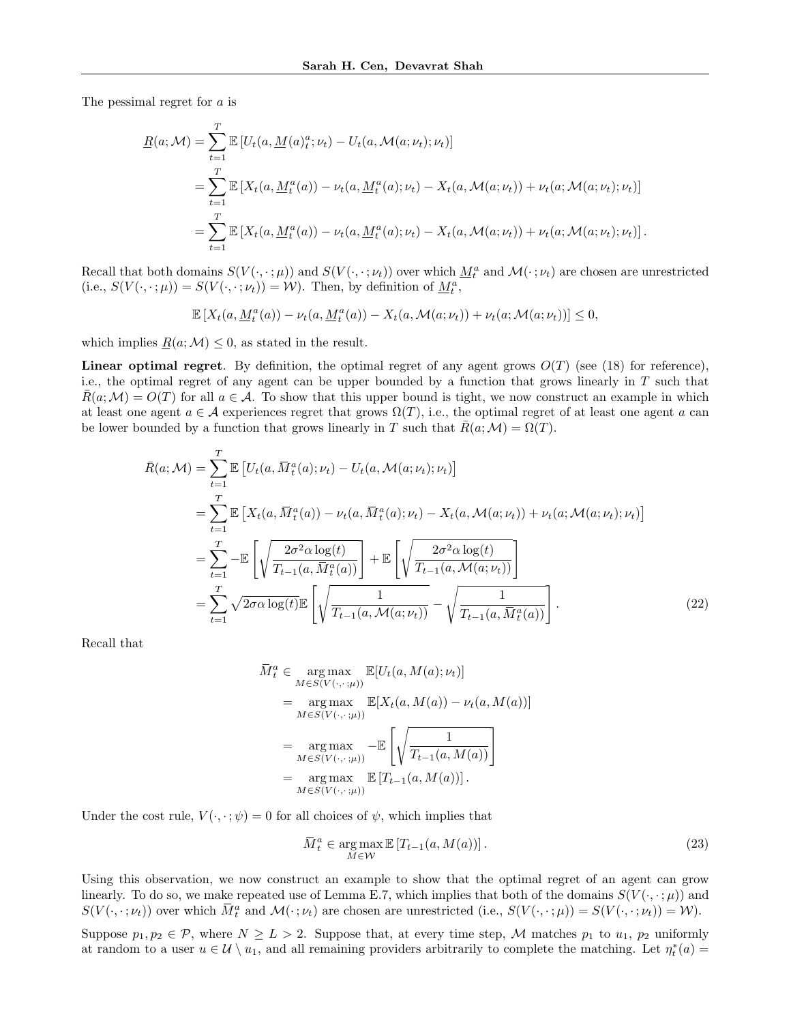The pessimal regret for a is

$$
\underline{R}(a; \mathcal{M}) = \sum_{t=1}^{T} \mathbb{E} \left[ U_t(a, \underline{M}(a)_t^a; \nu_t) - U_t(a, \mathcal{M}(a; \nu_t); \nu_t) \right]
$$
\n
$$
= \sum_{t=1}^{T} \mathbb{E} \left[ X_t(a, \underline{M}_t^a(a)) - \nu_t(a, \underline{M}_t^a(a); \nu_t) - X_t(a, \mathcal{M}(a; \nu_t)) + \nu_t(a; \mathcal{M}(a; \nu_t); \nu_t) \right]
$$
\n
$$
= \sum_{t=1}^{T} \mathbb{E} \left[ X_t(a, \underline{M}_t^a(a)) - \nu_t(a, \underline{M}_t^a(a); \nu_t) - X_t(a, \mathcal{M}(a; \nu_t)) + \nu_t(a; \mathcal{M}(a; \nu_t); \nu_t) \right].
$$

Recall that both domains  $S(V(\cdot,\cdot;\mu))$  and  $S(V(\cdot,\cdot;\nu_t))$  over which  $\underline{M}^a_t$  and  $\mathcal{M}(\cdot;\nu_t)$  are chosen are unrestricted (i.e.,  $S(V(\cdot, \cdot; \mu)) = S(V(\cdot, \cdot; \nu_t)) = W$ ). Then, by definition of  $\underline{M}_t^a$ ,

$$
\mathbb{E}\left[X_t(a,\underline{M}_t^a(a)) - \nu_t(a,\underline{M}_t^a(a)) - X_t(a,\mathcal{M}(a;\nu_t)) + \nu_t(a;\mathcal{M}(a;\nu_t))\right] \leq 0,
$$

which implies  $R(a; \mathcal{M}) \leq 0$ , as stated in the result.

**Linear optimal regret**. By definition, the optimal regret of any agent grows  $O(T)$  (see (18) for reference), i.e., the optimal regret of any agent can be upper bounded by a function that grows linearly in  $T$  such that  $\bar{R}(a;\mathcal{M}) = O(T)$  for all  $a \in \mathcal{A}$ . To show that this upper bound is tight, we now construct an example in which at least one agent  $a \in \mathcal{A}$  experiences regret that grows  $\Omega(T)$ , i.e., the optimal regret of at least one agent a can be lower bounded by a function that grows linearly in T such that  $R(a;M) = \Omega(T)$ .

$$
\bar{R}(a; \mathcal{M}) = \sum_{t=1}^{T} \mathbb{E} \left[ U_t(a, \bar{M}_t^a(a); \nu_t) - U_t(a, \mathcal{M}(a; \nu_t); \nu_t) \right]
$$
\n
$$
= \sum_{t=1}^{T} \mathbb{E} \left[ X_t(a, \bar{M}_t^a(a)) - \nu_t(a, \bar{M}_t^a(a); \nu_t) - X_t(a, \mathcal{M}(a; \nu_t)) + \nu_t(a; \mathcal{M}(a; \nu_t); \nu_t) \right]
$$
\n
$$
= \sum_{t=1}^{T} -\mathbb{E} \left[ \sqrt{\frac{2\sigma^2 \alpha \log(t)}{T_{t-1}(a, \bar{M}_t^a(a))}} \right] + \mathbb{E} \left[ \sqrt{\frac{2\sigma^2 \alpha \log(t)}{T_{t-1}(a, \mathcal{M}(a; \nu_t))}} \right]
$$
\n
$$
= \sum_{t=1}^{T} \sqrt{2\sigma \alpha \log(t)} \mathbb{E} \left[ \sqrt{\frac{1}{T_{t-1}(a, \mathcal{M}(a; \nu_t))}} - \sqrt{\frac{1}{T_{t-1}(a, \bar{M}_t^a(a))}} \right].
$$
\n(22)

Recall that

$$
\overline{M}_{t}^{a} \in \underset{M \in S(V(\cdot, \cdot; \mu))}{\arg \max} \mathbb{E}[U_{t}(a, M(a); \nu_{t})]
$$
\n
$$
= \underset{M \in S(V(\cdot, \cdot; \mu))}{\arg \max} \mathbb{E}[X_{t}(a, M(a)) - \nu_{t}(a, M(a))]
$$
\n
$$
= \underset{M \in S(V(\cdot, \cdot; \mu))}{\arg \max} - \mathbb{E}\left[\sqrt{\frac{1}{T_{t-1}(a, M(a))}}\right]
$$
\n
$$
= \underset{M \in S(V(\cdot, \cdot; \mu))}{\arg \max} \mathbb{E}[T_{t-1}(a, M(a))].
$$

Under the cost rule,  $V(\cdot, \cdot; \psi) = 0$  for all choices of  $\psi$ , which implies that

$$
\overline{M}_t^a \in \underset{M \in \mathcal{W}}{\arg \max} \mathbb{E}\left[T_{t-1}(a, M(a))\right].\tag{23}
$$

Using this observation, we now construct an example to show that the optimal regret of an agent can grow linearly. To do so, we make repeated use of Lemma E.7, which implies that both of the domains  $S(V(\cdot,\cdot;\mu))$  and  $S(V(\cdot,\cdot;\nu_t))$  over which  $\overline{M}_t^a$  and  $\mathcal{M}(\cdot;\nu_t)$  are chosen are unrestricted (i.e.,  $S(V(\cdot,\cdot;\mu)) = S(V(\cdot,\cdot;\nu_t)) = \mathcal{W}$ ).

Suppose  $p_1, p_2 \in \mathcal{P}$ , where  $N \ge L > 2$ . Suppose that, at every time step, M matches  $p_1$  to  $u_1, p_2$  uniformly at random to a user  $u \in \mathcal{U} \setminus u_1$ , and all remaining providers arbitrarily to complete the matching. Let  $\eta_t^*(a) =$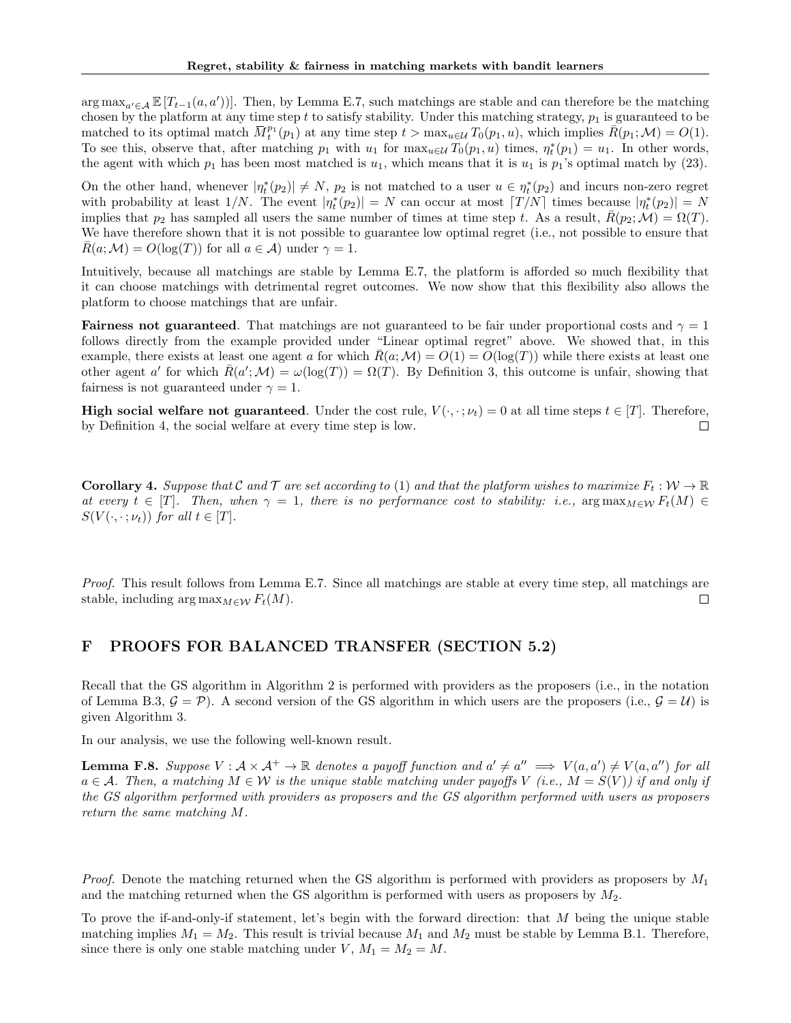$\arg \max_{a' \in \mathcal{A}} \mathbb{E}[T_{t-1}(a, a')]$ . Then, by Lemma E.7, such matchings are stable and can therefore be the matching chosen by the platform at any time step t to satisfy stability. Under this matching strategy,  $p_1$  is guaranteed to be matched to its optimal match  $\overline{M}^{p_1}_t(p_1)$  at any time step  $t > \max_{u \in \mathcal{U}} T_0(p_1, u)$ , which implies  $\overline{R}(p_1; \mathcal{M}) = O(1)$ . To see this, observe that, after matching  $p_1$  with  $u_1$  for  $\max_{u \in \mathcal{U}} T_0(p_1, u)$  times,  $\eta_t^*(p_1) = u_1$ . In other words, the agent with which  $p_1$  has been most matched is  $u_1$ , which means that it is  $u_1$  is  $p_1$ 's optimal match by (23).

On the other hand, whenever  $|\eta_t^*(p_2)| \neq N$ ,  $p_2$  is not matched to a user  $u \in \eta_t^*(p_2)$  and incurs non-zero regret with probability at least  $1/N$ . The event  $|\eta_t^*(p_2)| = N$  can occur at most  $[T/N]$  times because  $|\eta_t^*(p_2)| = N$ implies that  $p_2$  has sampled all users the same number of times at time step t. As a result,  $\bar{R}(p_2;\mathcal{M}) = \Omega(T)$ . We have therefore shown that it is not possible to guarantee low optimal regret (i.e., not possible to ensure that  $R(a; \mathcal{M}) = O(\log(T))$  for all  $a \in \mathcal{A}$ ) under  $\gamma = 1$ .

Intuitively, because all matchings are stable by Lemma E.7, the platform is afforded so much flexibility that it can choose matchings with detrimental regret outcomes. We now show that this flexibility also allows the platform to choose matchings that are unfair.

**Fairness not guaranteed.** That matchings are not guaranteed to be fair under proportional costs and  $\gamma = 1$ follows directly from the example provided under "Linear optimal regret" above. We showed that, in this example, there exists at least one agent a for which  $\bar{R}(a;M) = O(1) = O(\log(T))$  while there exists at least one other agent a' for which  $\bar{R}(a';\mathcal{M}) = \omega(\log(T)) = \Omega(T)$ . By Definition 3, this outcome is unfair, showing that fairness is not guaranteed under  $\gamma = 1$ .

**High social welfare not guaranteed.** Under the cost rule,  $V(\cdot, \cdot; \nu_t) = 0$  at all time steps  $t \in [T]$ . Therefore, by Definition 4, the social welfare at every time step is low.  $\Box$ 

**Corollary 4.** Suppose that C and T are set according to (1) and that the platform wishes to maximize  $F_t: \mathcal{W} \to \mathbb{R}$ at every  $t \in [T]$ . Then, when  $\gamma = 1$ , there is no performance cost to stability: i.e., arg max $_{M \in \mathcal{W}} F_t(M) \in$  $S(V(\cdot,\cdot;\nu_t))$  for all  $t \in [T]$ .

Proof. This result follows from Lemma E.7. Since all matchings are stable at every time step, all matchings are stable, including  $\arg \max_{M \in \mathcal{W}} F_t(M)$ .  $\Box$ 

### F PROOFS FOR BALANCED TRANSFER (SECTION 5.2)

Recall that the GS algorithm in Algorithm 2 is performed with providers as the proposers (i.e., in the notation of Lemma B.3,  $\mathcal{G} = \mathcal{P}$ ). A second version of the GS algorithm in which users are the proposers (i.e.,  $\mathcal{G} = \mathcal{U}$ ) is given Algorithm 3.

In our analysis, we use the following well-known result.

**Lemma F.8.** Suppose  $V : \mathcal{A} \times \mathcal{A}^+ \to \mathbb{R}$  denotes a payoff function and  $a' \neq a'' \implies V(a, a') \neq V(a, a'')$  for all  $a \in \mathcal{A}$ . Then, a matching  $M \in \mathcal{W}$  is the unique stable matching under payoffs V (i.e.,  $M = S(V)$ ) if and only if the GS algorithm performed with providers as proposers and the GS algorithm performed with users as proposers return the same matching M.

*Proof.* Denote the matching returned when the GS algorithm is performed with providers as proposers by  $M_1$ and the matching returned when the GS algorithm is performed with users as proposers by  $M_2$ .

To prove the if-and-only-if statement, let's begin with the forward direction: that  $M$  being the unique stable matching implies  $M_1 = M_2$ . This result is trivial because  $M_1$  and  $M_2$  must be stable by Lemma B.1. Therefore, since there is only one stable matching under V,  $M_1 = M_2 = M$ .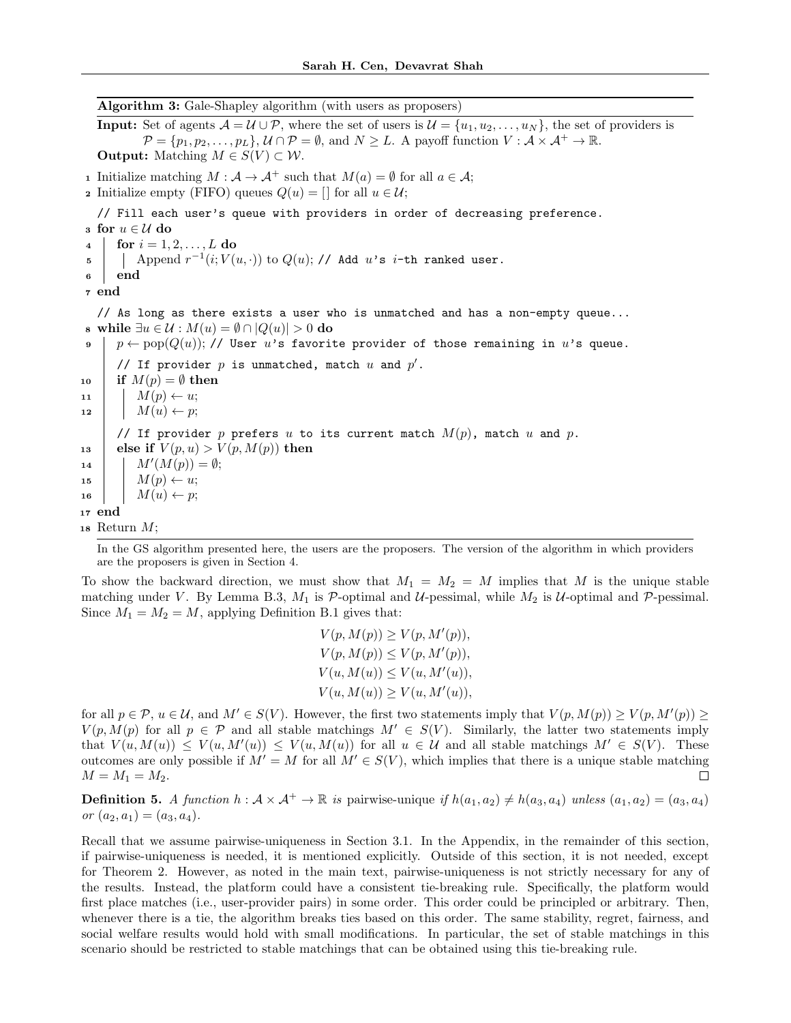Algorithm 3: Gale-Shapley algorithm (with users as proposers)

**Input:** Set of agents  $A = U \cup P$ , where the set of users is  $U = \{u_1, u_2, \dots, u_N\}$ , the set of providers is  $\mathcal{P} = \{p_1, p_2, \ldots, p_L\}, \mathcal{U} \cap \mathcal{P} = \emptyset$ , and  $N \geq L$ . A payoff function  $V : \mathcal{A} \times \mathcal{A}^+ \to \mathbb{R}$ . **Output:** Matching  $M \in S(V) \subset W$ .

1 Initialize matching  $M : \mathcal{A} \to \mathcal{A}^+$  such that  $M(a) = \emptyset$  for all  $a \in \mathcal{A}$ ;

**2** Initialize empty (FIFO) queues  $Q(u) = \vert$  for all  $u \in \mathcal{U}$ ;

// Fill each user's queue with providers in order of decreasing preference.

3 for  $u \in \mathcal{U}$  do 4 for  $i = 1, 2, ..., L$  do  $\begin{array}{ll} \texttt{5} & | & \texttt{Append}\; r^{-1}(i;V(u,\cdot)) \text{ to } Q(u); \textit{ // Add}\; u \text{'s } i\text{-th ranked user.} \end{array}$ <sup>6</sup> end <sup>7</sup> end // As long as there exists a user who is unmatched and has a non-empty queue... 8 while  $∃u ∈ U : M(u) = ∅ ∩ |Q(u)| > 0$  do 9 p ← pop $(Q(u))$ ; // User u's favorite provider of those remaining in u's queue. // If provider  $p$  is unmatched, match  $u$  and  $p'$ . 10 if  $M(p) = \emptyset$  then 11  $M(p) \leftarrow u;$ 12  $\mid$   $M(u) \leftarrow p;$ // If provider p prefers u to its current match  $M(p)$ , match u and p. 13 else if  $V(p, u) > V(p, M(p))$  then 14  $M'(M(p)) = \emptyset;$ 15  $M(p) \leftarrow u;$ 16  $M(u) \leftarrow p$ ; <sup>17</sup> end 18 Return  $M$ ;

In the GS algorithm presented here, the users are the proposers. The version of the algorithm in which providers are the proposers is given in Section 4.

To show the backward direction, we must show that  $M_1 = M_2 = M$  implies that M is the unique stable matching under V. By Lemma B.3,  $M_1$  is P-optimal and U-pessimal, while  $M_2$  is U-optimal and P-pessimal. Since  $M_1 = M_2 = M$ , applying Definition B.1 gives that:

$$
V(p, M(p)) \ge V(p, M'(p)),
$$
  
\n
$$
V(p, M(p)) \le V(p, M'(p)),
$$
  
\n
$$
V(u, M(u)) \le V(u, M'(u)),
$$
  
\n
$$
V(u, M(u)) \ge V(u, M'(u)),
$$

for all  $p \in \mathcal{P}$ ,  $u \in \mathcal{U}$ , and  $M' \in S(V)$ . However, the first two statements imply that  $V(p, M(p)) \geq V(p, M'(p)) \geq$  $V(p, M(p))$  for all  $p \in \mathcal{P}$  and all stable matchings  $M' \in S(V)$ . Similarly, the latter two statements imply that  $V(u, M(u)) \leq V(u, M'(u)) \leq V(u, M(u))$  for all  $u \in \mathcal{U}$  and all stable matchings  $M' \in S(V)$ . These outcomes are only possible if  $M' = M$  for all  $M' \in S(V)$ , which implies that there is a unique stable matching  $M = M_1 = M_2$ .  $\Box$ 

**Definition 5.** A function  $h : \mathcal{A} \times \mathcal{A}^+ \to \mathbb{R}$  is pairwise-unique if  $h(a_1, a_2) \neq h(a_3, a_4)$  unless  $(a_1, a_2) = (a_3, a_4)$ or  $(a_2, a_1) = (a_3, a_4)$ .

Recall that we assume pairwise-uniqueness in Section 3.1. In the Appendix, in the remainder of this section, if pairwise-uniqueness is needed, it is mentioned explicitly. Outside of this section, it is not needed, except for Theorem 2. However, as noted in the main text, pairwise-uniqueness is not strictly necessary for any of the results. Instead, the platform could have a consistent tie-breaking rule. Specifically, the platform would first place matches (i.e., user-provider pairs) in some order. This order could be principled or arbitrary. Then, whenever there is a tie, the algorithm breaks ties based on this order. The same stability, regret, fairness, and social welfare results would hold with small modifications. In particular, the set of stable matchings in this scenario should be restricted to stable matchings that can be obtained using this tie-breaking rule.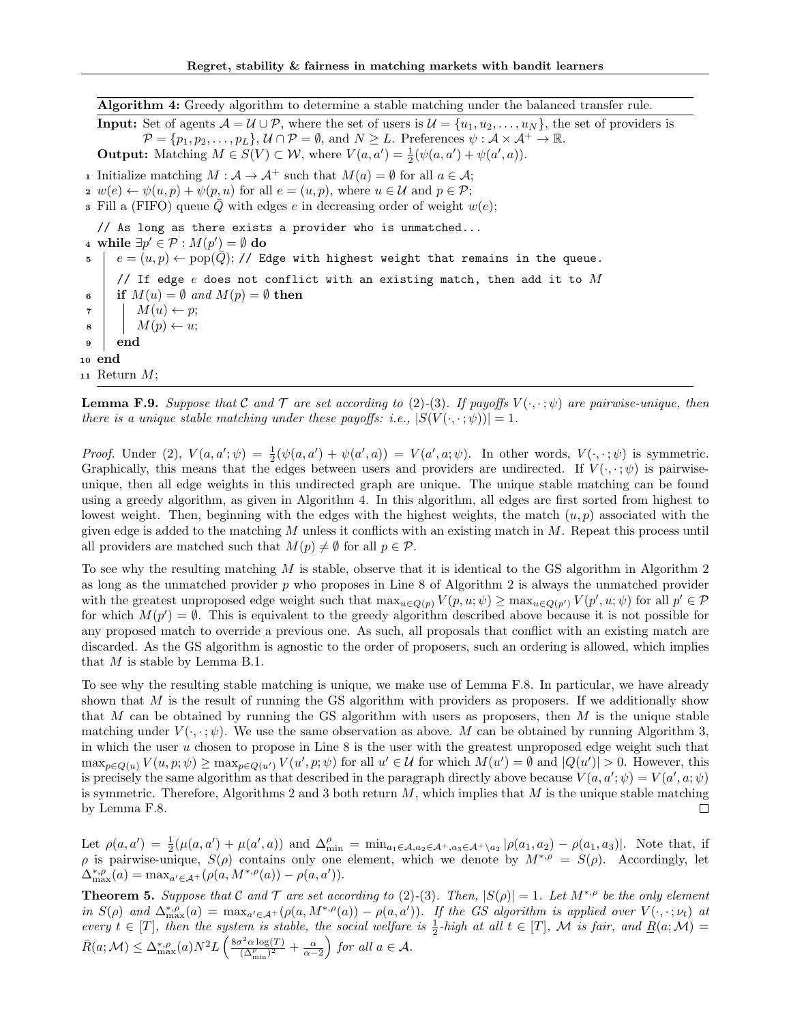Algorithm 4: Greedy algorithm to determine a stable matching under the balanced transfer rule.

**Input:** Set of agents  $\mathcal{A} = \mathcal{U} \cup \mathcal{P}$ , where the set of users is  $\mathcal{U} = \{u_1, u_2, \dots, u_N\}$ , the set of providers is  $\mathcal{P} = \{p_1, p_2, \ldots, p_L\}, \mathcal{U} \cap \mathcal{P} = \emptyset$ , and  $N \geq L$ . Preferences  $\psi : \mathcal{A} \times \mathcal{A}^+ \to \mathbb{R}$ .

**Output:** Matching  $M \in S(V) \subset W$ , where  $V(a, a') = \frac{1}{2}(\psi(a, a') + \psi(a', a))$ .

1 Initialize matching  $M : \mathcal{A} \to \mathcal{A}^+$  such that  $M(a) = \emptyset$  for all  $a \in \mathcal{A}$ ;

2  $w(e) \leftarrow \psi(u, p) + \psi(p, u)$  for all  $e = (u, p)$ , where  $u \in \mathcal{U}$  and  $p \in \mathcal{P}$ ;

**3** Fill a (FIFO) queue  $\overline{Q}$  with edges e in decreasing order of weight  $w(e)$ ;

// As long as there exists a provider who is unmatched... 4 while  $\exists p' \in \mathcal{P} : M(p') = ∅ \textbf{do}$  $\epsilon = (u, p) \leftarrow \text{pop}(Q); / \ell$  Edge with highest weight that remains in the queue. // If edge  $e$  does not conflict with an existing match, then add it to  $M$ 6 if  $M(u) = \emptyset$  and  $M(p) = \emptyset$  then  $\tau$  |  $M(u) \leftarrow p$ ;  $\begin{array}{c|c|c|c} \mathbf{s} & M(p) & \leftarrow u; \end{array}$ <sup>9</sup> end <sup>10</sup> end 11 Return  $M$ ;

**Lemma F.9.** Suppose that C and T are set according to (2)-(3). If payoffs  $V(\cdot, \cdot; \psi)$  are pairwise-unique, then there is a unique stable matching under these payoffs: i.e.,  $|S(V(\cdot,\cdot;\psi))|=1$ .

Proof. Under (2),  $V(a, a'; \psi) = \frac{1}{2}(\psi(a, a') + \psi(a', a)) = V(a', a; \psi)$ . In other words,  $V(\cdot, \cdot; \psi)$  is symmetric. Graphically, this means that the edges between users and providers are undirected. If  $V(\cdot, \cdot; \psi)$  is pairwiseunique, then all edge weights in this undirected graph are unique. The unique stable matching can be found using a greedy algorithm, as given in Algorithm 4. In this algorithm, all edges are first sorted from highest to lowest weight. Then, beginning with the edges with the highest weights, the match  $(u, p)$  associated with the given edge is added to the matching  $M$  unless it conflicts with an existing match in  $M$ . Repeat this process until all providers are matched such that  $M(p) \neq \emptyset$  for all  $p \in \mathcal{P}$ .

To see why the resulting matching  $M$  is stable, observe that it is identical to the GS algorithm in Algorithm 2 as long as the unmatched provider  $p$  who proposes in Line 8 of Algorithm 2 is always the unmatched provider with the greatest unproposed edge weight such that  $\max_{u \in Q(p)} V(p, u; \psi) \ge \max_{u \in Q(p')} V(p', u; \psi)$  for all  $p' \in \mathcal{P}$ for which  $M(p') = \emptyset$ . This is equivalent to the greedy algorithm described above because it is not possible for any proposed match to override a previous one. As such, all proposals that conflict with an existing match are discarded. As the GS algorithm is agnostic to the order of proposers, such an ordering is allowed, which implies that  $M$  is stable by Lemma B.1.

To see why the resulting stable matching is unique, we make use of Lemma F.8. In particular, we have already shown that M is the result of running the GS algorithm with providers as proposers. If we additionally show that M can be obtained by running the GS algorithm with users as proposers, then M is the unique stable matching under  $V(\cdot, \cdot; \psi)$ . We use the same observation as above. M can be obtained by running Algorithm 3, in which the user u chosen to propose in Line 8 is the user with the greatest unproposed edge weight such that  $\max_{p\in Q(u)} V(u,p;\psi) \ge \max_{p\in Q(u')} V(u',p;\psi)$  for all  $u' \in \mathcal{U}$  for which  $M(u') = \emptyset$  and  $|Q(u')| > 0$ . However, this is precisely the same algorithm as that described in the paragraph directly above because  $V(a, a'; \psi) = V(a', a; \psi)$ is symmetric. Therefore, Algorithms 2 and 3 both return  $M$ , which implies that  $M$  is the unique stable matching by Lemma F.8.  $\Box$ 

Let  $\rho(a, a') = \frac{1}{2}(\mu(a, a') + \mu(a', a))$  and  $\Delta_{\min}^{\rho} = \min_{a_1 \in A, a_2 \in A^+, a_3 \in A^+ \setminus a_2} |\rho(a_1, a_2) - \rho(a_1, a_3)|$ . Note that, if  $\rho$  is pairwise-unique,  $S(\rho)$  contains only one element, which we denote by  $M^{*,\rho} = S(\rho)$ . Accordingly, let  $\Delta_{\max}^{*,\rho}(a) = \max_{a' \in \mathcal{A}^+} (\rho(a, M^{*,\rho}(a)) - \rho(a, a')).$ 

**Theorem 5.** Suppose that C and  $\mathcal T$  are set according to (2)-(3). Then,  $|S(\rho)| = 1$ . Let  $M^{*,\rho}$  be the only element in  $S(\rho)$  and  $\Delta_{\max}^{*,\rho}(a) = \max_{a'\in\mathcal{A}^+} (\rho(a, M^{*,\rho}(a)) - \rho(a, a'))$ . If the GS algorithm is applied over  $V(\cdot, \cdot; \nu_t)$  at every  $t \in [T]$ , then the system is stable, the social welfare is  $\frac{1}{2}$ -high at all  $t \in [T]$ , M is fair, and  $\underline{R}(a;M)$  =  $\bar{R}(a; \mathcal{M}) \leq \Delta_{\max}^{*, \rho}(a) N^2 L \left( \frac{8\sigma^2 \alpha \log(T)}{(\Delta^{\rho}, \beta)^2} \right)$  $\frac{\sigma^2 \alpha \log(T)}{(\Delta_{\min}^{\rho})^2} + \frac{\alpha}{\alpha - 2}$  for all  $a \in \mathcal{A}$ .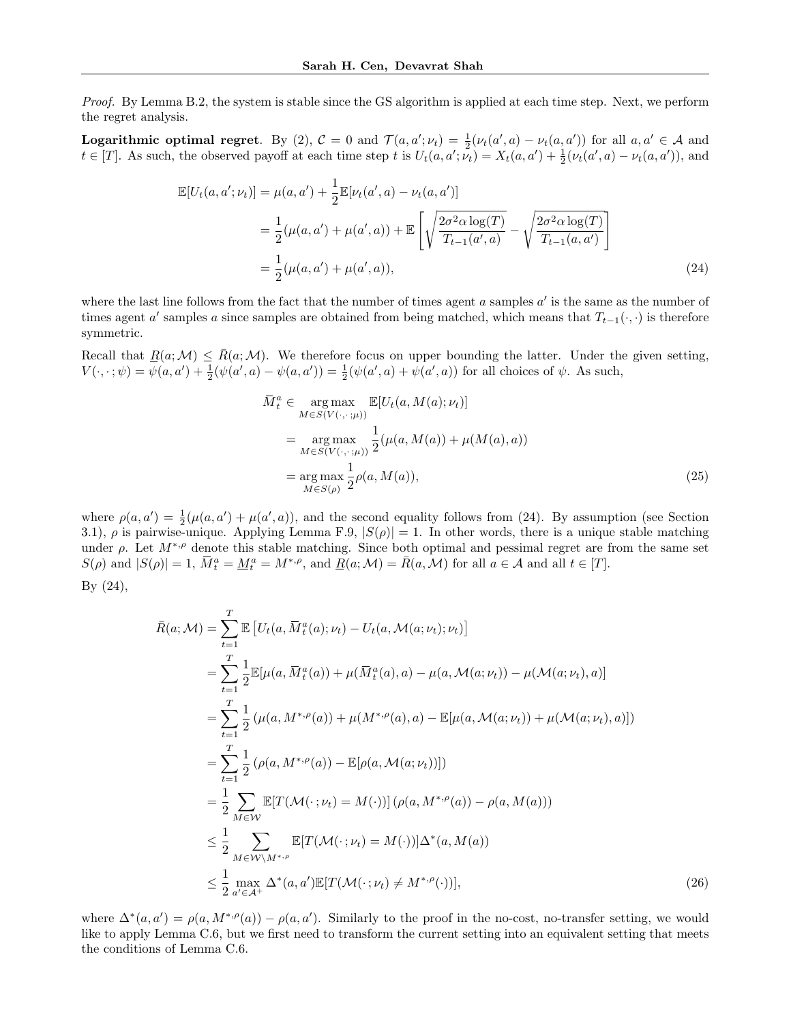Proof. By Lemma B.2, the system is stable since the GS algorithm is applied at each time step. Next, we perform the regret analysis.

**Logarithmic optimal regret.** By (2),  $C = 0$  and  $\mathcal{T}(a, a'; \nu_t) = \frac{1}{2}(\nu_t(a', a) - \nu_t(a, a'))$  for all  $a, a' \in \mathcal{A}$  and  $t \in [T]$ . As such, the observed payoff at each time step t is  $U_t(a, a'; \nu_t) = X_t(a, a') + \frac{1}{2}(\nu_t(a', a) - \nu_t(a, a'))$ , and

$$
\mathbb{E}[U_t(a, a'; \nu_t)] = \mu(a, a') + \frac{1}{2} \mathbb{E}[\nu_t(a', a) - \nu_t(a, a')]
$$
  
= 
$$
\frac{1}{2} (\mu(a, a') + \mu(a', a)) + \mathbb{E}\left[\sqrt{\frac{2\sigma^2 \alpha \log(T)}{T_{t-1}(a', a)}} - \sqrt{\frac{2\sigma^2 \alpha \log(T)}{T_{t-1}(a, a')}}\right]
$$
  
= 
$$
\frac{1}{2} (\mu(a, a') + \mu(a', a)),
$$
 (24)

where the last line follows from the fact that the number of times agent  $a$  samples  $a'$  is the same as the number of times agent a' samples a since samples are obtained from being matched, which means that  $T_{t-1}(\cdot, \cdot)$  is therefore symmetric.

Recall that  $\underline{R}(a;\mathcal{M}) \leq \overline{R}(a;\mathcal{M})$ . We therefore focus on upper bounding the latter. Under the given setting,  $V(\cdot, \cdot; \psi) = \psi(a, a') + \frac{1}{2}(\psi(a', a) - \psi(a, a')) = \frac{1}{2}(\psi(a', a) + \psi(a', a))$  for all choices of  $\psi$ . As such,

$$
\overline{M}_t^a \in \underset{M \in S(V(\cdot, \cdot; \mu))}{\arg \max} \mathbb{E}[U_t(a, M(a); \nu_t)]
$$
\n
$$
= \underset{M \in S(V(\cdot, \cdot; \mu))}{\arg \max} \frac{1}{2} (\mu(a, M(a)) + \mu(M(a), a))
$$
\n
$$
= \underset{M \in S(\rho)}{\arg \max} \frac{1}{2} \rho(a, M(a)), \tag{25}
$$

where  $\rho(a, a') = \frac{1}{2}(\mu(a, a') + \mu(a', a))$ , and the second equality follows from (24). By assumption (see Section 3.1),  $\rho$  is pairwise-unique. Applying Lemma F.9,  $|S(\rho)| = 1$ . In other words, there is a unique stable matching under  $\rho$ . Let  $M^{*,\rho}$  denote this stable matching. Since both optimal and pessimal regret are from the same set  $S(\rho)$  and  $|S(\rho)| = 1$ ,  $\overline{M}_t^a = \underline{M}_t^a = M^{*,\rho}$ , and  $\underline{R}(a;\mathcal{M}) = \overline{R}(a,\mathcal{M})$  for all  $a \in \mathcal{A}$  and all  $t \in [T]$ .

By (24),

$$
\bar{R}(a; \mathcal{M}) = \sum_{t=1}^{T} \mathbb{E} \left[ U_t(a, \bar{M}_t^a(a); \nu_t) - U_t(a, \mathcal{M}(a; \nu_t); \nu_t) \right]
$$
\n
$$
= \sum_{t=1}^{T} \frac{1}{2} \mathbb{E} \left[ \mu(a, \bar{M}_t^a(a)) + \mu(\bar{M}_t^a(a), a) - \mu(a, \mathcal{M}(a; \nu_t)) - \mu(\mathcal{M}(a; \nu_t), a) \right]
$$
\n
$$
= \sum_{t=1}^{T} \frac{1}{2} \left( \mu(a, M^{*,\rho}(a)) + \mu(M^{*,\rho}(a), a) - \mathbb{E}[\mu(a, \mathcal{M}(a; \nu_t)) + \mu(\mathcal{M}(a; \nu_t), a)] \right)
$$
\n
$$
= \sum_{t=1}^{T} \frac{1}{2} \left( \rho(a, M^{*,\rho}(a)) - \mathbb{E}[\rho(a, \mathcal{M}(a; \nu_t))] \right)
$$
\n
$$
= \frac{1}{2} \sum_{M \in \mathcal{W}} \mathbb{E} [T(\mathcal{M}(\cdot; \nu_t) = M(\cdot))] \left( \rho(a, M^{*,\rho}(a)) - \rho(a, M(a)) \right)
$$
\n
$$
\leq \frac{1}{2} \sum_{M \in \mathcal{W} \backslash M^{*,\rho}} \mathbb{E} [T(\mathcal{M}(\cdot; \nu_t) = M(\cdot))] \Delta^*(a, M(a))
$$
\n
$$
\leq \frac{1}{2} \max_{a' \in \mathcal{A}^+} \Delta^*(a, a') \mathbb{E} [T(\mathcal{M}(\cdot; \nu_t) \neq M^{*,\rho}(\cdot))],
$$
\n(26)

where  $\Delta^*(a, a') = \rho(a, M^{*, \rho}(a)) - \rho(a, a')$ . Similarly to the proof in the no-cost, no-transfer setting, we would like to apply Lemma C.6, but we first need to transform the current setting into an equivalent setting that meets the conditions of Lemma C.6.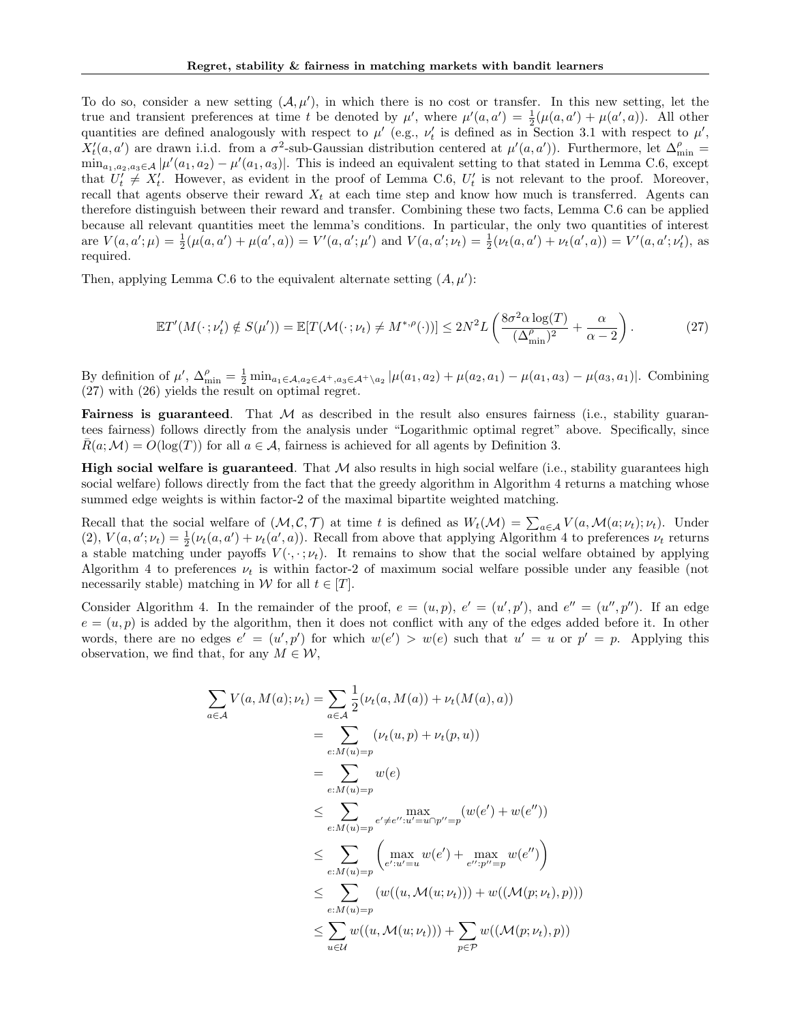To do so, consider a new setting  $(A, \mu')$ , in which there is no cost or transfer. In this new setting, let the true and transient preferences at time t be denoted by  $\mu'$ , where  $\mu'(a, a') = \frac{1}{2}(\mu(a, a') + \mu(a', a))$ . All other quantities are defined analogously with respect to  $\mu'$  (e.g.,  $\nu'_t$  is defined as in Section 3.1 with respect to  $\mu'$ ,  $X'_t(a, a')$  are drawn i.i.d. from a  $\sigma^2$ -sub-Gaussian distribution centered at  $\mu'(a, a')$ ). Furthermore, let  $\Delta_{\min}^{\rho} =$  $\min_{a_1, a_2, a_3 \in \mathcal{A}} |\mu'(a_1, a_2) - \mu'(a_1, a_3)|$ . This is indeed an equivalent setting to that stated in Lemma C.6, except that  $U'_t \neq X'_t$ . However, as evident in the proof of Lemma C.6,  $U'_t$  is not relevant to the proof. Moreover, recall that agents observe their reward  $X_t$  at each time step and know how much is transferred. Agents can therefore distinguish between their reward and transfer. Combining these two facts, Lemma C.6 can be applied because all relevant quantities meet the lemma's conditions. In particular, the only two quantities of interest are  $V(a, a'; \mu) = \frac{1}{2}(\mu(a, a') + \mu(a', a)) = V'(a, a'; \mu')$  and  $V(a, a'; \nu_t) = \frac{1}{2}(\nu_t(a, a') + \nu_t(a', a)) = V'(a, a'; \nu_t')$ , as required.

Then, applying Lemma C.6 to the equivalent alternate setting  $(A, \mu')$ :

$$
\mathbb{E}T'(M(\cdot\,;\nu'_t) \notin S(\mu')) = \mathbb{E}[T(\mathcal{M}(\cdot\,;\nu_t) \neq M^{*,\rho}(\cdot))] \le 2N^2 L\left(\frac{8\sigma^2 \alpha \log(T)}{(\Delta_{\min}^{\rho})^2} + \frac{\alpha}{\alpha - 2}\right). \tag{27}
$$

By definition of  $\mu'$ ,  $\Delta_{\min}^{\rho} = \frac{1}{2} \min_{a_1 \in A, a_2 \in A^+, a_3 \in A^+\setminus a_2} |\mu(a_1, a_2) + \mu(a_2, a_1) - \mu(a_1, a_3) - \mu(a_3, a_1)|$ . Combining (27) with (26) yields the result on optimal regret.

**Fairness is guaranteed.** That  $M$  as described in the result also ensures fairness (i.e., stability guarantees fairness) follows directly from the analysis under "Logarithmic optimal regret" above. Specifically, since  $R(a;M) = O(\log(T))$  for all  $a \in \mathcal{A}$ , fairness is achieved for all agents by Definition 3.

**High social welfare is guaranteed**. That  $M$  also results in high social welfare (i.e., stability guarantees high social welfare) follows directly from the fact that the greedy algorithm in Algorithm 4 returns a matching whose summed edge weights is within factor-2 of the maximal bipartite weighted matching.

Recall that the social welfare of  $(M, \mathcal{C}, \mathcal{T})$  at time t is defined as  $W_t(\mathcal{M}) = \sum_{a \in \mathcal{A}} V(a, \mathcal{M}(a; \nu_t); \nu_t)$ . Under (2),  $V(a, a'; \nu_t) = \frac{1}{2}(\nu_t(a, a') + \nu_t(a', a))$ . Recall from above that applying Algorithm 4 to preferences  $\nu_t$  returns a stable matching under payoffs  $V(\cdot, \cdot; \nu_t)$ . It remains to show that the social welfare obtained by applying Algorithm 4 to preferences  $\nu_t$  is within factor-2 of maximum social welfare possible under any feasible (not necessarily stable) matching in W for all  $t \in [T]$ .

Consider Algorithm 4. In the remainder of the proof,  $e = (u, p)$ ,  $e' = (u', p')$ , and  $e'' = (u'', p'')$ . If an edge  $e = (u, p)$  is added by the algorithm, then it does not conflict with any of the edges added before it. In other words, there are no edges  $e' = (u', p')$  for which  $w(e') > w(e)$  such that  $u' = u$  or  $p' = p$ . Applying this observation, we find that, for any  $M \in \mathcal{W}$ ,

$$
\sum_{a \in \mathcal{A}} V(a, M(a); \nu_t) = \sum_{a \in \mathcal{A}} \frac{1}{2} (\nu_t(a, M(a)) + \nu_t(M(a), a))
$$
  
\n
$$
= \sum_{e:M(u)=p} (\nu_t(u, p) + \nu_t(p, u))
$$
  
\n
$$
= \sum_{e:M(u)=p} w(e)
$$
  
\n
$$
\leq \sum_{e:M(u)=p} \max_{e' \neq e'': u' = u \cap p'' = p} (w(e') + w(e''))
$$
  
\n
$$
\leq \sum_{e:M(u)=p} \left( \max_{e': u' = u} w(e') + \max_{e'': p'' = p} w(e'') \right)
$$
  
\n
$$
\leq \sum_{e:M(u)=p} (w((u, \mathcal{M}(u; \nu_t))) + w((\mathcal{M}(p; \nu_t), p)))
$$
  
\n
$$
\leq \sum_{u \in \mathcal{U}} w((u, \mathcal{M}(u; \nu_t))) + \sum_{p \in \mathcal{P}} w((\mathcal{M}(p; \nu_t), p))
$$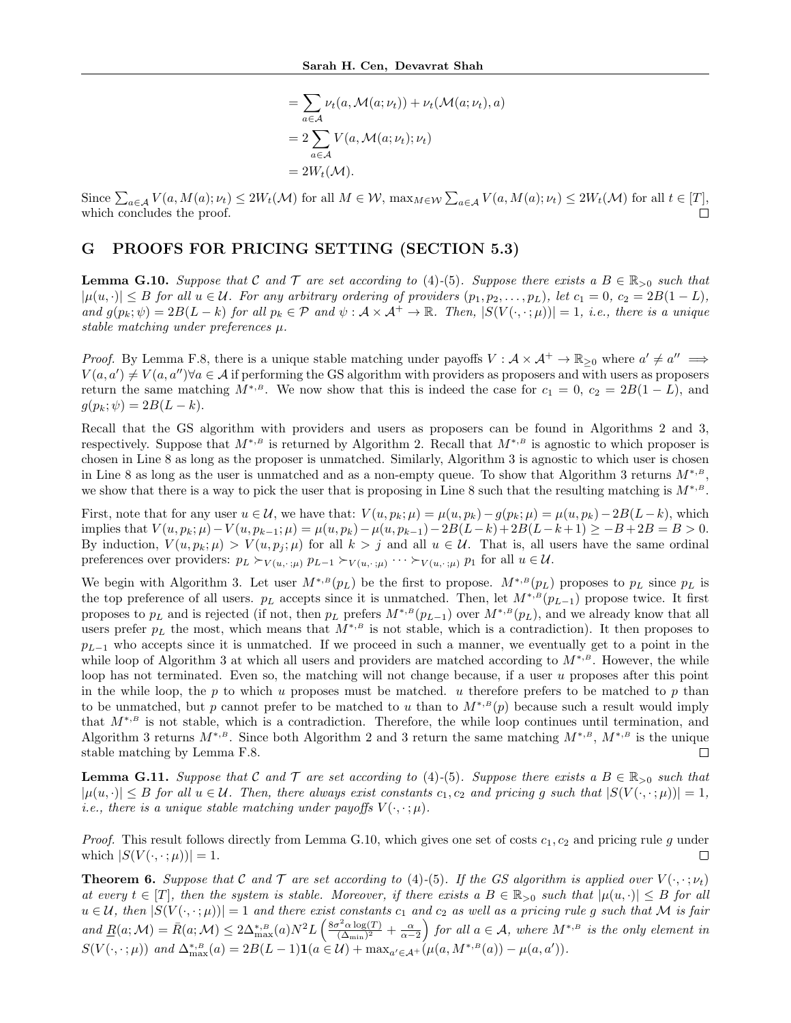$$
= \sum_{a \in A} \nu_t(a, \mathcal{M}(a; \nu_t)) + \nu_t(\mathcal{M}(a; \nu_t), a)
$$

$$
= 2 \sum_{a \in A} V(a, \mathcal{M}(a; \nu_t); \nu_t)
$$

$$
= 2W_t(\mathcal{M}).
$$

Since  $\sum_{a\in\mathcal{A}}V(a,M(a);\nu_t)\leq 2W_t(\mathcal{M})$  for all  $M\in\mathcal{W}$ ,  $\max_{M\in\mathcal{W}}\sum_{a\in\mathcal{A}}V(a,M(a);\nu_t)\leq 2W_t(\mathcal{M})$  for all  $t\in[T]$ , which concludes the proof.

## G PROOFS FOR PRICING SETTING (SECTION 5.3)

**Lemma G.10.** Suppose that C and T are set according to (4)-(5). Suppose there exists a  $B \in \mathbb{R}_{>0}$  such that  $|\mu(u, \cdot)| \leq B$  for all  $u \in \mathcal{U}$ . For any arbitrary ordering of providers  $(p_1, p_2, \ldots, p_L)$ , let  $c_1 = 0$ ,  $c_2 = 2B(1 - L)$ , and  $g(p_k; \psi) = 2B(L - k)$  for all  $p_k \in \mathcal{P}$  and  $\psi : A \times A^+ \to \mathbb{R}$ . Then,  $|S(V(\cdot, \cdot; \mu))| = 1$ , i.e., there is a unique stable matching under preferences  $\mu$ .

*Proof.* By Lemma F.8, there is a unique stable matching under payoffs  $V : \mathcal{A} \times \mathcal{A}^+ \to \mathbb{R}_{\geq 0}$  where  $a' \neq a'' \implies$  $V(a, a') \neq V(a, a'') \forall a \in \mathcal{A}$  if performing the GS algorithm with providers as proposers and with users as proposers return the same matching  $M^{*,B}$ . We now show that this is indeed the case for  $c_1 = 0$ ,  $c_2 = 2B(1 - L)$ , and  $g(p_k; \psi) = 2B(L - k).$ 

Recall that the GS algorithm with providers and users as proposers can be found in Algorithms 2 and 3, respectively. Suppose that  $M^{*,B}$  is returned by Algorithm 2. Recall that  $M^{*,B}$  is agnostic to which proposer is chosen in Line 8 as long as the proposer is unmatched. Similarly, Algorithm 3 is agnostic to which user is chosen in Line 8 as long as the user is unmatched and as a non-empty queue. To show that Algorithm 3 returns  $M^{*,B}$ , we show that there is a way to pick the user that is proposing in Line 8 such that the resulting matching is  $M^{*,B}$ .

First, note that for any user  $u \in \mathcal{U}$ , we have that:  $V(u, p_k; \mu) = \mu(u, p_k) - g(p_k; \mu) = \mu(u, p_k) - 2B(L - k)$ , which implies that  $V(u, p_k; \mu) - V(u, p_{k-1}; \mu) = \mu(u, p_k) - \mu(u, p_{k-1}) - 2B(L-k) + 2B(L-k+1) \geq -B + 2B = B > 0.$ By induction,  $V(u, p_k; \mu) > V(u, p_j; \mu)$  for all  $k > j$  and all  $u \in \mathcal{U}$ . That is, all users have the same ordinal preferences over providers:  $p_L \succ_{V(u, \cdot; \mu)} p_{L-1} \succ_{V(u, \cdot; \mu)} \cdots \succ_{V(u, \cdot; \mu)} p_1$  for all  $u \in \mathcal{U}$ .

We begin with Algorithm 3. Let user  $M^{*,B}(p_L)$  be the first to propose.  $M^{*,B}(p_L)$  proposes to  $p_L$  since  $p_L$  is the top preference of all users.  $p_L$  accepts since it is unmatched. Then, let  $M^{*,B}(p_{L-1})$  propose twice. It first proposes to  $p<sub>L</sub>$  and is rejected (if not, then  $p<sub>L</sub>$  prefers  $M^{*,B}(p<sub>L-1</sub>)$  over  $M^{*,B}(p<sub>L</sub>)$ , and we already know that all users prefer  $p<sub>L</sub>$  the most, which means that  $M^{*,B}$  is not stable, which is a contradiction). It then proposes to  $p_{L-1}$  who accepts since it is unmatched. If we proceed in such a manner, we eventually get to a point in the while loop of Algorithm 3 at which all users and providers are matched according to  $M^{*,B}$ . However, the while loop has not terminated. Even so, the matching will not change because, if a user u proposes after this point in the while loop, the p to which u proposes must be matched. u therefore prefers to be matched to p than to be unmatched, but p cannot prefer to be matched to u than to  $M^{*,B}(p)$  because such a result would imply that  $M^{*,B}$  is not stable, which is a contradiction. Therefore, the while loop continues until termination, and Algorithm 3 returns  $M^{*,B}$ . Since both Algorithm 2 and 3 return the same matching  $M^{*,B}$ ,  $M^{*,B}$  is the unique stable matching by Lemma F.8. П

**Lemma G.11.** Suppose that C and T are set according to (4)-(5). Suppose there exists a  $B \in \mathbb{R}_{>0}$  such that  $|\mu(u, \cdot)| \leq B$  for all  $u \in \mathcal{U}$ . Then, there always exist constants  $c_1, c_2$  and pricing g such that  $|S(V(\cdot, \cdot;\mu))| = 1$ , *i.e.*, there is a unique stable matching under payoffs  $V(\cdot, \cdot; \mu)$ .

*Proof.* This result follows directly from Lemma G.10, which gives one set of costs  $c_1$ ,  $c_2$  and pricing rule g under which  $|S(V(\cdot,\cdot;\mu))|=1$ .  $\Box$ 

**Theorem 6.** Suppose that C and T are set according to (4)-(5). If the GS algorithm is applied over  $V(\cdot, \cdot; \nu_t)$ at every  $t \in [T]$ , then the system is stable. Moreover, if there exists a  $B \in \mathbb{R}_{>0}$  such that  $|\mu(u, \cdot)| \leq B$  for all  $u \in \mathcal{U}$ , then  $|S(V(\cdot, \cdot;\mu))|=1$  and there exist constants  $c_1$  and  $c_2$  as well as a pricing rule g such that M is fair and  $\underline{R}(a; \mathcal{M}) = \overline{R}(a; \mathcal{M}) \leq 2\Delta^{*, B}_{\max}(a) N^2 L \left( \frac{8\sigma^2 \alpha \log(T)}{(\Delta_{\min})^2} \right)$  $\frac{\sigma^2 \alpha \log(T)}{(\Delta_{\min})^2} + \frac{\alpha}{\alpha - 2}$  for all  $a \in \mathcal{A}$ , where  $M^{*,B}$  is the only element in  $S(V(\cdot,\cdot;\mu))$  and  $\Delta^{*,B}_{\max}(a) = 2B(L-1)\mathbf{1}(a \in \mathcal{U}) + \max_{a' \in \mathcal{A}^+} (\mu(a, M^{*,B}(a)) - \mu(a, a')).$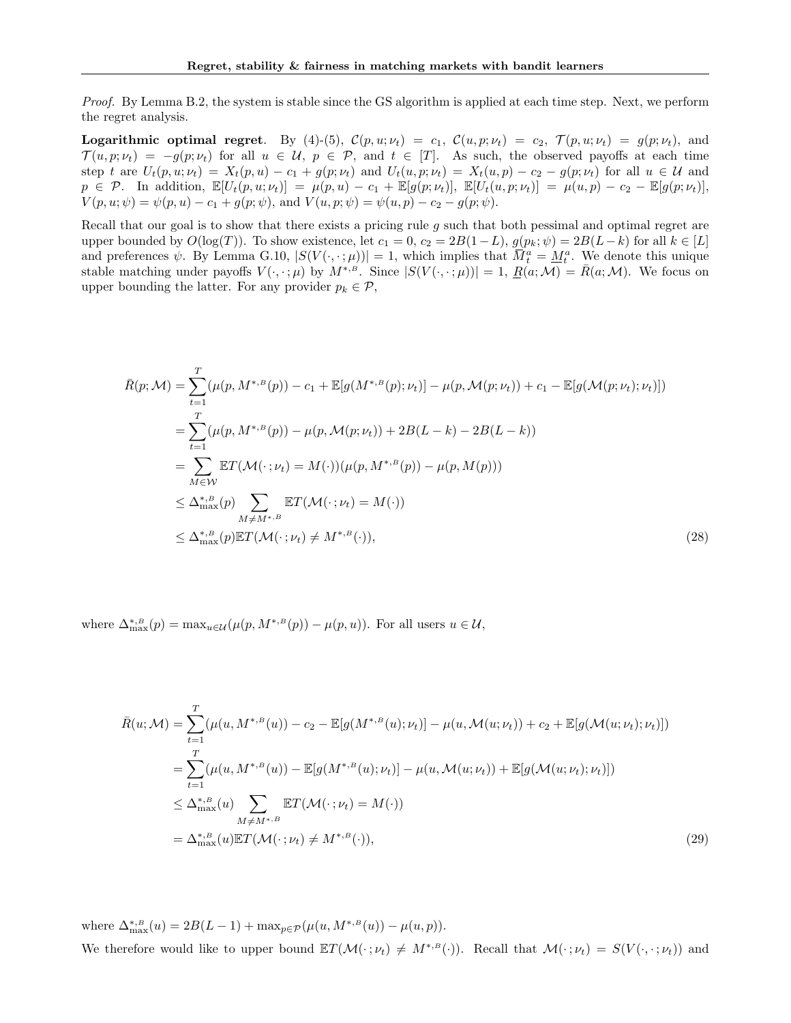Proof. By Lemma B.2, the system is stable since the GS algorithm is applied at each time step. Next, we perform the regret analysis.

**Logarithmic optimal regret.** By (4)-(5),  $C(p, u; \nu_t) = c_1$ ,  $C(u, p; \nu_t) = c_2$ ,  $\mathcal{T}(p, u; \nu_t) = g(p; \nu_t)$ , and  $\mathcal{T}(u, p; \nu_t) = -g(p; \nu_t)$  for all  $u \in \mathcal{U}, p \in \mathcal{P}$ , and  $t \in [T]$ . As such, the observed payoffs at each time step t are  $U_t(p, u; \nu_t) = X_t(p, u) - c_1 + g(p; \nu_t)$  and  $U_t(u, p; \nu_t) = X_t(u, p) - c_2 - g(p; \nu_t)$  for all  $u \in \mathcal{U}$  and  $p \in \mathcal{P}$ . In addition,  $\mathbb{E}[U_t(p, u; \nu_t)] = \mu(p, u) - c_1 + \mathbb{E}[g(p; \nu_t)], \ \mathbb{E}[U_t(u, p; \nu_t)] = \mu(u, p) - c_2 - \mathbb{E}[g(p; \nu_t)],$  $V(p, u; \psi) = \psi(p, u) - c_1 + g(p; \psi)$ , and  $V(u, p; \psi) = \psi(u, p) - c_2 - g(p; \psi)$ .

Recall that our goal is to show that there exists a pricing rule  $g$  such that both pessimal and optimal regret are upper bounded by  $O(\log(T))$ . To show existence, let  $c_1 = 0$ ,  $c_2 = 2B(1-L)$ ,  $g(p_k; \psi) = 2B(L-k)$  for all  $k \in [L]$ and preferences  $\psi$ . By Lemma G.10,  $|S(V(\cdot,\cdot;\mu))|=1$ , which implies that  $\overline{M}_t^a = \underline{M}_t^a$ . We denote this unique stable matching under payoffs  $V(\cdot, \cdot;\mu)$  by  $M^{*,B}$ . Since  $|S(V(\cdot, \cdot;\mu))|=1$ ,  $\underline{R}(a;\mathcal{M})=\overline{R}(a;\mathcal{M})$ . We focus on upper bounding the latter. For any provider  $p_k \in \mathcal{P}$ ,

$$
\bar{R}(p; \mathcal{M}) = \sum_{t=1}^{T} (\mu(p, M^{*,B}(p)) - c_1 + \mathbb{E}[g(M^{*,B}(p); \nu_t)] - \mu(p, \mathcal{M}(p; \nu_t)) + c_1 - \mathbb{E}[g(\mathcal{M}(p; \nu_t); \nu_t)])
$$
\n
$$
= \sum_{t=1}^{T} (\mu(p, M^{*,B}(p)) - \mu(p, \mathcal{M}(p; \nu_t)) + 2B(L - k) - 2B(L - k))
$$
\n
$$
= \sum_{M \in \mathcal{W}} \mathbb{E}T(\mathcal{M}(\cdot; \nu_t) = M(\cdot))(\mu(p, M^{*,B}(p)) - \mu(p, M(p)))
$$
\n
$$
\leq \Delta_{\max}^{*,B}(p) \sum_{M \neq M^{*,B}} \mathbb{E}T(\mathcal{M}(\cdot; \nu_t) = M(\cdot))
$$
\n
$$
\leq \Delta_{\max}^{*,B}(p) \mathbb{E}T(\mathcal{M}(\cdot; \nu_t) \neq M^{*,B}(\cdot)), \tag{28}
$$

where  $\Delta_{\max}^{*,B}(p) = \max_{u \in \mathcal{U}} (\mu(p, M^{*,B}(p)) - \mu(p, u))$ . For all users  $u \in \mathcal{U}$ ,

$$
\bar{R}(u; \mathcal{M}) = \sum_{t=1}^{T} (\mu(u, M^{*,B}(u)) - c_2 - \mathbb{E}[g(M^{*,B}(u); \nu_t)] - \mu(u, \mathcal{M}(u; \nu_t)) + c_2 + \mathbb{E}[g(\mathcal{M}(u; \nu_t); \nu_t)])
$$
\n
$$
= \sum_{t=1}^{T} (\mu(u, M^{*,B}(u)) - \mathbb{E}[g(M^{*,B}(u); \nu_t)] - \mu(u, \mathcal{M}(u; \nu_t)) + \mathbb{E}[g(\mathcal{M}(u; \nu_t); \nu_t)])
$$
\n
$$
\leq \Delta_{\max}^{*,B}(u) \sum_{M \neq M^{*,B}} \mathbb{E}T(\mathcal{M}(\cdot; \nu_t) = M(\cdot))
$$
\n
$$
= \Delta_{\max}^{*,B}(u) \mathbb{E}T(\mathcal{M}(\cdot; \nu_t) \neq M^{*,B}(\cdot)),
$$
\n(29)

where  $\Delta_{\max}^{*,B}(u) = 2B(L-1) + \max_{p \in \mathcal{P}} (\mu(u, M^{*,B}(u)) - \mu(u, p)).$ We therefore would like to upper bound  $\mathbb{E}T(\mathcal{M}(\cdot;\nu_t) \neq M^{*,B}(\cdot))$ . Recall that  $\mathcal{M}(\cdot;\nu_t) = S(V(\cdot,\cdot;\nu_t))$  and